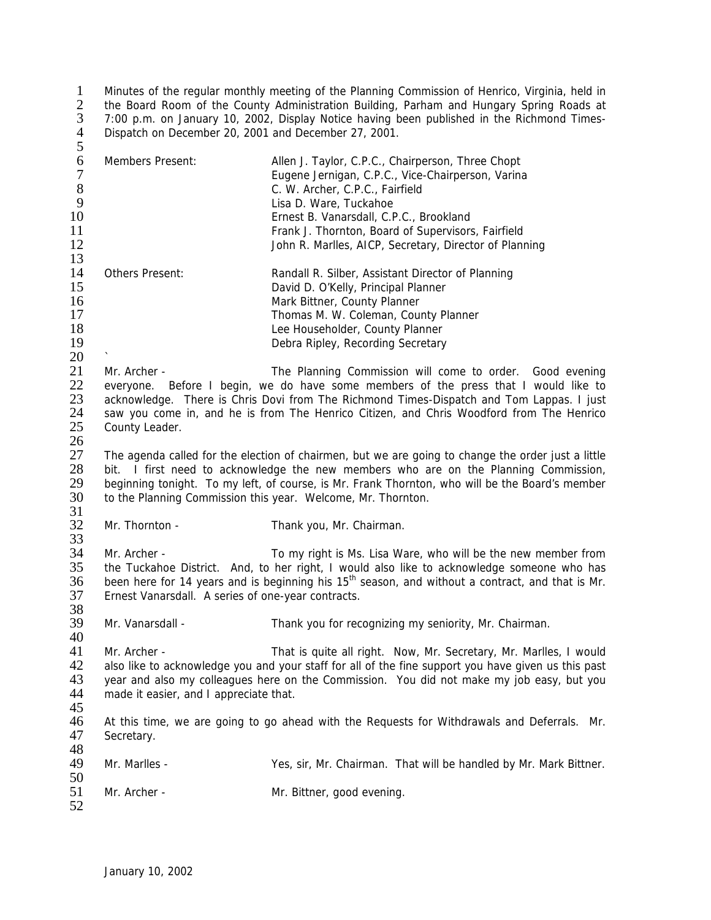1 Minutes of the regular monthly meeting of the Planning Commission of Henrico, Virginia, held in 2 the Board Room of the County Administration Building, Parham and Hungary Spring Roads at 3 7:00 p.m. on January 10, 2002, Display Notice having been published in the Richmond Times-4 Dispatch on December 20, 2001 and December 27, 2001.  $\frac{1}{2}$ <br> $\frac{3}{4}$ <br>5

| 6<br>$\boldsymbol{7}$<br>$8\,$<br>9<br>10<br>11<br>12<br>13 | Members Present:                                                                                                                                                                                                                                                                                                                                                          | Allen J. Taylor, C.P.C., Chairperson, Three Chopt<br>Eugene Jernigan, C.P.C., Vice-Chairperson, Varina<br>C. W. Archer, C.P.C., Fairfield<br>Lisa D. Ware, Tuckahoe<br>Ernest B. Vanarsdall, C.P.C., Brookland<br>Frank J. Thornton, Board of Supervisors, Fairfield<br>John R. Marlles, AICP, Secretary, Director of Planning |  |
|-------------------------------------------------------------|---------------------------------------------------------------------------------------------------------------------------------------------------------------------------------------------------------------------------------------------------------------------------------------------------------------------------------------------------------------------------|--------------------------------------------------------------------------------------------------------------------------------------------------------------------------------------------------------------------------------------------------------------------------------------------------------------------------------|--|
| 14<br>15<br>16<br>17<br>18<br>19<br>20                      | Others Present:                                                                                                                                                                                                                                                                                                                                                           | Randall R. Silber, Assistant Director of Planning<br>David D. O'Kelly, Principal Planner<br>Mark Bittner, County Planner<br>Thomas M. W. Coleman, County Planner<br>Lee Householder, County Planner<br>Debra Ripley, Recording Secretary                                                                                       |  |
| 21<br>22<br>23<br>24<br>25                                  | The Planning Commission will come to order. Good evening<br>Mr. Archer -<br>everyone. Before I begin, we do have some members of the press that I would like to<br>acknowledge. There is Chris Dovi from The Richmond Times-Dispatch and Tom Lappas. I just<br>saw you come in, and he is from The Henrico Citizen, and Chris Woodford from The Henrico<br>County Leader. |                                                                                                                                                                                                                                                                                                                                |  |
| 26<br>27<br>28<br>29<br>30<br>31                            | The agenda called for the election of chairmen, but we are going to change the order just a little<br>bit. I first need to acknowledge the new members who are on the Planning Commission,<br>beginning tonight. To my left, of course, is Mr. Frank Thornton, who will be the Board's member<br>to the Planning Commission this year. Welcome, Mr. Thornton.             |                                                                                                                                                                                                                                                                                                                                |  |
| 32<br>33                                                    | Mr. Thornton -                                                                                                                                                                                                                                                                                                                                                            | Thank you, Mr. Chairman.                                                                                                                                                                                                                                                                                                       |  |
| 34<br>35<br>36<br>37<br>38                                  | Mr. Archer -<br>Ernest Vanarsdall. A series of one-year contracts.                                                                                                                                                                                                                                                                                                        | To my right is Ms. Lisa Ware, who will be the new member from<br>the Tuckahoe District. And, to her right, I would also like to acknowledge someone who has<br>been here for 14 years and is beginning his 15 <sup>th</sup> season, and without a contract, and that is Mr.                                                    |  |
| 39<br>40                                                    | Mr. Vanarsdall -                                                                                                                                                                                                                                                                                                                                                          | Thank you for recognizing my seniority, Mr. Chairman.                                                                                                                                                                                                                                                                          |  |
| 41<br>42<br>43<br>44<br>45                                  | Mr. Archer -<br>That is quite all right. Now, Mr. Secretary, Mr. Marlles, I would<br>also like to acknowledge you and your staff for all of the fine support you have given us this past<br>year and also my colleagues here on the Commission. You did not make my job easy, but you<br>made it easier, and I appreciate that.                                           |                                                                                                                                                                                                                                                                                                                                |  |
| 46<br>47<br>48                                              | Secretary.                                                                                                                                                                                                                                                                                                                                                                | At this time, we are going to go ahead with the Requests for Withdrawals and Deferrals. Mr.                                                                                                                                                                                                                                    |  |
| 49<br>50                                                    | Mr. Marlles -                                                                                                                                                                                                                                                                                                                                                             | Yes, sir, Mr. Chairman. That will be handled by Mr. Mark Bittner.                                                                                                                                                                                                                                                              |  |
| 51<br>52                                                    | Mr. Archer -                                                                                                                                                                                                                                                                                                                                                              | Mr. Bittner, good evening.                                                                                                                                                                                                                                                                                                     |  |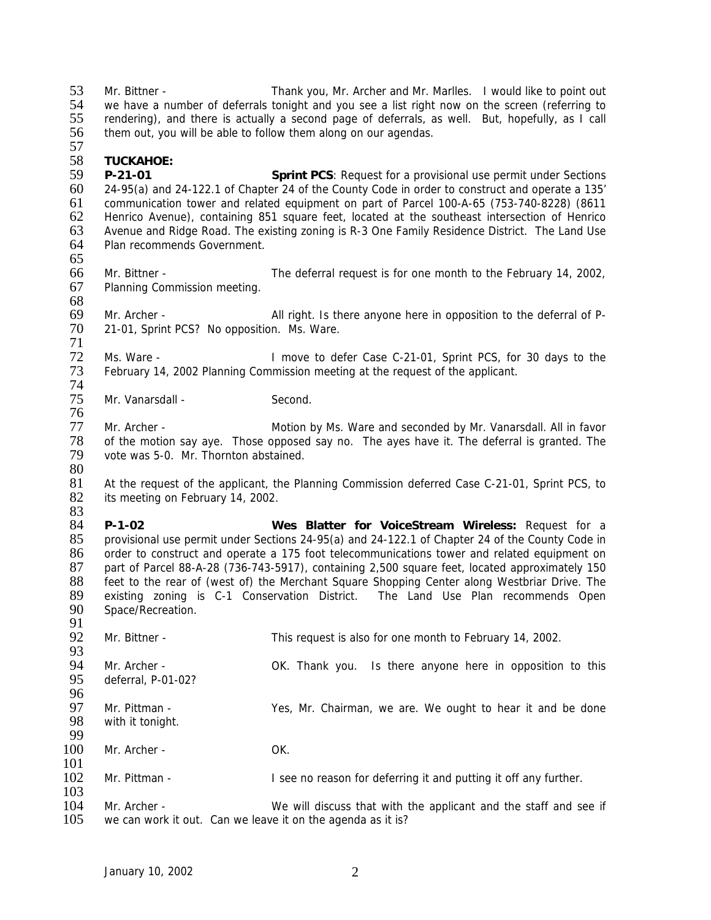53 Mr. Bittner - Thank you, Mr. Archer and Mr. Marlles. I would like to point out 54 we have a number of deferrals tonight and you see a list right now on the screen (referring to 54 we have a number of deferrals tonight and you see a list right now on the screen (referring to 55 rendering), and there is actually a second page of deferrals, as well. But, hopefully, as I call rendering), and there is actually a second page of deferrals, as well. But, hopefully, as I call them out, you will be able to follow them along on our agendas.

## 57<br>58 **TUCKAHOE:**

 **P-21-01 Sprint PCS**: Request for a provisional use permit under Sections 24-95(a) and 24-122.1 of Chapter 24 of the County Code in order to construct and operate a 135' communication tower and related equipment on part of Parcel 100-A-65 (753-740-8228) (8611 62 Henrico Avenue), containing 851 square feet, located at the southeast intersection of Henrico<br>63 Avenue and Ridge Road. The existing zoning is R-3 One Family Residence District. The Land Use 63 Avenue and Ridge Road. The existing zoning is R-3 One Family Residence District. The Land Use<br>64 Plan recommends Government. Plan recommends Government. 

- Mr. Bittner The deferral request is for one month to the February 14, 2002, Planning Commission meeting.
- Mr. Archer All right. Is there anyone here in opposition to the deferral of P-21-01, Sprint PCS? No opposition. Ms. Ware.

 72 Ms. Ware - I move to defer Case C-21-01, Sprint PCS, for 30 days to the 73 February 14, 2002 Planning Commission meeting at the request of the applicant. February 14, 2002 Planning Commission meeting at the request of the applicant.

74<br>75 Mr. Vanarsdall - Second.

77 Mr. Archer - Motion by Ms. Ware and seconded by Mr. Vanarsdall. All in favor<br>78 of the motion say aye. Those opposed say no. The ayes have it. The deferral is granted. The 78 of the motion say aye. Those opposed say no. The ayes have it. The deferral is granted. The 79 vote was 5-0. Mr. Thornton abstained. vote was 5-0. Mr. Thornton abstained. 

 At the request of the applicant, the Planning Commission deferred Case C-21-01, Sprint PCS, to 82 its meeting on February 14, 2002.

83<br>84 **P-1-02 Wes Blatter for VoiceStream Wireless:** Request for a provisional use permit under Sections 24-95(a) and 24-122.1 of Chapter 24 of the County Code in order to construct and operate a 175 foot telecommunications tower and related equipment on 87 part of Parcel 88-A-28 (736-743-5917), containing 2,500 square feet, located approximately 150<br>88 feet to the rear of (west of) the Merchant Square Shopping Center along Westbriar Drive. The 88 feet to the rear of (west of) the Merchant Square Shopping Center along Westbriar Drive. The 89 existing zoning is C-1 Conservation District. The Land Use Plan recommends Open 89 existing zoning is C-1 Conservation District. The Land Use Plan recommends Open<br>90 Space/Recreation. Space/Recreation.

| 92  | Mr. Bittner -      | This request is also for one month to February 14, 2002.         |
|-----|--------------------|------------------------------------------------------------------|
| 93  |                    |                                                                  |
| 94  | Mr. Archer -       | Is there anyone here in opposition to this<br>OK. Thank you.     |
| 95  | deferral, P-01-02? |                                                                  |
| 96  |                    |                                                                  |
| 97  | Mr. Pittman -      | Yes, Mr. Chairman, we are. We ought to hear it and be done       |
| 98  | with it tonight.   |                                                                  |
| 99  |                    |                                                                  |
| 100 | Mr. Archer -       | OK.                                                              |
| 101 |                    |                                                                  |
| 102 | Mr. Pittman -      | I see no reason for deferring it and putting it off any further. |
| 103 |                    |                                                                  |
| 104 | Mr. Archer -       | We will discuss that with the applicant and the staff and see if |
|     |                    |                                                                  |

we can work it out. Can we leave it on the agenda as it is?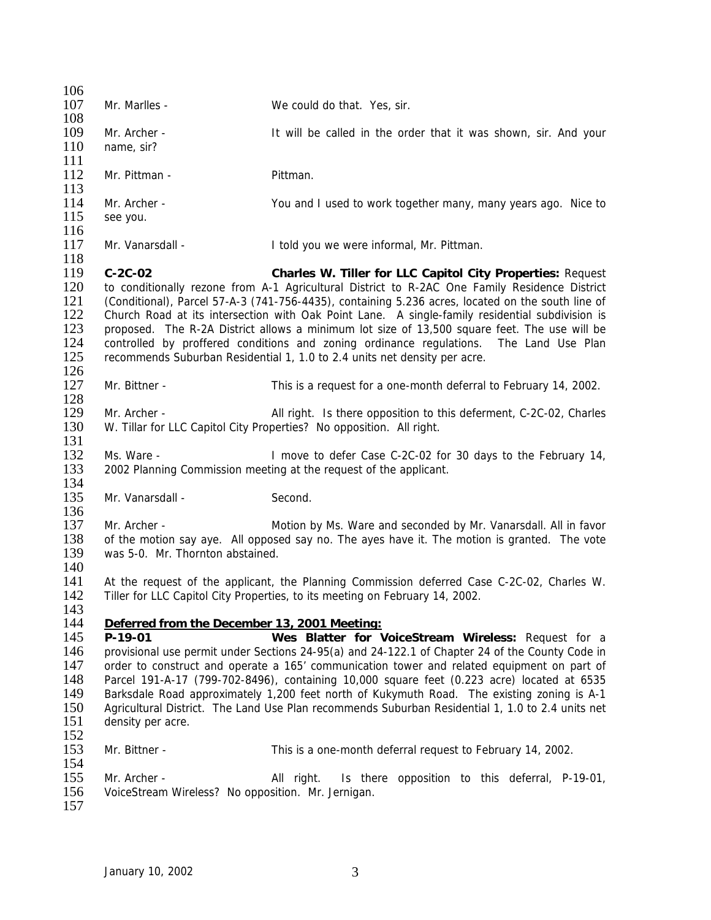| 106                                                         |                                                                                                                                                                                                                                                                                                                                                                                                                                                                                                                                                                                                                                                         |                                                                                                                                                                            |  |
|-------------------------------------------------------------|---------------------------------------------------------------------------------------------------------------------------------------------------------------------------------------------------------------------------------------------------------------------------------------------------------------------------------------------------------------------------------------------------------------------------------------------------------------------------------------------------------------------------------------------------------------------------------------------------------------------------------------------------------|----------------------------------------------------------------------------------------------------------------------------------------------------------------------------|--|
| 107<br>108                                                  | Mr. Marlles -                                                                                                                                                                                                                                                                                                                                                                                                                                                                                                                                                                                                                                           | We could do that. Yes, sir.                                                                                                                                                |  |
| 109<br>110<br>111                                           | Mr. Archer -<br>name, sir?                                                                                                                                                                                                                                                                                                                                                                                                                                                                                                                                                                                                                              | It will be called in the order that it was shown, sir. And your                                                                                                            |  |
| 112<br>113                                                  | Mr. Pittman -                                                                                                                                                                                                                                                                                                                                                                                                                                                                                                                                                                                                                                           | Pittman.                                                                                                                                                                   |  |
| 114<br>115<br>116                                           | Mr. Archer -<br>see you.                                                                                                                                                                                                                                                                                                                                                                                                                                                                                                                                                                                                                                | You and I used to work together many, many years ago. Nice to                                                                                                              |  |
| 117<br>118                                                  | Mr. Vanarsdall -                                                                                                                                                                                                                                                                                                                                                                                                                                                                                                                                                                                                                                        | I told you we were informal, Mr. Pittman.                                                                                                                                  |  |
| 119<br>120<br>121<br>122<br>123<br>124<br>125<br>126        | $C-2C-02$<br>Charles W. Tiller for LLC Capitol City Properties: Request<br>to conditionally rezone from A-1 Agricultural District to R-2AC One Family Residence District<br>(Conditional), Parcel 57-A-3 (741-756-4435), containing 5.236 acres, located on the south line of<br>Church Road at its intersection with Oak Point Lane. A single-family residential subdivision is<br>proposed. The R-2A District allows a minimum lot size of 13,500 square feet. The use will be<br>controlled by proffered conditions and zoning ordinance regulations. The Land Use Plan<br>recommends Suburban Residential 1, 1.0 to 2.4 units net density per acre. |                                                                                                                                                                            |  |
| 127<br>128                                                  | Mr. Bittner -                                                                                                                                                                                                                                                                                                                                                                                                                                                                                                                                                                                                                                           | This is a request for a one-month deferral to February 14, 2002.                                                                                                           |  |
| 129<br>130<br>131                                           | Mr. Archer -                                                                                                                                                                                                                                                                                                                                                                                                                                                                                                                                                                                                                                            | All right. Is there opposition to this deferment, C-2C-02, Charles<br>W. Tillar for LLC Capitol City Properties? No opposition. All right.                                 |  |
| 132<br>133                                                  | Ms. Ware -                                                                                                                                                                                                                                                                                                                                                                                                                                                                                                                                                                                                                                              | I move to defer Case C-2C-02 for 30 days to the February 14,<br>2002 Planning Commission meeting at the request of the applicant.                                          |  |
| 134<br>135<br>136                                           | Mr. Vanarsdall -                                                                                                                                                                                                                                                                                                                                                                                                                                                                                                                                                                                                                                        | Second.                                                                                                                                                                    |  |
| 137<br>138<br>139<br>140                                    | Mr. Archer -<br>was 5-0. Mr. Thornton abstained.                                                                                                                                                                                                                                                                                                                                                                                                                                                                                                                                                                                                        | Motion by Ms. Ware and seconded by Mr. Vanarsdall. All in favor<br>of the motion say aye. All opposed say no. The ayes have it. The motion is granted. The vote            |  |
| 141<br>142<br>143                                           |                                                                                                                                                                                                                                                                                                                                                                                                                                                                                                                                                                                                                                                         | At the request of the applicant, the Planning Commission deferred Case C-2C-02, Charles W.<br>Tiller for LLC Capitol City Properties, to its meeting on February 14, 2002. |  |
| 144<br>145<br>146<br>147<br>148<br>149<br>150<br>151<br>152 | Deferred from the December 13, 2001 Meeting:<br>Wes Blatter for VoiceStream Wireless: Request for a<br>P-19-01<br>provisional use permit under Sections 24-95(a) and 24-122.1 of Chapter 24 of the County Code in<br>order to construct and operate a 165' communication tower and related equipment on part of<br>Parcel 191-A-17 (799-702-8496), containing 10,000 square feet (0.223 acre) located at 6535<br>Barksdale Road approximately 1,200 feet north of Kukymuth Road. The existing zoning is A-1<br>Agricultural District. The Land Use Plan recommends Suburban Residential 1, 1.0 to 2.4 units net<br>density per acre.                    |                                                                                                                                                                            |  |
| 153<br>154                                                  | Mr. Bittner -                                                                                                                                                                                                                                                                                                                                                                                                                                                                                                                                                                                                                                           | This is a one-month deferral request to February 14, 2002.                                                                                                                 |  |
| 155<br>156<br>157                                           | Mr. Archer -<br>VoiceStream Wireless? No opposition. Mr. Jernigan.                                                                                                                                                                                                                                                                                                                                                                                                                                                                                                                                                                                      | All right.<br>Is there opposition to this deferral, P-19-01,                                                                                                               |  |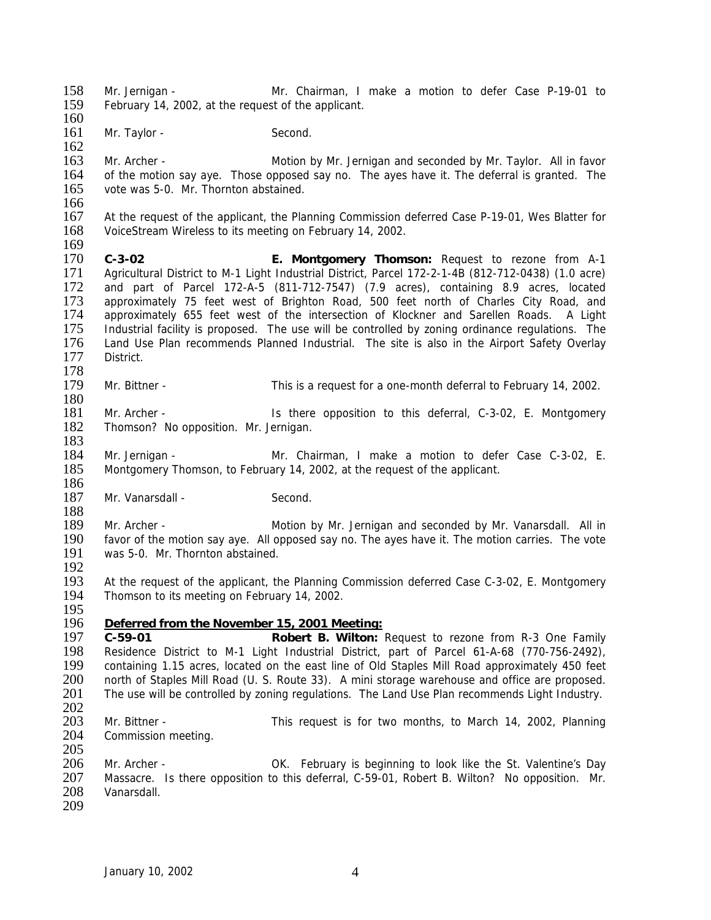158 Mr. Jernigan - Mr. Chairman, I make a motion to defer Case P-19-01 to 159 February 14 2002 at the request of the applicant February 14, 2002, at the request of the applicant. 160 161 Mr. Taylor - Second. 162 163 Mr. Archer - Motion by Mr. Jernigan and seconded by Mr. Taylor. All in favor 164 of the motion say aye. Those opposed say no. The ayes have it. The deferral is granted. The 165 vote was 5-0. Mr. Thornton abstained. vote was 5-0. Mr. Thornton abstained.  $\frac{166}{167}$ 167 At the request of the applicant, the Planning Commission deferred Case P-19-01, Wes Blatter for 168 VoiceStream Wireless to its meeting on February 14, 2002. VoiceStream Wireless to its meeting on February 14, 2002.  $\frac{169}{170}$ 170 **C-3-02 E. Montgomery Thomson:** Request to rezone from A-1 171 Agricultural District to M-1 Light Industrial District, Parcel 172-2-1-4B (812-712-0438) (1.0 acre)<br>172 and part of Parcel 172-A-5 (811-712-7547) (7.9 acres), containing 8.9 acres, located and part of Parcel 172-A-5 (811-712-7547) (7.9 acres), containing 8.9 acres, located 173 approximately 75 feet west of Brighton Road, 500 feet north of Charles City Road, and 174 approximately 655 feet west of the intersection of Klockner and Sarellen Roads. A Light 175 Industrial facility is proposed. The use will be controlled by zoning ordinance regulations. The 176 Land Use Plan recommends Planned Industrial. The site is also in the Airport Safety Overlay 176 Land Use Plan recommends Planned Industrial. The site is also in the Airport Safety Overlay<br>177 District. District. 178<br>179 Mr. Bittner - This is a request for a one-month deferral to February 14, 2002.  $\frac{180}{181}$ Mr. Archer - The Is there opposition to this deferral, C-3-02, E. Montgomery 182 Thomson? No opposition. Mr. Jernigan. 183 184 Mr. Jernigan - Mr. Chairman, I make a motion to defer Case C-3-02, E. 185 Montgomery Thomson, to February 14, 2002, at the request of the applicant. 186 187 Mr. Vanarsdall - Second. 188<br>189 189 Mr. Archer - Motion by Mr. Jernigan and seconded by Mr. Vanarsdall. All in<br>190 favor of the motion say ave. All opposed say no. The aves have it. The motion carries. The vote 190 favor of the motion say aye. All opposed say no. The ayes have it. The motion carries. The vote 191 was 5-0. Mr. Thornton abstained. was 5-0. Mr. Thornton abstained. 192<br>193 At the request of the applicant, the Planning Commission deferred Case C-3-02, E. Montgomery 194 Thomson to its meeting on February 14, 2002. 195 196 *Deferred from the November 15, 2001 Meeting:* 197 **C-59-01 Robert B. Wilton:** Request to rezone from R-3 One Family 198 Residence District to M-1 Light Industrial District, part of Parcel 61-A-68 (770-756-2492),<br>199 containing 1.15 acres, located on the east line of Old Staples Mill Road approximately 450 feet 199 containing 1.15 acres, located on the east line of Old Staples Mill Road approximately 450 feet 200 north of Staples Mill Road (U. S. Route 33). A mini storage warehouse and office are proposed. 200 north of Staples Mill Road (U. S. Route 33). A mini storage warehouse and office are proposed.<br>201 The use will be controlled by zoning regulations. The Land Use Plan recommends Light Industry. The use will be controlled by zoning regulations. The Land Use Plan recommends Light Industry.  $\frac{202}{203}$ 203 Mr. Bittner - This request is for two months, to March 14, 2002, Planning 204 Commission meeting. Commission meeting. 205 206 Mr. Archer - OK. February is beginning to look like the St. Valentine's Day 207 Massacre. Is there opposition to this deferral, C-59-01, Robert B. Wilton? No opposition. Mr.<br>208 Vanarsdall. Vanarsdall. 209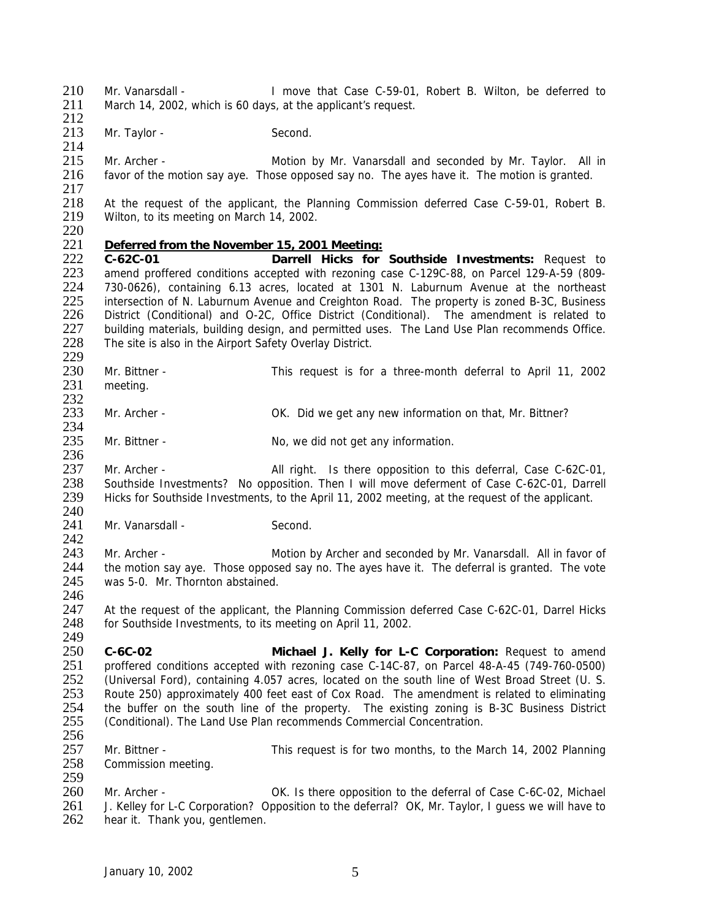210 Mr. Vanarsdall - I move that Case C-59-01, Robert B. Wilton, be deferred to 211 March 14 2002 which is 60 days at the applicant's request March 14, 2002, which is 60 days, at the applicant's request. 212

213 Mr. Taylor - Second.

215 Mr. Archer - Motion by Mr. Vanarsdall and seconded by Mr. Taylor. All in 216 favor of the motion say aye. Those opposed say no. The ayes have it. The motion is granted.

 $\frac{217}{218}$ 218 At the request of the applicant, the Planning Commission deferred Case C-59-01, Robert B.<br>219 Wilton, to its meeting on March 14, 2002. Wilton, to its meeting on March 14, 2002.

 $\frac{220}{221}$ 

236

246

214

## 221 *Deferred from the November 15, 2001 Meeting:*

222 **C-62C-01 Darrell Hicks for Southside Investments:** Request to 223 amend proffered conditions accepted with rezoning case C-129C-88, on Parcel 129-A-59 (809-<br>224 730-0626), containing 6.13 acres, located at 1301 N. Laburnum Avenue at the northeast 224 730-0626), containing 6.13 acres, located at 1301 N. Laburnum Avenue at the northeast<br>225 intersection of N. Laburnum Avenue and Creighton Road. The property is zoned B-3C, Business 225 intersection of N. Laburnum Avenue and Creighton Road. The property is zoned B-3C, Business<br>226 District (Conditional) and O-2C, Office District (Conditional). The amendment is related to 226 District (Conditional) and O-2C, Office District (Conditional). The amendment is related to 227 building materials, building design, and permitted uses. The Land Use Plan recommends Office.<br>228 The site is also in the Airport Safety Overlay District. The site is also in the Airport Safety Overlay District.

229<br>230 230 Mr. Bittner - This request is for a three-month deferral to April 11, 2002<br>231 meeting. meeting.

 $\frac{232}{233}$ 233 Mr. Archer - OK. Did we get any new information on that, Mr. Bittner?

 $\frac{234}{235}$ Mr. Bittner - No, we did not get any information.

237 Mr. Archer - All right. Is there opposition to this deferral, Case C-62C-01, 238 Southside Investments? No opposition. Then I will move deferment of Case C-62C-01, Darrell 239 Hicks for Southside Investments, to the April 11, 2002 meeting, at the request of the applicant.

 $\frac{240}{241}$ Mr. Vanarsdall - Second.

 $\frac{242}{243}$ 243 Mr. Archer - Motion by Archer and seconded by Mr. Vanarsdall. All in favor of 244 the motion say ave. Those opposed say no. The aves have it. The deferral is granted. The vote 244 the motion say aye. Those opposed say no. The ayes have it. The deferral is granted. The vote 245 was 5-0. Mr. Thornton abstained. was 5-0. Mr. Thornton abstained.

247 At the request of the applicant, the Planning Commission deferred Case C-62C-01, Darrel Hicks 248 for Southside Investments, to its meeting on April 11, 2002.

249<br>250 250 **C-6C-02 Michael J. Kelly for L-C Corporation:** Request to amend 251 proffered conditions accepted with rezoning case C-14C-87, on Parcel 48-A-45 (749-760-0500)<br>252 (Universal Ford), containing 4.057 acres, located on the south line of West Broad Street (U. S. 252 (Universal Ford), containing 4.057 acres, located on the south line of West Broad Street (U. S.<br>253 Route 250) approximately 400 feet east of Cox Road. The amendment is related to eliminating 253 Route 250) approximately 400 feet east of Cox Road. The amendment is related to eliminating<br>254 the buffer on the south line of the property. The existing zoning is B-3C Business District 254 the buffer on the south line of the property. The existing zoning is B-3C Business District 255 (Conditional). The Land Use Plan recommends Commercial Concentration. (Conditional). The Land Use Plan recommends Commercial Concentration. 256

257 Mr. Bittner - This request is for two months, to the March 14, 2002 Planning 258 Commission meeting.

259<br>260 260 Mr. Archer - OK. Is there opposition to the deferral of Case C-6C-02, Michael<br>261 J. Kellev for L-C Corporation? Opposition to the deferral? OK, Mr. Taylor, I quess we will have to 261 J. Kelley for L-C Corporation? Opposition to the deferral? OK, Mr. Taylor, I guess we will have to 262 hear it. Thank vou, gentlemen. hear it. Thank you, gentlemen.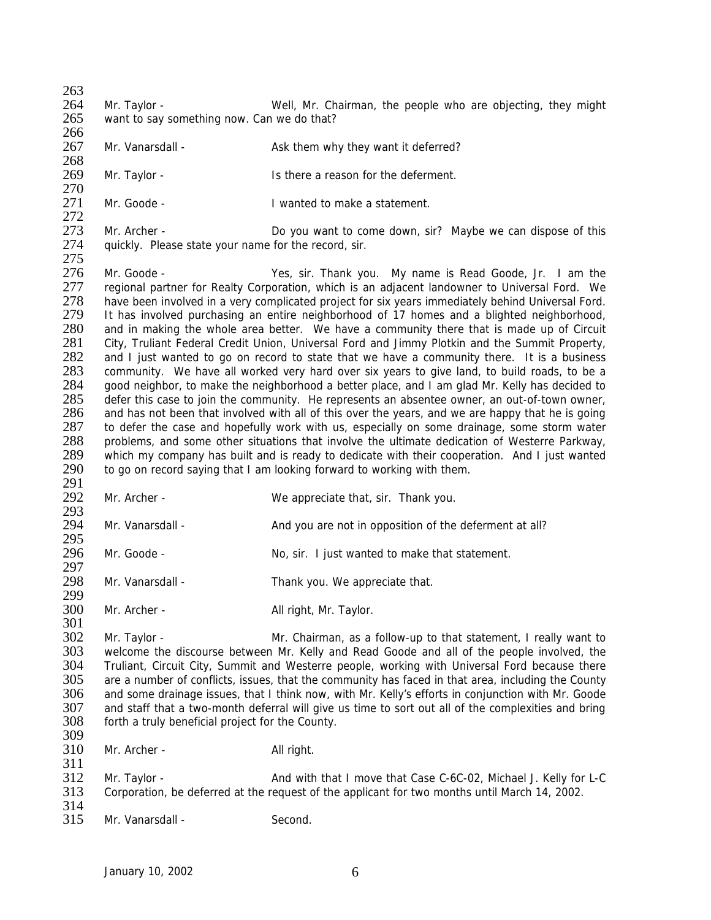$\frac{263}{264}$ 264 Mr. Taylor - Well, Mr. Chairman, the people who are objecting, they might 265 want to say something now. Can we do that? want to say something now. Can we do that? 266 267 Mr. Vanarsdall - Ask them why they want it deferred? 268 269 Mr. Taylor - Is there a reason for the deferment. 270<br>271 Mr. Goode - The Coordinated to make a statement.  $\frac{272}{273}$ 273 Mr. Archer - Do you want to come down, sir? Maybe we can dispose of this 274 auickly. Please state your name for the record. sir. quickly. Please state your name for the record, sir. 275 276 Mr. Goode - Yes, sir. Thank you. My name is Read Goode, Jr. I am the 277 regional partner for Realty Corporation, which is an adjacent landowner to Universal Ford. We regional partner for Realty Corporation, which is an adjacent landowner to Universal Ford. We 278 have been involved in a very complicated project for six years immediately behind Universal Ford. 279 It has involved purchasing an entire neighborhood of 17 homes and a blighted neighborhood, 280 and in making the whole area better. We have a community there that is made up of Circuit 281 City, Truliant Federal Credit Union, Universal Ford and Jimmy Plotkin and the Summit Property, 281 City, Truliant Federal Credit Union, Universal Ford and Jimmy Plotkin and the Summit Property, 282 and I just wanted to go on record to state that we have a community there. It is a business 282 and I just wanted to go on record to state that we have a community there. It is a business<br>283 community. We have all worked very hard over six years to give land, to build roads, to be a 283 community. We have all worked very hard over six years to give land, to build roads, to be a<br>284 aood neighbor, to make the neighborhood a better place, and I am glad Mr. Kelly has decided to 284 good neighbor, to make the neighborhood a better place, and I am glad Mr. Kelly has decided to 285 defer this case to join the community. He represents an absentee owner, an out-of-town owner. 285 defer this case to join the community. He represents an absentee owner, an out-of-town owner, 286 and has not been that involved with all of this over the vears, and we are happy that he is going and has not been that involved with all of this over the years, and we are happy that he is going 287 to defer the case and hopefully work with us, especially on some drainage, some storm water<br>288 problems, and some other situations that involve the ultimate dedication of Westerre Parkway, problems, and some other situations that involve the ultimate dedication of Westerre Parkway, 289 which my company has built and is ready to dedicate with their cooperation. And I just wanted 290 to go on record saying that I am looking forward to working with them. 291 292 Mr. Archer - We appreciate that, sir. Thank you. 293<br>294 294 Mr. Vanarsdall - And you are not in opposition of the deferment at all? 295 Mr. Goode - No, sir. I just wanted to make that statement. 297<br>298 Mr. Vanarsdall - Thank you. We appreciate that. 299 300 Mr. Archer - All right, Mr. Taylor. 301 302 Mr. Taylor - Mr. Chairman, as a follow-up to that statement, I really want to 303 welcome the discourse between Mr. Kelly and Read Goode and all of the people involved, the 303 welcome the discourse between Mr. Kelly and Read Goode and all of the people involved, the 304 Truliant. Circuit City, Summit and Westerre people, working with Universal Ford because there 304 Truliant, Circuit City, Summit and Westerre people, working with Universal Ford because there<br>305 are a number of conflicts, issues, that the community has faced in that area, including the County 305 are a number of conflicts, issues, that the community has faced in that area, including the County<br>306 and some drainage issues, that I think now, with Mr. Kelly's efforts in conjunction with Mr. Goode 306 and some drainage issues, that I think now, with Mr. Kelly's efforts in conjunction with Mr. Goode 307 and staff that a two-month deferral will give us time to sort out all of the complexities and bring 307 and staff that a two-month deferral will give us time to sort out all of the complexities and bring 308 forth a truly beneficial project for the County. forth a truly beneficial project for the County. 309 310 Mr. Archer - All right. 311 312 Mr. Taylor - And with that I move that Case C-6C-02, Michael J. Kelly for L-C<br>313 Corporation, be deferred at the request of the applicant for two months until March 14, 2002. 313 Corporation, be deferred at the request of the applicant for two months until March 14, 2002.  $\frac{314}{315}$ Mr. Vanarsdall - Second.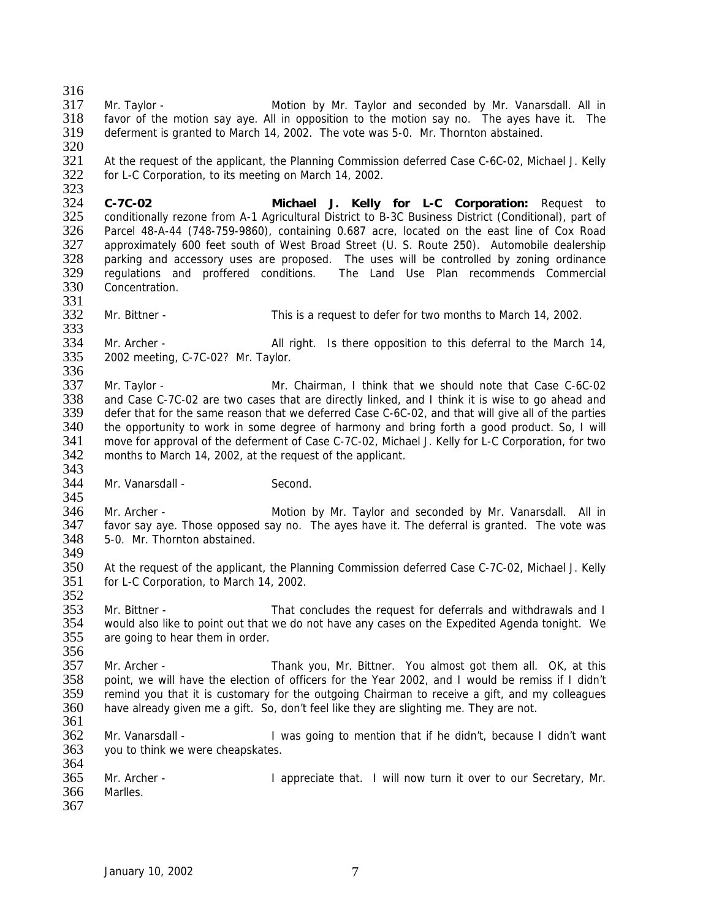$\frac{316}{317}$ 317 Mr. Taylor - Motion by Mr. Taylor and seconded by Mr. Vanarsdall. All in 318 favor of the motion say ave. All in opposition to the motion say no. The aves have it. The favor of the motion say aye. All in opposition to the motion say no. The ayes have it. The 319 deferment is granted to March 14, 2002. The vote was 5-0. Mr. Thornton abstained. 320 321 At the request of the applicant, the Planning Commission deferred Case C-6C-02, Michael J. Kelly 322 for L-C Corporation, to its meeting on March 14, 2002.  $323$ <br> $324$ 324 **C-7C-02 Michael J. Kelly for L-C Corporation:** Request to 325 conditionally rezone from A-1 Agricultural District to B-3C Business District (Conditional), part of 326 Parcel 48-A-44 (748-759-9860), containing 0.687 acre, located on the east line of Cox Road 326 Parcel 48-A-44 (748-759-9860), containing 0.687 acre, located on the east line of Cox Road<br>327 approximately 600 feet south of West Broad Street (U. S. Route 250). Automobile dealership 327 approximately 600 feet south of West Broad Street (U. S. Route 250). Automobile dealership<br>328 parking and accessory uses are proposed. The uses will be controlled by zoning ordinance parking and accessory uses are proposed. The uses will be controlled by zoning ordinance 329 regulations and proffered conditions. The Land Use Plan recommends Commercial<br>330 Concentration. Concentration. 331<br>332 332 Mr. Bittner - This is a request to defer for two months to March 14, 2002. 333<br>334 334 Mr. Archer - All right. Is there opposition to this deferral to the March 14,<br>335 2002 meeting, C-7C-02? Mr. Taylor. 335 2002 meeting, C-7C-02? Mr. Taylor. 336<br>337 337 Mr. Taylor - Mr. Chairman, I think that we should note that Case C-6C-02<br>338 and Case C-7C-02 are two cases that are directly linked, and I think it is wise to go ahead and 338 and Case C-7C-02 are two cases that are directly linked, and I think it is wise to go ahead and 339 defer that for the same reason that we deferred Case C-6C-02, and that will give all of the parties defer that for the same reason that we deferred Case C-6C-02, and that will give all of the parties 340 the opportunity to work in some degree of harmony and bring forth a good product. So, I will<br>341 move for approval of the deferment of Case C-7C-02, Michael J. Kelly for L-C Corporation, for two 341 move for approval of the deferment of Case C-7C-02, Michael J. Kelly for L-C Corporation, for two 342 months to March 14, 2002, at the request of the applicant. months to March 14, 2002, at the request of the applicant. 343 344 Mr. Vanarsdall - Second. 345<br>346 346 Mr. Archer - **Motion by Mr. Taylor and seconded by Mr. Vanarsdall.** All in 347 favor say ave. Those opposed say no. The aves have it. The deferral is granted. The vote was 347 favor say aye. Those opposed say no. The ayes have it. The deferral is granted. The vote was 348 5-0. Mr. Thornton abstained. 5-0. Mr. Thornton abstained. 349 350 At the request of the applicant, the Planning Commission deferred Case C-7C-02, Michael J. Kelly 351 for L-C Corporation, to March 14, 2002. for L-C Corporation, to March 14, 2002. 352 353 Mr. Bittner - That concludes the request for deferrals and withdrawals and I 354 would also like to point out that we do not have any cases on the Expedited Agenda tonight. We 355 are going to hear them in order. 356<br>357 357 Mr. Archer - Thank you, Mr. Bittner. You almost got them all. OK, at this<br>358 point, we will have the election of officers for the Year 2002, and I would be remiss if I didn't 358 point, we will have the election of officers for the Year 2002, and I would be remiss if I didn't 359 remind you that it is customary for the outgoing Chairman to receive a gift, and my colleagues 359 remind you that it is customary for the outgoing Chairman to receive a gift, and my colleagues 360 have already given me a gift. So, don't feel like they are slighting me. They are not. have already given me a gift. So, don't feel like they are slighting me. They are not. 361 362 Mr. Vanarsdall - I was going to mention that if he didn't, because I didn't want 363 you to think we were cheapskates. 364 365 Mr. Archer - I appreciate that. I will now turn it over to our Secretary, Mr.<br>366 Marlles. Marlles. 367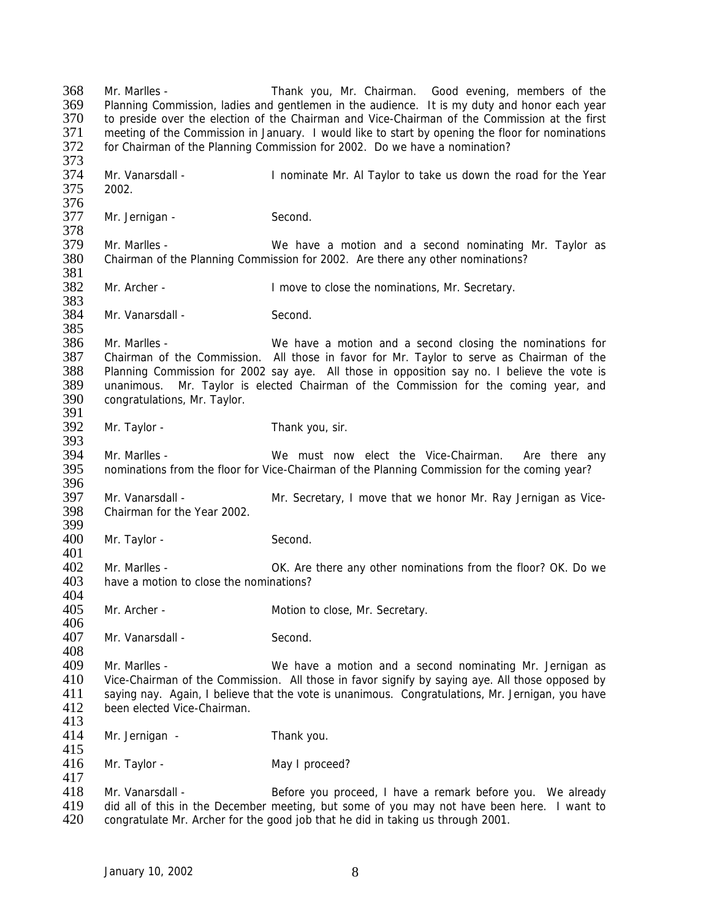368 Mr. Marlles - Thank you, Mr. Chairman. Good evening, members of the 369 Planning Commission, ladies and gentlemen in the audience. It is my duty and honor each year 370 to preside over the election of the Chairman and Vice-Chairman of the Commission at the first 371 meeting of the Commission in January. I would like to start by opening the floor for nominations 372 for Chairman of the Planning Commission for 2002. Do we have a nomination? for Chairman of the Planning Commission for 2002. Do we have a nomination? 373 374 Mr. Vanarsdall - Inominate Mr. Al Taylor to take us down the road for the Year<br>375 2002. 2002. 376<br>377 Mr. Jernigan - Second. 378<br>379 379 Mr. Marlles - We have a motion and a second nominating Mr. Taylor as <br>380 Chairman of the Planning Commission for 2002. Are there any other nominations? Chairman of the Planning Commission for 2002. Are there any other nominations? 381<br>382 382 Mr. Archer - I move to close the nominations, Mr. Secretary. 383 384 Mr. Vanarsdall - Second. 385<br>386 386 Mr. Marlles - We have a motion and a second closing the nominations for 387 Chairman of the Commission. All those in favor for Mr. Taylor to serve as Chairman of the 387 Chairman of the Commission. All those in favor for Mr. Taylor to serve as Chairman of the 388 Planning Commission for 2002 say ave. All those in opposition say no. I believe the vote is 388 Planning Commission for 2002 say aye. All those in opposition say no. I believe the vote is 389 unanimous. Mr. Tavlor is elected Chairman of the Commission for the coming vear, and 389 unanimous. Mr. Taylor is elected Chairman of the Commission for the coming year, and 390 congratulations Mr Taylor congratulations, Mr. Taylor. 391 392 Mr. Taylor - Thank you, sir. 393<br>394 Mr. Marlles - The State of the Vice-Chairman. Are there any 395 nominations from the floor for Vice-Chairman of the Planning Commission for the coming year? 396 397 Mr. Vanarsdall - Mr. Secretary, I move that we honor Mr. Ray Jernigan as Vice-<br>398 Chairman for the Year 2002. Chairman for the Year 2002. 399<br>400 Mr. Taylor - Second. 401<br>402 402 Mr. Marlles - OK. Are there any other nominations from the floor? OK. Do we have a motion to close the nominations? have a motion to close the nominations? 404<br>405 Mr. Archer - Motion to close, Mr. Secretary. 406 407 Mr. Vanarsdall - Second. 408<br>409 409 Mr. Marlles - We have a motion and a second nominating Mr. Jernigan as<br>410 Vice-Chairman of the Commission. All those in favor signify by saving ave. All those opposed by Vice-Chairman of the Commission. All those in favor signify by saying aye. All those opposed by 411 saying nay. Again, I believe that the vote is unanimous. Congratulations, Mr. Jernigan, you have 412 been elected Vice-Chairman. been elected Vice-Chairman. 413<br>414 Mr. Jernigan - Thank you. 415 416 Mr. Taylor - May I proceed?  $\frac{417}{418}$ 418 Mr. Vanarsdall - Before you proceed, I have a remark before you. We already<br>419 did all of this in the December meeting, but some of you may not have been here. I want to 419 did all of this in the December meeting, but some of you may not have been here. I want to 420 congratulate Mr. Archer for the good job that he did in taking us through 2001. 420 congratulate Mr. Archer for the good job that he did in taking us through 2001.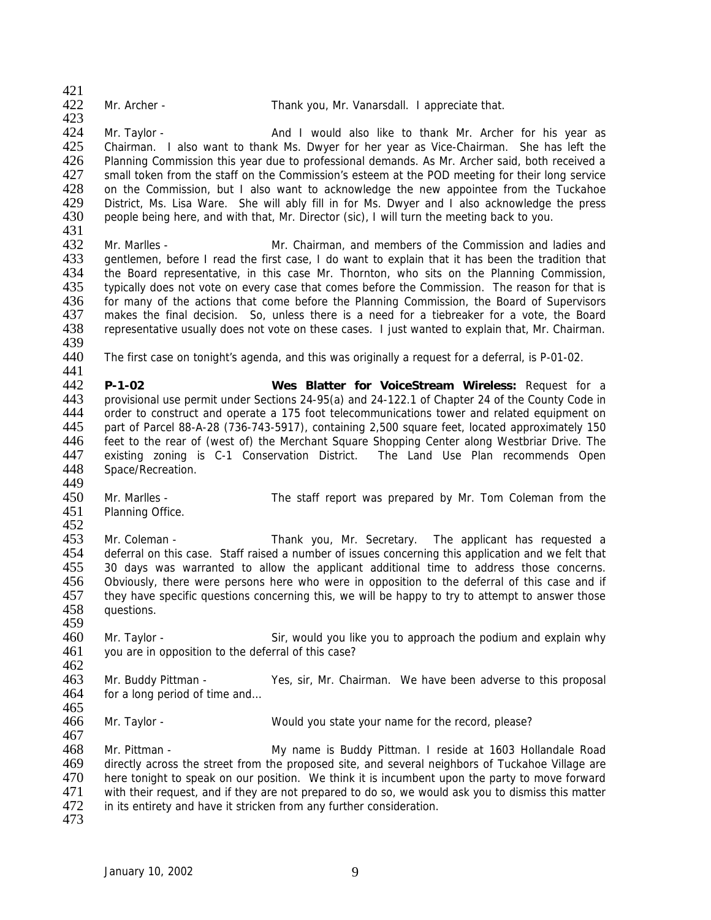$\frac{421}{422}$ 

423

Mr. Archer - Thank you, Mr. Vanarsdall. I appreciate that.

424 Mr. Taylor - **And I would also like to thank Mr. Archer for his year as** 425 Chairman. I also want to thank Ms. Dwyer for her year as Vice-Chairman. She has left the 425 Chairman. I also want to thank Ms. Dwyer for her year as Vice-Chairman. She has left the 426 Planning Commission this year due to professional demands. As Mr. Archer said, both received a 427 small token from the staff on the Commission's esteem at the POD meeting for their long service<br>428 on the Commission, but I also want to acknowledge the new appointee from the Tuckahoe 428 on the Commission, but I also want to acknowledge the new appointee from the Tuckahoe<br>429 District, Ms. Lisa Ware. She will ably fill in for Ms. Dwyer and I also acknowledge the press 429 District, Ms. Lisa Ware. She will ably fill in for Ms. Dwyer and I also acknowledge the press 430 people being here, and with that. Mr. Director (sic). I will turn the meeting back to you. 430 people being here, and with that, Mr. Director (sic), I will turn the meeting back to you.

431<br>432 After Mr. Marlles - The Mr. Chairman, and members of the Commission and ladies and<br>433 The antlemen, before I read the first case. I do want to explain that it has been the tradition that 433 gentlemen, before I read the first case, I do want to explain that it has been the tradition that 434 the Board representative, in this case Mr. Thornton, who sits on the Planning Commission, 435 typically does not vote on every case that comes before the Commission. typically does not vote on every case that comes before the Commission. The reason for that is 436 for many of the actions that come before the Planning Commission, the Board of Supervisors 437 makes the final decision. So, unless there is a need for a tiebreaker for a vote, the Board 438 representative usually does not vote on these cases. I just wanted to explain that, Mr. Chairman.

- 439<br>440 The first case on tonight's agenda, and this was originally a request for a deferral, is P-01-02.
- 441<br>442 442 **P-1-02 Wes Blatter for VoiceStream Wireless:** Request for a 443 provisional use permit under Sections 24-95(a) and 24-122.1 of Chapter 24 of the County Code in order to construct and operate a 175 foot telecommunications tower and related equipment on 445 part of Parcel 88-A-28 (736-743-5917), containing 2,500 square feet, located approximately 150<br>446 feet to the rear of (west of) the Merchant Square Shopping Center along Westbriar Drive. The feet to the rear of (west of) the Merchant Square Shopping Center along Westbriar Drive. The 447 existing zoning is C-1 Conservation District. The Land Use Plan recommends Open 448 Space/Recreation.
- 449

459

- 450 Mr. Marlles The staff report was prepared by Mr. Tom Coleman from the 451 Planning Office. Planning Office.
- 452<br>453 453 Mr. Coleman - Thank you, Mr. Secretary. The applicant has requested a<br>454 deferral on this case. Staff raised a number of issues concerning this application and we felt that 454 deferral on this case. Staff raised a number of issues concerning this application and we felt that 455 30 days was warranted to allow the applicant additional time to address those concerns. 455 30 days was warranted to allow the applicant additional time to address those concerns.<br>456 Obviously, there were persons here who were in opposition to the deferral of this case and if Obviously, there were persons here who were in opposition to the deferral of this case and if 457 they have specific questions concerning this, we will be happy to try to attempt to answer those 458 questions.
- 460 Mr. Taylor Sir, would you like you to approach the podium and explain why<br>461 you are in opposition to the deferral of this case? you are in opposition to the deferral of this case?
- 462<br>463 Mr. Buddy Pittman - Yes, sir, Mr. Chairman. We have been adverse to this proposal 464 for a long period of time and…
- 465<br>466 Mr. Taylor - Would you state your name for the record, please?

468 Mr. Pittman - My name is Buddy Pittman. I reside at 1603 Hollandale Road 469 directly across the street from the proposed site, and several neighbors of Tuckahoe Village are 470 here tonight to speak on our position. We think it is incumbent upon the party to move forward<br>471 with their request, and if they are not prepared to do so, we would ask you to dismiss this matter 471 with their request, and if they are not prepared to do so, we would ask you to dismiss this matter 472 in its entirety and have it stricken from any further consideration. in its entirety and have it stricken from any further consideration.

473

467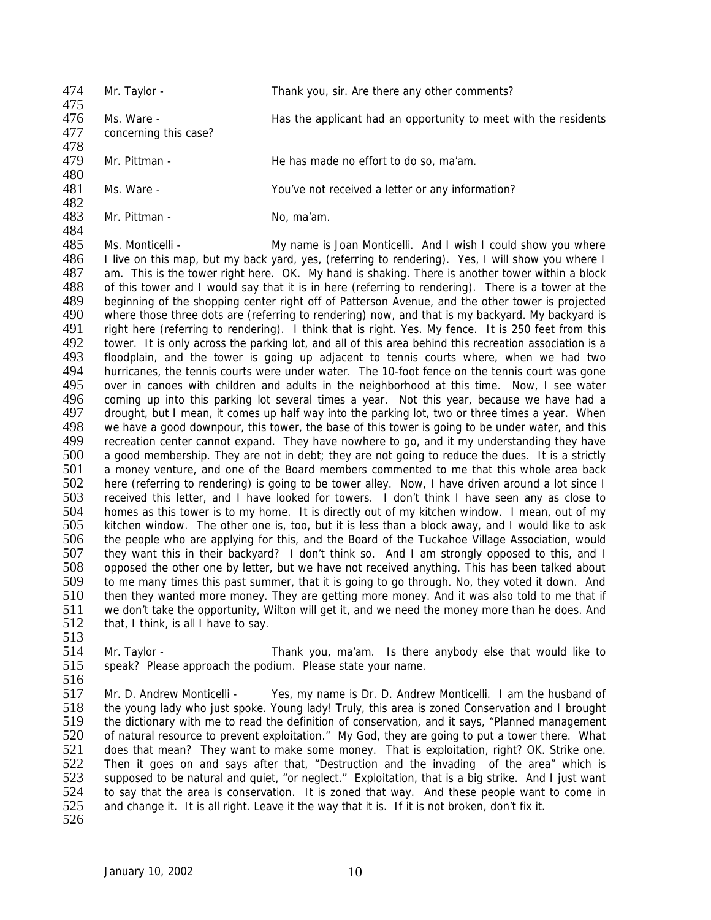| 474<br>475        | Mr. Taylor -                        | Thank you, sir. Are there any other comments?                                                                                                                                                        |
|-------------------|-------------------------------------|------------------------------------------------------------------------------------------------------------------------------------------------------------------------------------------------------|
| 476<br>477<br>478 | Ms. Ware -<br>concerning this case? | Has the applicant had an opportunity to meet with the residents                                                                                                                                      |
| 479               | Mr. Pittman -                       | He has made no effort to do so, ma'am.                                                                                                                                                               |
| 480<br>481<br>482 | Ms. Ware -                          | You've not received a letter or any information?                                                                                                                                                     |
| 483<br>484        | Mr. Pittman -                       | No, ma'am.                                                                                                                                                                                           |
| 485               | Ms. Monticelli -                    | My name is Joan Monticelli. And I wish I could show you where                                                                                                                                        |
| 486<br>487        |                                     | I live on this map, but my back yard, yes, (referring to rendering). Yes, I will show you where I<br>am. This is the tower right here. OK. My hand is shaking. There is another tower within a block |
| 100.              |                                     |                                                                                                                                                                                                      |

488 of this tower and I would say that it is in here (referring to rendering). There is a tower at the 489 beginning of the shopping center right off of Patterson Avenue, and the other tower is projected 490 where those three dots are (referring to rendering) now, and that is my backyard. My backyard is where those three dots are (referring to rendering) now, and that is my backyard. My backyard is 491 right here (referring to rendering). I think that is right. Yes. My fence. It is 250 feet from this 492 tower. It is only across the parking lot, and all of this area behind this recreation association is a 492 tower. It is only across the parking lot, and all of this area behind this recreation association is a<br>493 floodplain, and the tower is going up adjacent to tennis courts where, when we had two 493 floodplain, and the tower is going up adjacent to tennis courts where, when we had two<br>494 hurricanes, the tennis courts were under water. The 10-foot fence on the tennis court was gone 494 hurricanes, the tennis courts were under water. The 10-foot fence on the tennis court was gone<br>495 over in canoes with children and adults in the neighborhood at this time. Now. I see water 195 over in canoes with children and adults in the neighborhood at this time. Now, I see water<br>196 coming up into this parking lot several times a year. Not this year, because we have had a 496 coming up into this parking lot several times a year. Not this year, because we have had a<br>497 drought, but I mean, it comes up half way into the parking lot, two or three times a year. When drought, but I mean, it comes up half way into the parking lot, two or three times a year. When 498 we have a good downpour, this tower, the base of this tower is going to be under water, and this 499 recreation center cannot expand. They have nowhere to go, and it my understanding they have recreation center cannot expand. They have nowhere to go, and it my understanding they have 500 a good membership. They are not in debt; they are not going to reduce the dues. It is a strictly 501 a money venture, and one of the Board members commented to me that this whole area back 502 here (referring to rendering) is going to be tower alley. Now, I have driven around a lot since I<br>503 received this letter, and I have looked for towers. I don't think I have seen any as close to 503 received this letter, and I have looked for towers. I don't think I have seen any as close to 504 homes as this tower is to my home. It is directly out of my kitchen window. I mean, out of my 504 homes as this tower is to my home. It is directly out of my kitchen window. I mean, out of my<br>505 kitchen window. The other one is, too, but it is less than a block away, and I would like to ask 505 kitchen window. The other one is, too, but it is less than a block away, and I would like to ask<br>506 the people who are applying for this, and the Board of the Tuckahoe Village Association, would 506 the people who are applying for this, and the Board of the Tuckahoe Village Association, would 507 they want this in their backvard? I don't think so. And I am strongly opposed to this, and I 507 they want this in their backyard? I don't think so. And I am strongly opposed to this, and I<br>508 opposed the other one by letter, but we have not received anything. This has been talked about 508 opposed the other one by letter, but we have not received anything. This has been talked about 509 to me many times this past summer, that it is going to go through. No, they voted it down. And to me many times this past summer, that it is going to go through. No, they voted it down. And 510 then they wanted more money. They are getting more money. And it was also told to me that if 511 we don't take the opportunity, Wilton will get it, and we need the money more than he does. And 512 that, I think, is all I have to say.

- 
- 513<br>514

514 Mr. Taylor - Thank you, ma'am. Is there anybody else that would like to<br>515 speak? Please approach the podium. Please state your name. speak? Please approach the podium. Please state your name.

 $\frac{516}{517}$ 517 Mr. D. Andrew Monticelli - Yes, my name is Dr. D. Andrew Monticelli. I am the husband of 518 the young lady who just spoke. Young lady! Truly, this area is zoned Conservation and I brought 518 the young lady who just spoke. Young lady! Truly, this area is zoned Conservation and I brought 519 the dictionary with me to read the definition of conservation, and it says. "Planned management 519 the dictionary with me to read the definition of conservation, and it says, "Planned management<br>520 of natural resource to prevent exploitation." My God, they are going to put a tower there. What of natural resource to prevent exploitation." My God, they are going to put a tower there. What 521 does that mean? They want to make some money. That is exploitation, right? OK. Strike one. 522 Then it goes on and says after that, "Destruction and the invading of the area" which is<br>523 supposed to be natural and quiet, "or neglect," Exploitation, that is a big strike. And I just want 523 supposed to be natural and quiet, "or neglect." Exploitation, that is a big strike. And I just want 524 to say that the area is conservation. It is zoned that way. And these people want to come in 524 to say that the area is conservation. It is zoned that way. And these people want to come in 525 and change it. It is all right. Leave it the way that it is. If it is not broken, don't fix it. and change it. It is all right. Leave it the way that it is. If it is not broken, don't fix it. 526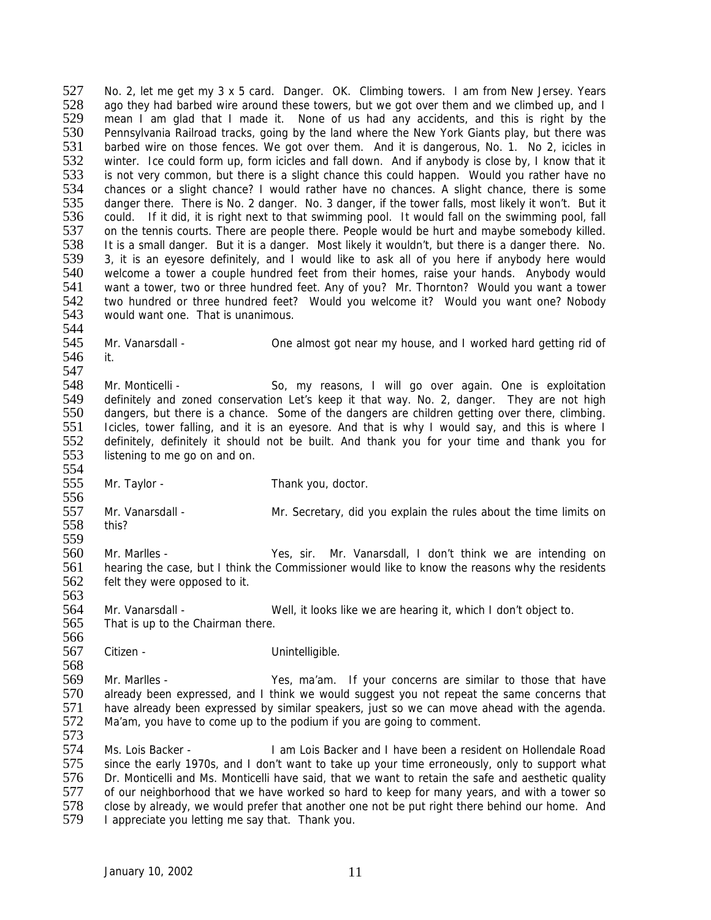527 No. 2, let me get my 3 x 5 card. Danger. OK. Climbing towers. I am from New Jersey. Years<br>528 ago they had barbed wire around these towers but we got over them and we climbed up and I 528 ago they had barbed wire around these towers, but we got over them and we climbed up, and I<br>529 mean I am glad that I made it. None of us had any accidents, and this is right by the 529 mean I am glad that I made it. None of us had any accidents, and this is right by the 530 Pennsylvania Railroad tracks, going by the land where the New York Giants play, but there was<br>531 barbed wire on those fences. We got over them. And it is dangerous, No. 1. No 2, icicles in 531 barbed wire on those fences. We got over them. And it is dangerous, No. 1. No 2, icicles in<br>532 winter. Ice could form up, form icicles and fall down. And if anybody is close by. I know that it 532 winter. Ice could form up, form icicles and fall down. And if anybody is close by, I know that it 533 is not very common, but there is a slight chance this could happen. Would you rather have no 533 is not very common, but there is a slight chance this could happen. Would you rather have no<br>534 chances or a slight chance? I would rather have no chances. A slight chance, there is some 534 chances or a slight chance? I would rather have no chances. A slight chance, there is some 535 dancer there. There is No. 2 dancer. No. 3 dancer, if the tower falls, most likely it won't. But it 535 danger there. There is No. 2 danger. No. 3 danger, if the tower falls, most likely it won't. But it 536 could. If it did, it is right next to that swimming pool. It would fall on the swimming pool, fall 536 could. If it did, it is right next to that swimming pool. It would fall on the swimming pool, fall 537 on the tennis courts. There are people there. People would be hurt and maybe somebody killed. 537 on the tennis courts. There are people there. People would be hurt and maybe somebody killed.<br>538 It is a small danger. But it is a danger. Most likely it wouldn't, but there is a danger there. No. 538 It is a small danger. But it is a danger. Most likely it wouldn't, but there is a danger there. No.<br>539 3, it is an eyesore definitely, and I would like to ask all of you here if anybody here would 3, it is an eyesore definitely, and I would like to ask all of you here if anybody here would 540 welcome a tower a couple hundred feet from their homes, raise your hands. Anybody would<br>541 want a tower, two or three hundred feet. Any of you? Mr. Thornton? Would you want a tower 541 want a tower, two or three hundred feet. Any of you? Mr. Thornton? Would you want a tower<br>542 two hundred or three hundred feet? Would you welcome it? Would you want one? Nobody 542 two hundred or three hundred feet? Would you welcome it? Would you want one? Nobody 543 would want one. That is unanimous. would want one. That is unanimous.

544<br>545 Mr. Vanarsdall - **One almost got near my house, and I worked hard getting rid of** 546 it.

547<br>548 548 Mr. Monticelli - So, my reasons, I will go over again. One is exploitation<br>549 definitely and zoned conservation Let's keep it that way No. 2 danger. They are not high 549 definitely and zoned conservation Let's keep it that way. No. 2, danger. They are not high<br>550 dangers, but there is a chance. Some of the dangers are children getting over there, climbing. dangers, but there is a chance. Some of the dangers are children getting over there, climbing. 551 Icicles, tower falling, and it is an eyesore. And that is why I would say, and this is where I<br>552 definitely, definitely it should not be built. And thank you for your time and thank you for 552 definitely, definitely it should not be built. And thank you for your time and thank you for 553 listening to me go on and on. listening to me go on and on.

554<br>555

Mr. Taylor - Thank you, doctor.

556<br>557 Mr. Vanarsdall - Mr. Secretary, did you explain the rules about the time limits on this? 558

559<br>560 560 Mr. Marlles - Yes, sir. Mr. Vanarsdall, I don't think we are intending on 561 hearing the case, but I think the Commissioner would like to know the reasons why the residents 561 hearing the case, but I think the Commissioner would like to know the reasons why the residents 562 felt they were opposed to it. felt they were opposed to it.

564 Mr. Vanarsdall - Well, it looks like we are hearing it, which I don't object to. 565 That is up to the Chairman there.

566<br>567

563

Citizen - Citizen - Unintelligible.

568<br>569 569 Mr. Marlles - Yes, ma'am. If your concerns are similar to those that have<br>570 already been expressed, and I think we would suggest you not repeat the same concerns that 570 already been expressed, and I think we would suggest you not repeat the same concerns that 571 have already been expressed by similar speakers, just so we can move ahead with the agenda. 571 have already been expressed by similar speakers, just so we can move ahead with the agenda.<br>572 Ma'am, you have to come up to the podium if you are going to comment. Ma'am, you have to come up to the podium if you are going to comment.

573

574 Ms. Lois Backer - I am Lois Backer and I have been a resident on Hollendale Road 575 since the early 1970s, and I don't want to take up your time erroneously, only to support what 576 Dr. Monticelli and Ms. Monticelli have said, that we want to retain the safe and aesthetic quality<br>577 of our neighborhood that we have worked so hard to keep for many vears, and with a tower so 577 of our neighborhood that we have worked so hard to keep for many years, and with a tower so<br>578 close by already, we would prefer that another one not be put right there behind our home. And 578 close by already, we would prefer that another one not be put right there behind our home. And 579 I appreciate vou letting me say that. Thank you. I appreciate you letting me say that. Thank you.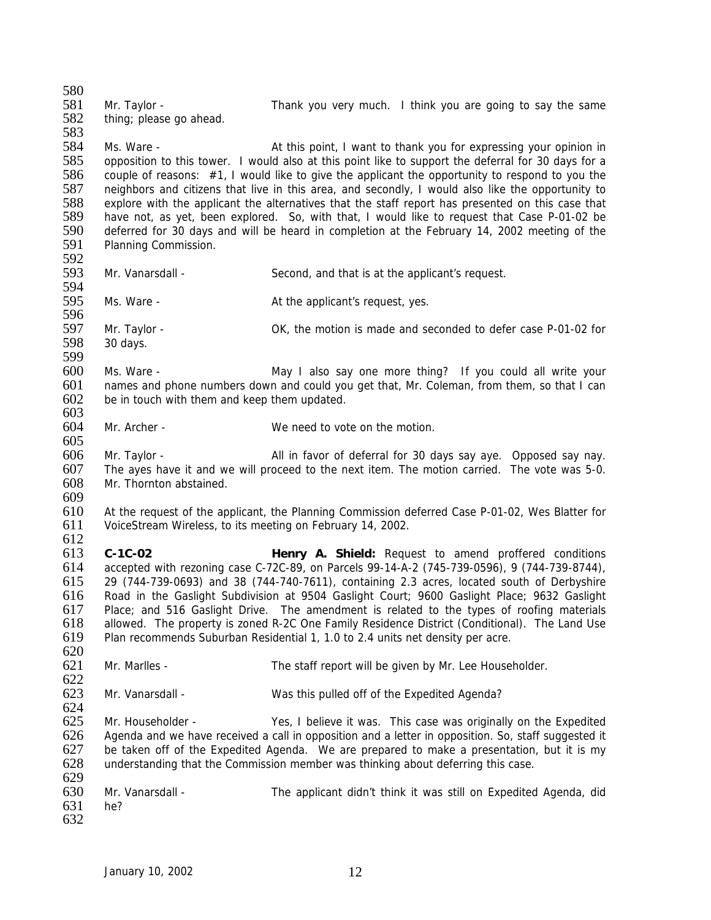580<br>581 581 Mr. Taylor - Thank you very much. I think you are going to say the same 582 thing: please go ahead. thing; please go ahead. 583<br>584 Ms. Ware - This point, I want to thank you for expressing your opinion in 585 opposition to this tower. I would also at this point like to support the deferral for 30 days for a 586 couple of reasons: #1, I would like to give the applicant the opportunity to respond to you the 587 neighbors and citizens that live in this area, and secondly. I would also like the opportunity to 587 neighbors and citizens that live in this area, and secondly, I would also like the opportunity to 588 explore with the applicant the alternatives that the staff report has presented on this case that 588 explore with the applicant the alternatives that the staff report has presented on this case that 589 have not, as vet, been explored. So, with that, I would like to request that Case P-01-02 be 589 have not, as yet, been explored. So, with that, I would like to request that Case P-01-02 be 590 deferred for 30 days and will be heard in completion at the February 14, 2002 meeting of the 590 deferred for 30 days and will be heard in completion at the February 14, 2002 meeting of the 591 Planning Commission. Planning Commission. 592 593 Mr. Vanarsdall - Second, and that is at the applicant's request. 594<br>595 Ms. Ware -  $\qquad \qquad$  At the applicant's request, yes. 596 597 Mr. Taylor - OK, the motion is made and seconded to defer case P-01-02 for 598 30 days. 30 days. 599 600 Ms. Ware - May I also say one more thing? If you could all write your<br>601 mames and phone numbers down and could you get that. Mr. Coleman, from them, so that I can 601 names and phone numbers down and could you get that, Mr. Coleman, from them, so that I can  $602$  be in touch with them and keep them undated be in touch with them and keep them updated. 603 604 Mr. Archer - We need to vote on the motion. 605 606 Mr. Taylor - All in favor of deferral for 30 days say aye. Opposed say nay. 607 The ayes have it and we will proceed to the next item. The motion carried. The vote was 5-0. 608 Mr. Thornton abstained. 609<br>610 610 At the request of the applicant, the Planning Commission deferred Case P-01-02, Wes Blatter for 611 VoiceStream Wireless, to its meeting on February 14, 2002. VoiceStream Wireless, to its meeting on February 14, 2002. 612 613 **C-1C-02 Henry A. Shield:** Request to amend proffered conditions 614 accepted with rezoning case C-72C-89, on Parcels 99-14-A-2 (745-739-0596), 9 (744-739-8744), 615 29 (744-739-0693) and 38 (744-740-7611), containing 2.3 acres, located south of Derbyshire 616 Road in the Gaslight Subdivision at 9504 Gaslight Court; 9600 Gaslight Place; 9632 Gaslight 617 Place; and 516 Gaslight Drive. The amendment is related to the types of roofing materials 618 allowed. The property is zoned R-2C One Family Residence District (Conditional). The Land Use 619 Plan recommends Suburban Residential 1, 1.0 to 2.4 units net density per acre.  $620$ <br> $621$ Mr. Marlles - The staff report will be given by Mr. Lee Householder.  $622$ <br> $623$ Mr. Vanarsdall - Was this pulled off of the Expedited Agenda? 624<br>625 Mr. Householder - Yes, I believe it was. This case was originally on the Expedited 626 Agenda and we have received a call in opposition and a letter in opposition. So, staff suggested it 627 be taken off of the Expedited Agenda. We are prepared to make a presentation, but it is my 628 understanding that the Commission member was thinking about deferring this case. 629<br>630 Mr. Vanarsdall - The applicant didn't think it was still on Expedited Agenda, did 631 he?

632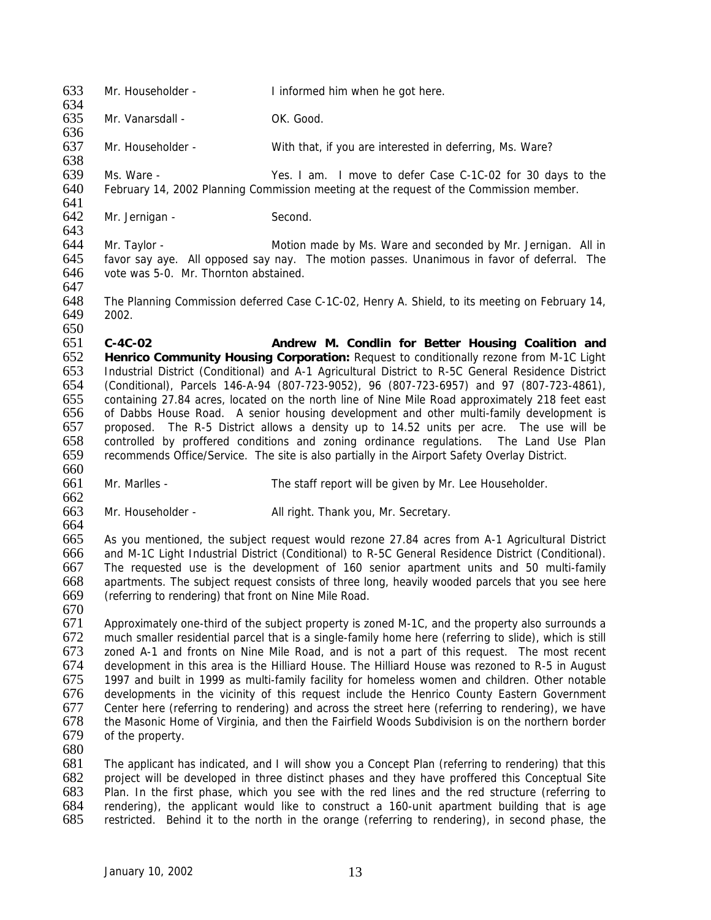633 Mr. Householder - I informed him when he got here.

634<br>635 Mr. Vanarsdall - OK. Good.

636<br>637 Mr. Householder - With that, if you are interested in deferring, Ms. Ware? 638

639 Ms. Ware - Yes. I am. I move to defer Case C-1C-02 for 30 days to the 640 February 14, 2002 Planning Commission meeting at the request of the Commission member. February 14, 2002 Planning Commission meeting at the request of the Commission member.

641<br>642 Mr. Jernigan - Second.

643<br>644

644 Mr. Taylor - **Motion made by Ms. Ware and seconded by Mr. Jernigan.** All in 645 favor say ave. All opposed say nay. The motion passes. Unanimous in favor of deferral. The favor say aye. All opposed say nay. The motion passes. Unanimous in favor of deferral. The 646 vote was 5-0. Mr. Thornton abstained. 647

648 The Planning Commission deferred Case C-1C-02, Henry A. Shield, to its meeting on February 14, 649 2002.

650<br>651 **C-4C-02 Andrew M. Condlin for Better Housing Coalition and Henrico Community Housing Corporation:** Request to conditionally rezone from M-1C Light Industrial District (Conditional) and A-1 Agricultural District to R-5C General Residence District (Conditional), Parcels 146-A-94 (807-723-9052), 96 (807-723-6957) and 97 (807-723-4861), containing 27.84 acres, located on the north line of Nine Mile Road approximately 218 feet east of Dabbs House Road. A senior housing development and other multi-family development is proposed. The R-5 District allows a density up to 14.52 units per acre. The use will be controlled by proffered conditions and zoning ordinance regulations. The Land Use Plan recommends Office/Service. The site is also partially in the Airport Safety Overlay District. 660

- 661 Mr. Marlles The staff report will be given by Mr. Lee Householder.
- 662<br>663 Mr. Householder - All right. Thank you, Mr. Secretary.

664<br>665

 As you mentioned, the subject request would rezone 27.84 acres from A-1 Agricultural District and M-1C Light Industrial District (Conditional) to R-5C General Residence District (Conditional). The requested use is the development of 160 senior apartment units and 50 multi-family apartments. The subject request consists of three long, heavily wooded parcels that you see here (referring to rendering) that front on Nine Mile Road.

670

671 Approximately one-third of the subject property is zoned M-1C, and the property also surrounds a 672 much smaller residential parcel that is a single-family home here (referring to slide), which is still 673 zoned A-1 and fronts on Nine Mile Road, and is not a part of this request. The most recent 673 zoned A-1 and fronts on Nine Mile Road, and is not a part of this request. The most recent 674 development in this area is the Hilliard House. The Hilliard House was rezoned to R-5 in August 674 development in this area is the Hilliard House. The Hilliard House was rezoned to R-5 in August 675 (675) 675 1997 and built in 1999 as multi-family facility for homeless women and children. Other notable 676 developments in the vicinity of this request include the Henrico County Eastern Government 677 Center here (referring to rendering) and across the street here (referring to rendering), we have 678 the Masonic Home of Virginia, and then the Fairfield Woods Subdivision is on the northern border 678 the Masonic Home of Virginia, and then the Fairfield Woods Subdivision is on the northern border of the property.

680

681 The applicant has indicated, and I will show you a Concept Plan (referring to rendering) that this 682 project will be developed in three distinct phases and they have proffered this Conceptual Site<br>683 Plan. In the first phase, which you see with the red lines and the red structure (referring to 683 Plan. In the first phase, which you see with the red lines and the red structure (referring to 684 rendering), the applicant would like to construct a 160-unit apartment building that is age 684 rendering), the applicant would like to construct a 160-unit apartment building that is age 685 restricted. Behind it to the north in the orange (referring to rendering), in second phase, the restricted. Behind it to the north in the orange (referring to rendering), in second phase, the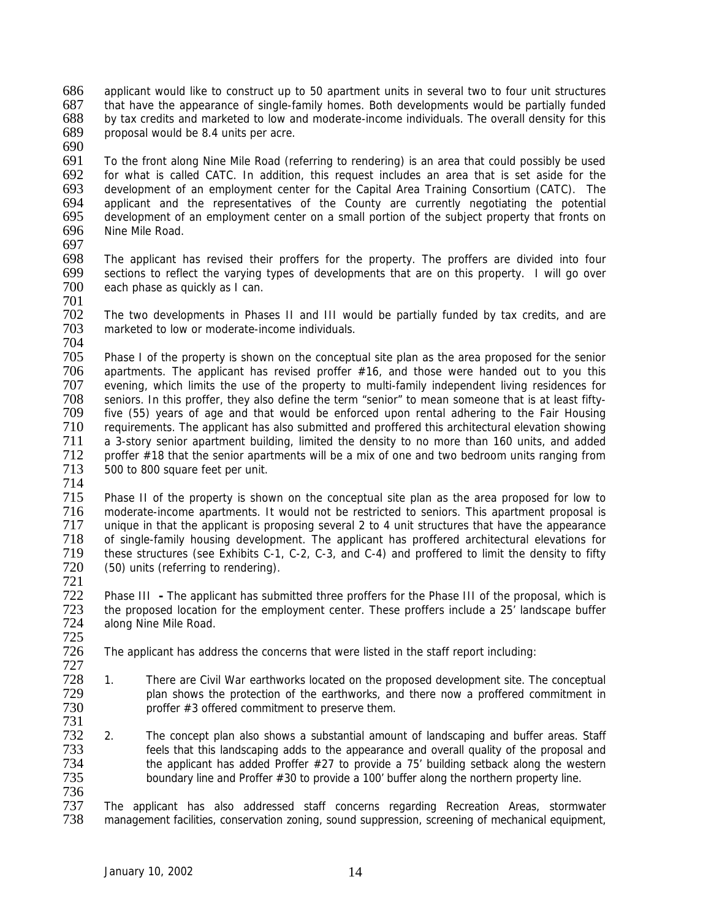686 applicant would like to construct up to 50 apartment units in several two to four unit structures<br>687 that have the appearance of single-family homes. Both developments would be partially funded 687 that have the appearance of single-family homes. Both developments would be partially funded 688 by tax credits and marketed to low and moderate-income individuals. The overall density for this by tax credits and marketed to low and moderate-income individuals. The overall density for this 689 proposal would be 8.4 units per acre.

690

691 To the front along Nine Mile Road (referring to rendering) is an area that could possibly be used 692 for what is called CATC. In addition, this request includes an area that is set aside for the 693 development of an employment center for the Capital Area Training Consortium (CATC). The 693 development of an employment center for the Capital Area Training Consortium (CATC). The 694 applicant and the representatives of the County are currently negotiating the potential 694 applicant and the representatives of the County are currently negotiating the potential 695 development of an employment center on a small portion of the subject property that fronts on 695 development of an employment center on a small portion of the subject property that fronts on<br>696 Nine Mile Road. Nine Mile Road.

697<br>698

The applicant has revised their proffers for the property. The proffers are divided into four 699 sections to reflect the varying types of developments that are on this property. I will go over<br>700 each phase as quickly as I can. each phase as quickly as I can.

701 The two developments in Phases II and III would be partially funded by tax credits, and are 703 marketed to low or moderate-income individuals.

704<br>705

705 Phase I of the property is shown on the conceptual site plan as the area proposed for the senior<br>706 apartments. The applicant has revised proffer #16, and those were handed out to you this 706 apartments. The applicant has revised proffer #16, and those were handed out to you this 707 evening, which limits the use of the property to multi-family independent living residences for 707 evening, which limits the use of the property to multi-family independent living residences for<br>708 seniors. In this proffer, they also define the term "senior" to mean someone that is at least fifty-708 seniors. In this proffer, they also define the term "senior" to mean someone that is at least fifty-<br>709 five (55) years of age and that would be enforced upon rental adhering to the Fair Housing five (55) years of age and that would be enforced upon rental adhering to the Fair Housing 710 requirements. The applicant has also submitted and proffered this architectural elevation showing<br>711 a 3-story senior apartment building, limited the density to no more than 160 units, and added 711 a 3-story senior apartment building, limited the density to no more than 160 units, and added<br>712 proffer #18 that the senior apartments will be a mix of one and two bedroom units ranaina from 712 proffer #18 that the senior apartments will be a mix of one and two bedroom units ranging from<br>713 500 to 800 square feet per unit. 500 to 800 square feet per unit.

714

715 Phase II of the property is shown on the conceptual site plan as the area proposed for low to<br>716 moderate-income apartments. It would not be restricted to seniors. This apartment proposal is 716 moderate-income apartments. It would not be restricted to seniors. This apartment proposal is<br>717 unique in that the applicant is proposing several 2 to 4 unit structures that have the appearance 717 unique in that the applicant is proposing several 2 to 4 unit structures that have the appearance<br>718 of single-family housing development. The applicant has proffered architectural elevations for 718 of single-family housing development. The applicant has proffered architectural elevations for<br>719 these structures (see Exhibits C-1, C-2, C-3, and C-4) and proffered to limit the density to fifty 719 these structures (see Exhibits C-1, C-2, C-3, and C-4) and proffered to limit the density to fifty<br>720 (50) units (referring to rendering). (50) units (referring to rendering).

721

722 Phase III **-** The applicant has submitted three proffers for the Phase III of the proposal, which is the proposed location for the employment center. These proffers include a 25' landscape buffer 724 along Nine Mile Road.

725 The applicant has address the concerns that were listed in the staff report including:

- 727 728 1. There are Civil War earthworks located on the proposed development site. The conceptual 729 blan shows the protection of the earthworks, and there now a proffered commitment in 729 plan shows the protection of the earthworks, and there now a proffered commitment in  $730$  proffer  $\#3$  offered commitment to preserve them. proffer  $#3$  offered commitment to preserve them.
- 731 2. The concept plan also shows a substantial amount of landscaping and buffer areas. Staff 733 feels that this landscaping adds to the appearance and overall quality of the proposal and 734 the applicant has added Proffer #27 to provide a 75' building setback along the western 735 boundary line and Proffer #30 to provide a 100' buffer along the northern property line.
- 

736 737 The applicant has also addressed staff concerns regarding Recreation Areas, stormwater management facilities, conservation zoning, sound suppression, screening of mechanical equipment,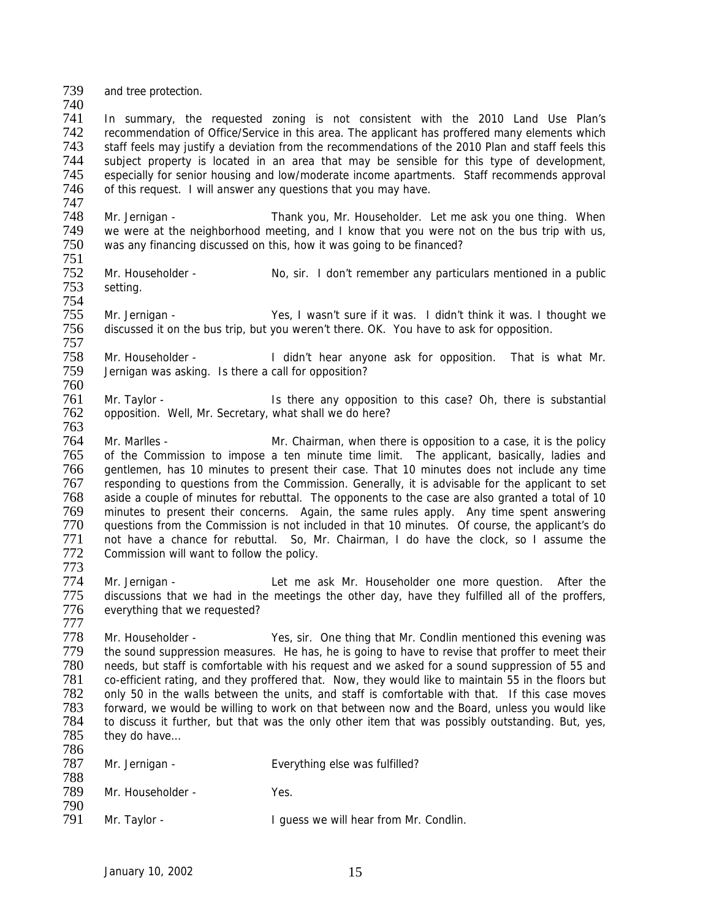739 and tree protection.

740<br>741

In summary, the requested zoning is not consistent with the 2010 Land Use Plan's 742 recommendation of Office/Service in this area. The applicant has proffered many elements which<br>743 staff feels may justify a deviation from the recommendations of the 2010 Plan and staff feels this 743 staff feels may justify a deviation from the recommendations of the 2010 Plan and staff feels this 744 subject property is located in an area that may be sensible for this type of development,<br>745 especially for senior housing and low/moderate income apartments. Staff recommends approval 745 especially for senior housing and low/moderate income apartments. Staff recommends approval 746 of this request. I will answer any questions that you may have. of this request. I will answer any questions that you may have.

747<br>748 748 Mr. Jernigan - Thank you, Mr. Householder. Let me ask you one thing. When<br>749 we were at the neighborhood meeting, and I know that you were not on the bus trip with us. 749 we were at the neighborhood meeting, and I know that you were not on the bus trip with us,<br>750 was any financing discussed on this, how it was going to be financed? was any financing discussed on this, how it was going to be financed?

751

777

752 Mr. Householder - No, sir. I don't remember any particulars mentioned in a public setting. setting. 754

755 Mr. Jernigan - Yes, I wasn't sure if it was. I didn't think it was. I thought we 756 discussed it on the bus trip, but you weren't there. OK. You have to ask for opposition.

757 758 Mr. Householder - I didn't hear anyone ask for opposition. That is what Mr.<br>759 Jernigan was asking. Is there a call for opposition? Jernigan was asking. Is there a call for opposition?

760<br>761 761 Mr. Taylor - Is there any opposition to this case? Oh, there is substantial 762 opposition. Well, Mr. Secretary, what shall we do here? opposition. Well, Mr. Secretary, what shall we do here?

763<br>764 Mr. Marlles - Mr. Chairman, when there is opposition to a case, it is the policy 765 of the Commission to impose a ten minute time limit. The applicant, basically, ladies and 766 gentlemen, has 10 minutes to present their case. That 10 minutes does not include any time 767 responding to questions from the Commission. Generally, it is advisable for the applicant to set 768 aside a couple of minutes for rebuttal. The opponents to the case are also granted a total of 10<br>769 minutes to present their concerns. Again, the same rules apply. Any time spent answering 769 minutes to present their concerns. Again, the same rules apply. Any time spent answering 770 questions from the Commission is not included in that 10 minutes. Of course, the applicant's do<br>771 not have a chance for rebuttal. So. Mr. Chairman. I do have the clock, so I assume the 771 not have a chance for rebuttal. So, Mr. Chairman, I do have the clock, so I assume the 772 Commission will want to follow the policy. Commission will want to follow the policy.

773 The Mr. Jernigan - The Let me ask Mr. Householder one more question. After the 1775 discussions that we had in the meetings the other day, have they fulfilled all of the proffers, discussions that we had in the meetings the other day, have they fulfilled all of the proffers, 776 everything that we requested?

The Mr. Householder - Yes, sir. One thing that Mr. Condlin mentioned this evening was<br>
The sound suppression measures. He has, he is going to have to revise that proffer to meet their 779 the sound suppression measures. He has, he is going to have to revise that proffer to meet their<br>780 needs, but staff is comfortable with his request and we asked for a sound suppression of 55 and 780 needs, but staff is comfortable with his request and we asked for a sound suppression of 55 and 781 co-efficient rating, and they proffered that. Now, they would like to maintain 55 in the floors but 782 only 50 in the walls between the units, and staff is comfortable with that. If this case moves 782 only 50 in the walls between the units, and staff is comfortable with that. If this case moves<br>783 forward, we would be willing to work on that between now and the Board, unless you would like 783 forward, we would be willing to work on that between now and the Board, unless you would like 784 to discuss it further, but that was the only other item that was possibly outstanding. But, yes, 785 they do have... they do have... 786

787 Mr. Jernigan - Everything else was fulfilled? 788 Mr. Householder - Yes. 790<br>791 Mr. Taylor - The Music Condine I guess we will hear from Mr. Condlin.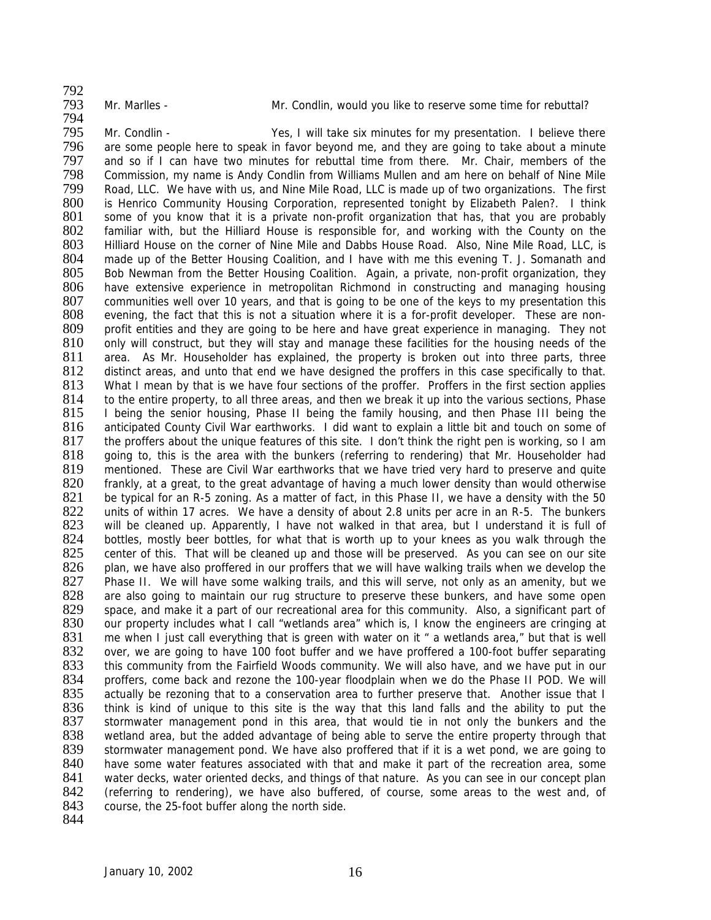794

792<br>793

Mr. Marlles - The Mr. Condlin, would you like to reserve some time for rebuttal?

795 Mr. Condlin - Yes, I will take six minutes for my presentation. I believe there<br>796 are some people here to speak in favor beyond me, and they are going to take about a minute 796 are some people here to speak in favor beyond me, and they are going to take about a minute<br>797 and so if I can have two minutes for rebuttal time from there. Mr. Chair, members of the and so if I can have two minutes for rebuttal time from there. Mr. Chair, members of the 798 Commission, my name is Andy Condlin from Williams Mullen and am here on behalf of Nine Mile<br>799 Road, LLC. We have with us, and Nine Mile Road, LLC is made up of two organizations. The first 799 Road, LLC. We have with us, and Nine Mile Road, LLC is made up of two organizations. The first 700 SO is Henrico Community Housing Corporation. represented tonight by Elizabeth Palen?. I think 800 is Henrico Community Housing Corporation, represented tonight by Elizabeth Palen?. I think<br>801 some of you know that it is a private non-profit organization that has, that you are probably 801 some of you know that it is a private non-profit organization that has, that you are probably 802 familiar with, but the Hilliard House is responsible for, and working with the County on the 802 familiar with, but the Hilliard House is responsible for, and working with the County on the 803 Hilliard House on the corner of Nine Mile and Dabbs House Road. Also, Nine Mile Road, LLC, is 803 Hilliard House on the corner of Nine Mile and Dabbs House Road. Also, Nine Mile Road, LLC, is 804 made up of the Better Housing Coalition, and I have with me this evening T. J. Somanath and made up of the Better Housing Coalition, and I have with me this evening T. J. Somanath and 805 Bob Newman from the Better Housing Coalition. Again, a private, non-profit organization, they<br>806 have extensive experience in metropolitan Richmond in constructing and managing housing have extensive experience in metropolitan Richmond in constructing and managing housing 807 communities well over 10 years, and that is going to be one of the keys to my presentation this 808 evening, the fact that this is not a situation where it is a for-profit developer. These are non-809 profit entities and they are going to be here and have great experience in managing. They not 810 only will construct, but they will stay and manage these facilities for the housing needs of the 810 only will construct, but they will stay and manage these facilities for the housing needs of the 811 area. As Mr. Householder has explained, the property is broken out into three parts, three 811 area. As Mr. Householder has explained, the property is broken out into three parts, three 812 distinct areas, and unto that end we have designed the proffers in this case specifically to that. 812 distinct areas, and unto that end we have designed the proffers in this case specifically to that.<br>813 What I mean by that is we have four sections of the proffer. Proffers in the first section applies 813 What I mean by that is we have four sections of the proffer. Proffers in the first section applies 814 to the entire property, to all three areas, and then we break it up into the various sections. Phase 814 to the entire property, to all three areas, and then we break it up into the various sections, Phase 815 I being the senior housing, Phase II being the I being the senior housing, Phase II being the family housing, and then Phase III being the 816 anticipated County Civil War earthworks. I did want to explain a little bit and touch on some of 817 the proffers about the unique features of this site. I don't think the right pen is working, so I am the proffers about the unique features of this site. I don't think the right pen is working, so I am 818 going to, this is the area with the bunkers (referring to rendering) that Mr. Householder had 819 mentioned. These are Civil War earthworks that we have tried very hard to preserve and quite 820 frankly, at a great, to the great advantage of having a much lower density than would otherwise 821 be typical for an R-5 zoning. As a matter of fact, in this Phase II, we have a density with the 50<br>822 units of within 17 acres. We have a density of about 2.8 units per acre in an R-5. The bunkers 822 units of within 17 acres. We have a density of about 2.8 units per acre in an R-5. The bunkers<br>823 vill be cleaned up. Apparently. I have not walked in that area, but I understand it is full of 823 will be cleaned up. Apparently, I have not walked in that area, but I understand it is full of 824 bottles, mostly beer bottles, for what that is worth up to your knees as you walk through the 824 bottles, mostly beer bottles, for what that is worth up to your knees as you walk through the 825 center of this. That will be cleaned up and those will be preserved. As you can see on our site center of this. That will be cleaned up and those will be preserved. As you can see on our site 826 plan, we have also proffered in our proffers that we will have walking trails when we develop the 827 Phase II. We will have some walking trails, and this will serve, not only as an amenity, but we Phase II. We will have some walking trails, and this will serve, not only as an amenity, but we 828 are also going to maintain our rug structure to preserve these bunkers, and have some open 829 space, and make it a part of our recreational area for this community. Also, a significant part of space, and make it a part of our recreational area for this community. Also, a significant part of 830 our property includes what I call "wetlands area" which is, I know the engineers are cringing at 831 me when I just call everything that is green with water on it " a wetlands area," but that is well<br>832 over, we are going to have 100 foot buffer and we have proffered a 100-foot buffer separating 832 over, we are going to have 100 foot buffer and we have proffered a 100-foot buffer separating 833 this community from the Fairfield Woods community. We will also have, and we have put in our 833 this community from the Fairfield Woods community. We will also have, and we have put in our 834 proffers, come back and rezone the 100-vear floodplain when we do the Phase II POD. We will 834 proffers, come back and rezone the 100-year floodplain when we do the Phase II POD. We will<br>835 actually be rezoning that to a conservation area to further preserve that. Another issue that I 835 actually be rezoning that to a conservation area to further preserve that. Another issue that I<br>836 think is kind of unique to this site is the way that this land falls and the ability to put the 836 think is kind of unique to this site is the way that this land falls and the ability to put the 837 stormwater management pond in this area, that would tie in not only the bunkers and the 837 stormwater management pond in this area, that would tie in not only the bunkers and the 838 wetland area, but the added advantage of being able to serve the entire property through that wetland area, but the added advantage of being able to serve the entire property through that 839 stormwater management pond. We have also proffered that if it is a wet pond, we are going to 840 have some water features associated with that and make it part of the recreation area, some 841 water decks, water oriented decks, and things of that nature. As you can see in our concept plan<br>842 (referring to rendering), we have also buffered, of course, some areas to the west and, of 842 (referring to rendering), we have also buffered, of course, some areas to the west and, of course, the 25-foot buffer along the north side. course, the 25-foot buffer along the north side.

844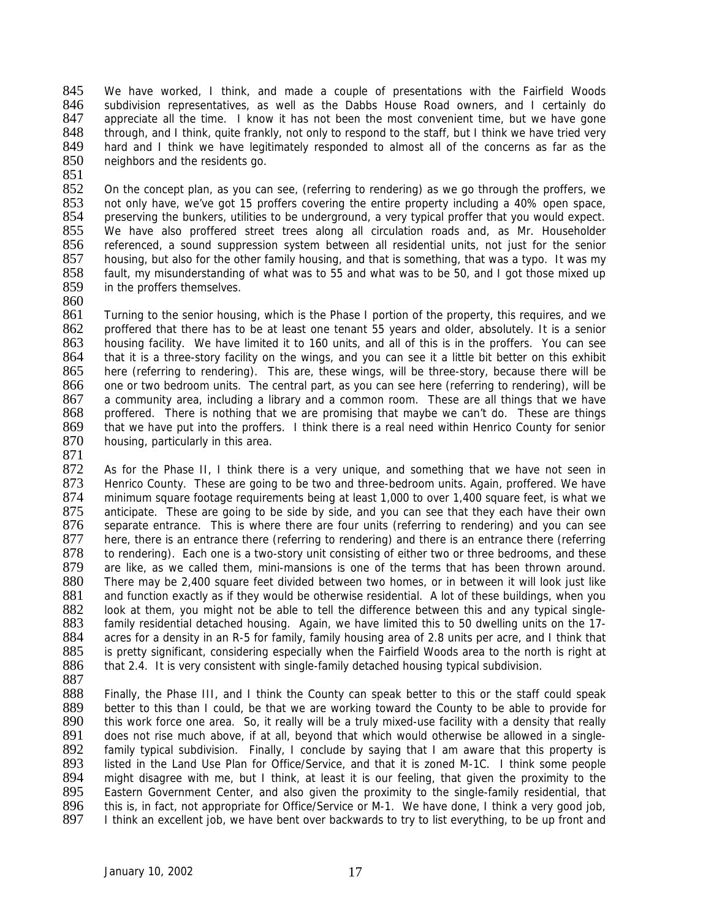845 We have worked, I think, and made a couple of presentations with the Fairfield Woods<br>846 subdivision representatives as well as the Dabbs House Road owners and Leertainly do 846 subdivision representatives, as well as the Dabbs House Road owners, and I certainly do 847 appreciate all the time. I know it has not been the most convenient time, but we have gone appreciate all the time. I know it has not been the most convenient time, but we have gone 848 through, and I think, quite frankly, not only to respond to the staff, but I think we have tried very<br>849 hard and I think we have legitimately responded to almost all of the concerns as far as the 849 hard and I think we have legitimately responded to almost all of the concerns as far as the 850 neighbors and the residents go. neighbors and the residents go.

851<br>852

852 On the concept plan, as you can see, (referring to rendering) as we go through the proffers, we<br>853 ont only have, we've got 15 proffers covering the entire property including a 40% open space. 853 not only have, we've got 15 proffers covering the entire property including a 40% open space, 854 preserving the bunkers, utilities to be underground, a very typical proffer that you would expect. 854 preserving the bunkers, utilities to be underground, a very typical proffer that you would expect.<br>855 We have also proffered street trees along all circulation roads and, as Mr. Householder 855 We have also proffered street trees along all circulation roads and, as Mr. Householder<br>856 referenced, a sound suppression system between all residential units, not just for the senjor 856 referenced, a sound suppression system between all residential units, not just for the senior<br>857 housing, but also for the other family housing, and that is something, that was a typo. It was my housing, but also for the other family housing, and that is something, that was a typo. It was my 858 fault, my misunderstanding of what was to 55 and what was to be 50, and I got those mixed up 859 in the proffers themselves. in the proffers themselves.

860

861 Turning to the senior housing, which is the Phase I portion of the property, this requires, and we 862 proffered that there has to be at least one tenant 55 years and older, absolutely. It is a senior 863 housing facility. We have limited it to 160 units, and all of this is in the proffers. You can see 863 housing facility. We have limited it to 160 units, and all of this is in the proffers. You can see<br>864 that it is a three-story facility on the wings, and you can see it a little bit better on this exhibit 864 that it is a three-story facility on the wings, and you can see it a little bit better on this exhibit 865 here (referring to rendering). This are, these wings, will be three-story, because there will be 865 here (referring to rendering). This are, these wings, will be three-story, because there will be 866 one or two bedroom units. The central part, as you can see here (referring to rendering), will be 866 one or two bedroom units. The central part, as you can see here (referring to rendering), will be 867 a community area, including a library and a common room. These are all things that we have 867 a community area, including a library and a common room. These are all things that we have 868 proffered. There is nothing that we are promising that maybe we can't do. These are things proffered. There is nothing that we are promising that maybe we can't do. These are things 869 that we have put into the proffers. I think there is a real need within Henrico County for senior 870 housing, particularly in this area. housing, particularly in this area.

871

872 As for the Phase II, I think there is a very unique, and something that we have not seen in 873 Henrico County. These are going to be two and three-bedroom units. Again, proffered. We have 874 minimum square footage requirements being at least 1,000 to over 1,400 square feet, is what we<br>875 anticipate. These are going to be side by side, and you can see that they each have their own 875 anticipate. These are going to be side by side, and you can see that they each have their own<br>876 separate entrance. This is where there are four units (referring to rendering) and you can see 876 separate entrance. This is where there are four units (referring to rendering) and you can see<br>877 here, there is an entrance there (referring to rendering) and there is an entrance there (referring 877 here, there is an entrance there (referring to rendering) and there is an entrance there (referring 878 to rendering). Each one is a two-story unit consisting of either two or three bedrooms, and these 878 to rendering). Each one is a two-story unit consisting of either two or three bedrooms, and these<br>879 are like, as we called them, mini-mansions is one of the terms that has been thrown around. 879 are like, as we called them, mini-mansions is one of the terms that has been thrown around.<br>880 There may be 2,400 square feet divided between two homes, or in between it will look just like There may be 2,400 square feet divided between two homes, or in between it will look just like 881 and function exactly as if they would be otherwise residential. A lot of these buildings, when you 882 look at them, you might not be able to tell the difference between this and any typical single-883 family residential detached housing. Again, we have limited this to 50 dwelling units on the 17- 884 acres for a density in an R-5 for family, family housing area of 2.8 units per acre, and I think that 885 is pretty significant, considering especially when the Fairfield Woods area to the north is right at 885 is pretty significant, considering especially when the Fairfield Woods area to the north is right at 886 that 2.4. It is very consistent with single-family detached housing typical subdivision. that 2.4. It is very consistent with single-family detached housing typical subdivision.

887<br>888

888 Finally, the Phase III, and I think the County can speak better to this or the staff could speak 889 better to this than I could, be that we are working toward the County to be able to provide for 889 better to this than I could, be that we are working toward the County to be able to provide for 890 this work force one area. So, it really will be a truly mixed-use facility with a density that really 890 this work force one area. So, it really will be a truly mixed-use facility with a density that really 891 does not rise much above, if at all, beyond that which would otherwise be allowed in a singledoes not rise much above, if at all, beyond that which would otherwise be allowed in a single-892 family typical subdivision. Finally, I conclude by saying that I am aware that this property is 893 listed in the Land Use Plan for Office/Service, and that it is zoned M-1C. I think some people 894 might disagree with me, but I think, at least it is our feeling, that given the proximity to the 895 Eastern Government Center, and also given the proximity to the single-family residential, that 895 Eastern Government Center, and also given the proximity to the single-family residential, that 896 this is, in fact, not appropriate for Office/Service or M-1. We have done, I think a very good job, 896 this is, in fact, not appropriate for Office/Service or M-1. We have done, I think a very good job, 897 I think an excellent job, we have bent over backwards to try to list everything, to be up front and I think an excellent job, we have bent over backwards to try to list everything, to be up front and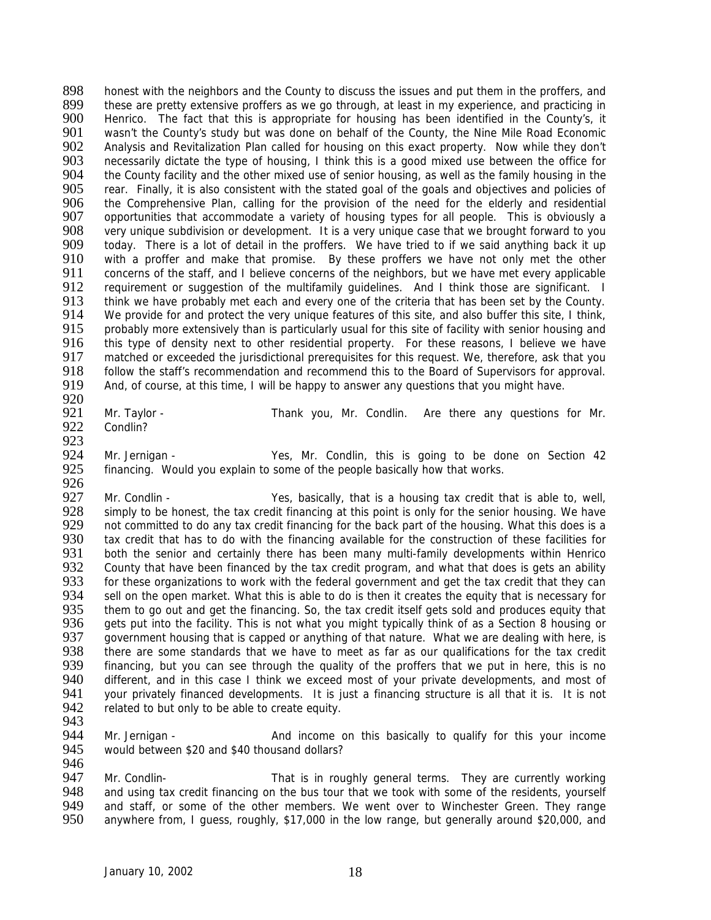898 honest with the neighbors and the County to discuss the issues and put them in the proffers, and<br>899 these are pretty extensive proffers as we go through at least in my experience and practicing in 899 these are pretty extensive proffers as we go through, at least in my experience, and practicing in <br>900 Henrico. The fact that this is appropriate for housing has been identified in the County's, it Henrico. The fact that this is appropriate for housing has been identified in the County's, it 901 wasn't the County's study but was done on behalf of the County, the Nine Mile Road Economic<br>902 Analysis and Revitalization Plan called for housing on this exact property. Now while they don't 902 Analysis and Revitalization Plan called for housing on this exact property. Now while they don't 903 necessarily dictate the type of housing. I think this is a good mixed use between the office for 903 necessarily dictate the type of housing, I think this is a good mixed use between the office for<br>904 the County facility and the other mixed use of senior housing, as well as the family housing in the 904 the County facility and the other mixed use of senior housing, as well as the family housing in the 905 rear. Finally, it is also consistent with the stated goal of the goals and objectives and policies of 905 rear. Finally, it is also consistent with the stated goal of the goals and objectives and policies of 906 the Comprehensive Plan, calling for the provision of the need for the elderly and residential 906 the Comprehensive Plan, calling for the provision of the need for the elderly and residential<br>907 opportunities that accommodate a variety of housing types for all people. This is obviously a 907 opportunities that accommodate a variety of housing types for all people. This is obviously a<br>908 very unique subdivision or development. It is a very unique case that we brought forward to vou 908 very unique subdivision or development. It is a very unique case that we brought forward to you<br>909 today. There is a lot of detail in the proffers. We have tried to if we said anything back it up 909 today. There is a lot of detail in the proffers. We have tried to if we said anything back it up<br>910 with a proffer and make that promise. By these proffers we have not only met the other with a proffer and make that promise. By these proffers we have not only met the other 911 concerns of the staff, and I believe concerns of the neighbors, but we have met every applicable<br>912 requirement or suggestion of the multifamily quidelines. And I think those are significant. I 912 requirement or suggestion of the multifamily guidelines. And I think those are significant. I<br>913 think we have probably met each and every one of the criteria that has been set by the County. 913 think we have probably met each and every one of the criteria that has been set by the County.<br>914 We provide for and protect the very unique features of this site, and also buffer this site, I think, We provide for and protect the very unique features of this site, and also buffer this site, I think, 915 probably more extensively than is particularly usual for this site of facility with senior housing and 916 this type of density next to other residential property. For these reasons. I believe we have 916 this type of density next to other residential property. For these reasons, I believe we have 917 matched or exceeded the jurisdictional prerequisites for this request. We, therefore, ask that you 917 matched or exceeded the jurisdictional prerequisites for this request. We, therefore, ask that you <br>918 follow the staff's recommendation and recommend this to the Board of Supervisors for approval. 918 follow the staff's recommendation and recommend this to the Board of Supervisors for approval.<br>919 And, of course, at this time, I will be happy to answer any questions that you might have. And, of course, at this time, I will be happy to answer any questions that you might have.

- 920<br>921 Mr. Taylor - Thank you, Mr. Condlin. Are there any questions for Mr.
- 922 Condlin?
- 
- 923<br>924
- Mr. Jernigan Yes, Mr. Condlin, this is going to be done on Section 42 925 financing. Would you explain to some of the people basically how that works. 926

927 Mr. Condlin - Yes, basically, that is a housing tax credit that is able to, well, 928 simply to be honest, the tax credit financing at this point is only for the senior housing. We have 928 simply to be honest, the tax credit financing at this point is only for the senior housing. We have 929 not committed to do any tax credit financing for the back part of the housing. What this does is a 929 not committed to do any tax credit financing for the back part of the housing. What this does is a<br>930 tax credit that has to do with the financing available for the construction of these facilities for 930 tax credit that has to do with the financing available for the construction of these facilities for<br>931 both the senior and certainly there has been many multi-family developments within Henrico 931 both the senior and certainly there has been many multi-family developments within Henrico<br>932 County that have been financed by the tax credit program, and what that does is gets an ability 932 County that have been financed by the tax credit program, and what that does is gets an ability<br>933 for these organizations to work with the federal government and get the tax credit that they can 933 for these organizations to work with the federal government and get the tax credit that they can<br>934 sell on the open market. What this is able to do is then it creates the equity that is necessary for 934 sell on the open market. What this is able to do is then it creates the equity that is necessary for 935 them to go out and get the financing. So, the tax credit itself gets sold and produces equity that them to go out and get the financing. So, the tax credit itself gets sold and produces equity that 936 gets put into the facility. This is not what you might typically think of as a Section 8 housing or 937 aovernment housing that is capped or anything of that nature. What we are dealing with here, is 937 government housing that is capped or anything of that nature. What we are dealing with here, is<br>938 there are some standards that we have to meet as far as our qualifications for the tax credit 938 there are some standards that we have to meet as far as our qualifications for the tax credit<br>939 financing, but you can see through the quality of the proffers that we put in here, this is no 939 financing, but you can see through the quality of the proffers that we put in here, this is no<br>940 different, and in this case I think we exceed most of your private developments, and most of 940 different, and in this case I think we exceed most of your private developments, and most of 941 vour privately financed developments. It is just a financing structure is all that it is it is not 941 your privately financed developments. It is just a financing structure is all that it is. It is not 942 related to but only to be able to create equity. related to but only to be able to create equity.

943<br>944

944 Mr. Jernigan - And income on this basically to qualify for this your income 945 would between \$20 and \$40 thousand dollars? would between \$20 and \$40 thousand dollars? 946

947 Mr. Condlin-<br>948 and using tax credit financing on the bus tour that we took with some of the residents, vourself 948 and using tax credit financing on the bus tour that we took with some of the residents, yourself<br>949 and staff, or some of the other members. We went over to Winchester Green. They range 949 and staff, or some of the other members. We went over to Winchester Green. They range<br>950 anywhere from, I quess, roughly, \$17,000 in the low range, but generally around \$20,000, and anywhere from, I guess, roughly, \$17,000 in the low range, but generally around \$20,000, and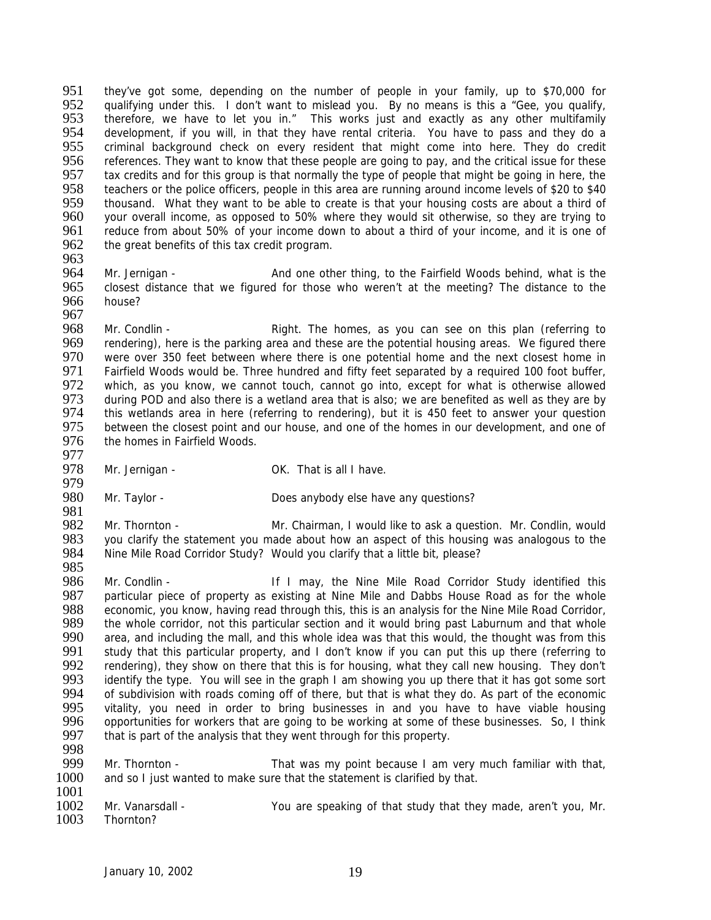951 they've got some, depending on the number of people in your family, up to \$70,000 for<br>952 qualifying under this I don't want to mislead you. By no means is this a "Gee you qualify 952 qualifying under this. I don't want to mislead you. By no means is this a "Gee, you qualify,<br>953 therefore, we have to let you in." This works just and exactly as any other multifamily therefore, we have to let you in." This works just and exactly as any other multifamily 954 development, if you will, in that they have rental criteria. You have to pass and they do a<br>955 criminal background check on every resident that might come into here. They do credit 955 criminal background check on every resident that might come into here. They do credit<br>956 references. They want to know that these people are going to pay, and the critical issue for these references. They want to know that these people are going to pay, and the critical issue for these 957 tax credits and for this group is that normally the type of people that might be going in here, the 958 teachers or the police officers, people in this area are running around income levels of \$20 to \$40 958 teachers or the police officers, people in this area are running around income levels of \$20 to \$40<br>959 thousand. What they want to be able to create is that your housing costs are about a third of 959 thousand. What they want to be able to create is that your housing costs are about a third of 960 vour overall income, as opposed to 50% where they would sit otherwise, so they are trying to 960 your overall income, as opposed to 50% where they would sit otherwise, so they are trying to 961 reduce from about 50% of vour income down to about a third of your income, and it is one of 961 reduce from about 50% of your income down to about a third of your income, and it is one of 962 the great benefits of this tax credit program. the great benefits of this tax credit program.

963

964 Mr. Jernigan - And one other thing, to the Fairfield Woods behind, what is the 965 closest distance that we figured for those who weren't at the meeting? The distance to the 965 closest distance that we figured for those who weren't at the meeting? The distance to the 966 house? house? 967

968 Mr. Condlin - Right. The homes, as you can see on this plan (referring to 969 rendering), here is the parking area and these are the potential housing areas. We figured there 969 rendering), here is the parking area and these are the potential housing areas. We figured there<br>970 vere over 350 feet between where there is one potential home and the next closest home in 970 were over 350 feet between where there is one potential home and the next closest home in<br>971 Fairfield Woods would be. Three hundred and fifty feet separated by a required 100 foot buffer. 971 Fairfield Woods would be. Three hundred and fifty feet separated by a required 100 foot buffer,<br>972 Fwhich, as you know, we cannot touch, cannot go into, except for what is otherwise allowed 972 which, as you know, we cannot touch, cannot go into, except for what is otherwise allowed<br>973 during POD and also there is a wetland area that is also: we are benefited as well as they are by 973 during POD and also there is a wetland area that is also; we are benefited as well as they are by 974 this wetlands area in here (referring to rendering), but it is 450 feet to answer your question this wetlands area in here (referring to rendering), but it is 450 feet to answer your question 975 between the closest point and our house, and one of the homes in our development, and one of 976 the homes in Fairfield Woods. the homes in Fairfield Woods.

- 977<br>978
	- Mr. Jernigan OK. That is all I have.
- 979<br>980 Mr. Taylor - Does anybody else have any questions?

981<br>982 982 Mr. Thornton - Mr. Chairman, I would like to ask a question. Mr. Condlin, would 983 vou clarify the statement you made about how an aspect of this housing was analogous to the 983 you clarify the statement you made about how an aspect of this housing was analogous to the 984 Nine Mile Road Corridor Study? Would you clarify that a little bit, please? Nine Mile Road Corridor Study? Would you clarify that a little bit, please?

985<br>986 986 Mr. Condlin - If I may, the Nine Mile Road Corridor Study identified this<br>987 particular piece of property as existing at Nine Mile and Dabbs House Road as for the whole 987 particular piece of property as existing at Nine Mile and Dabbs House Road as for the whole<br>988 economic, you know, having read through this, this is an analysis for the Nine Mile Road Corridor, economic, you know, having read through this, this is an analysis for the Nine Mile Road Corridor, 989 the whole corridor, not this particular section and it would bring past Laburnum and that whole<br>990 area, and including the mall, and this whole idea was that this would, the thought was from this 990 area, and including the mall, and this whole idea was that this would, the thought was from this 991 study that this particular property, and I don't know if you can put this up there (referring to 991 study that this particular property, and I don't know if you can put this up there (referring to 992 rendering), they show on there that this is for housing, what they call new housing. They don't 992 rendering), they show on there that this is for housing, what they call new housing. They don't 993 identify the type You will see in the graph I am showing you up there that it has got some sort 993 identify the type. You will see in the graph I am showing you up there that it has got some sort 994 of subdivision with roads coming off of there but that is what they do. As part of the economic 994 of subdivision with roads coming off of there, but that is what they do. As part of the economic<br>995 vitality, you need in order to bring businesses in and you have to have viable housing 995 vitality, you need in order to bring businesses in and you have to have viable housing<br>996 opportunities for workers that are going to be working at some of these businesses. So, I think 996 opportunities for workers that are going to be working at some of these businesses. So, I think 997 that is part of the analysis that they went through for this property. that is part of the analysis that they went through for this property.

- 998 Mr. Thornton - That was my point because I am very much familiar with that, 1000 and so I just wanted to make sure that the statement is clarified by that.
- 1001<br>1002 1002 Mr. Vanarsdall - The You are speaking of that study that they made, aren't you, Mr.<br>1003 Thornton? Thornton?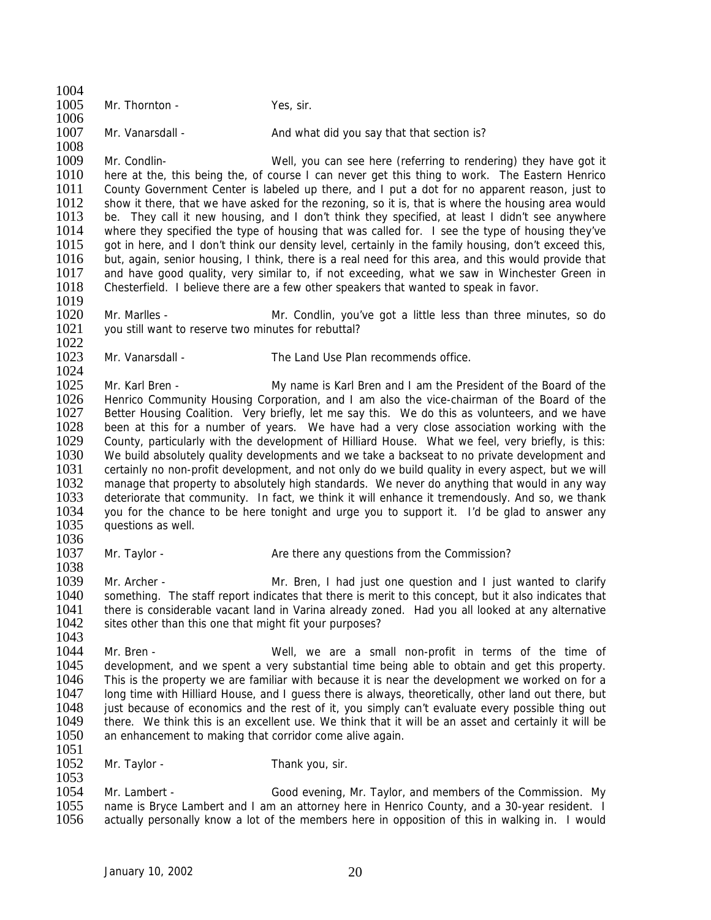1004<br>1005 Mr. Thornton - Yes, sir. 1006 1007 Mr. Vanarsdall - And what did you say that that section is? 1008<br>1009 Mr. Condlin- Well, you can see here (referring to rendering) they have got it 1010 here at the, this being the, of course I can never get this thing to work. The Eastern Henrico<br>1011 County Government Center is labeled up there, and I put a dot for no apparent reason, just to 1011 County Government Center is labeled up there, and I put a dot for no apparent reason, just to 1012 show it there, that we have asked for the rezoning, so it is, that is where the housing area would 1012 show it there, that we have asked for the rezoning, so it is, that is where the housing area would 1013 be. They call it new housing and I don't think they specified, at least I didn't see anywhere 1013 be. They call it new housing, and I don't think they specified, at least I didn't see anywhere 1014 where they specified the type of housing that was called for. I see the type of housing they've 1014 where they specified the type of housing that was called for. I see the type of housing they've 1015 oot in here, and I don't think our density level, certainly in the family housing, don't exceed this. 1015 got in here, and I don't think our density level, certainly in the family housing, don't exceed this, 1016 but again senior housing. I think there is a real need for this area and this would provide that but, again, senior housing, I think, there is a real need for this area, and this would provide that 1017 and have good quality, very similar to, if not exceeding, what we saw in Winchester Green in 1018 Chesterfield. I believe there are a few other speakers that wanted to speak in favor. Chesterfield. I believe there are a few other speakers that wanted to speak in favor. 1019<br>1020 Mr. Marlles - The Mr. Condlin, you've got a little less than three minutes, so do 1021 you still want to reserve two minutes for rebuttal? 1022<br>1023 Mr. Vanarsdall - The Land Use Plan recommends office. 1024<br>1025 1025 Mr. Karl Bren - My name is Karl Bren and I am the President of the Board of the 1026 Henrico Community Housing Corporation and I am also the vice-chairman of the Board of the 1026 Henrico Community Housing Corporation, and I am also the vice-chairman of the Board of the 1027 Better Housing Coalition. Very briefly, let me say this. We do this as volunteers, and we have Better Housing Coalition. Very briefly, let me say this. We do this as volunteers, and we have 1028 been at this for a number of years. We have had a very close association working with the 1029 County, particularly with the development of Hilliard House. What we feel, very briefly, is this: 1029 County, particularly with the development of Hilliard House. What we feel, very briefly, is this:<br>1030 We build absolutely quality developments and we take a backseat to no private development and We build absolutely quality developments and we take a backseat to no private development and 1031 certainly no non-profit development, and not only do we build quality in every aspect, but we will 1032 manage that property to absolutely high standards. We never do anything that would in any way 1033 deteriorate that community. In fact, we think it will enhance it tremendously. And so, we thank 1034 vou for the chance to be here tonight and urge you to support it. I'd be alad to answer any 1034 you for the chance to be here tonight and urge you to support it. I'd be glad to answer any 1035 auestions as well. questions as well. 1036<br>1037 Mr. Taylor - **Are there any questions from the Commission?** 1038<br>1039 Mr. Archer - That is the Mr. Bren, I had just one question and I just wanted to clarify 1040 something. The staff report indicates that there is merit to this concept, but it also indicates that 1041 there is considerable vacant land in Varina already zoned. Had you all looked at any alternative 1042 sites other than this one that might fit your purposes? 1043<br>1044 1044 Mr. Bren - Well, we are a small non-profit in terms of the time of 1045 development, and we spent a very substantial time being able to obtain and get this property. 1045 development, and we spent a very substantial time being able to obtain and get this property.<br>1046 This is the property we are familiar with because it is near the development we worked on for a 1046 This is the property we are familiar with because it is near the development we worked on for a<br>1047 Long time with Hilliard House, and Louess there is always, theoretically other land out there but 1047 long time with Hilliard House, and I guess there is always, theoretically, other land out there, but 1048 iust because of economics and the rest of it. you simply can't evaluate every possible thing out 1048 just because of economics and the rest of it, you simply can't evaluate every possible thing out 1049 there. We think this is an excellent use. We think that it will be an asset and certainly it will be 1049 there. We think this is an excellent use. We think that it will be an asset and certainly it will be 1050 an enhancement to making that corridor come alive again. an enhancement to making that corridor come alive again. 1051 1052 Mr. Taylor - Thank you, sir.  $\frac{1053}{1054}$ 1054 Mr. Lambert - Good evening, Mr. Taylor, and members of the Commission. My<br>1055 name is Bryce Lambert and I am an attorney here in Henrico County, and a 30-year resident. I 1055 name is Bryce Lambert and I am an attorney here in Henrico County, and a 30-year resident. I<br>1056 actually personally know a lot of the members here in opposition of this in walking in. I would actually personally know a lot of the members here in opposition of this in walking in. I would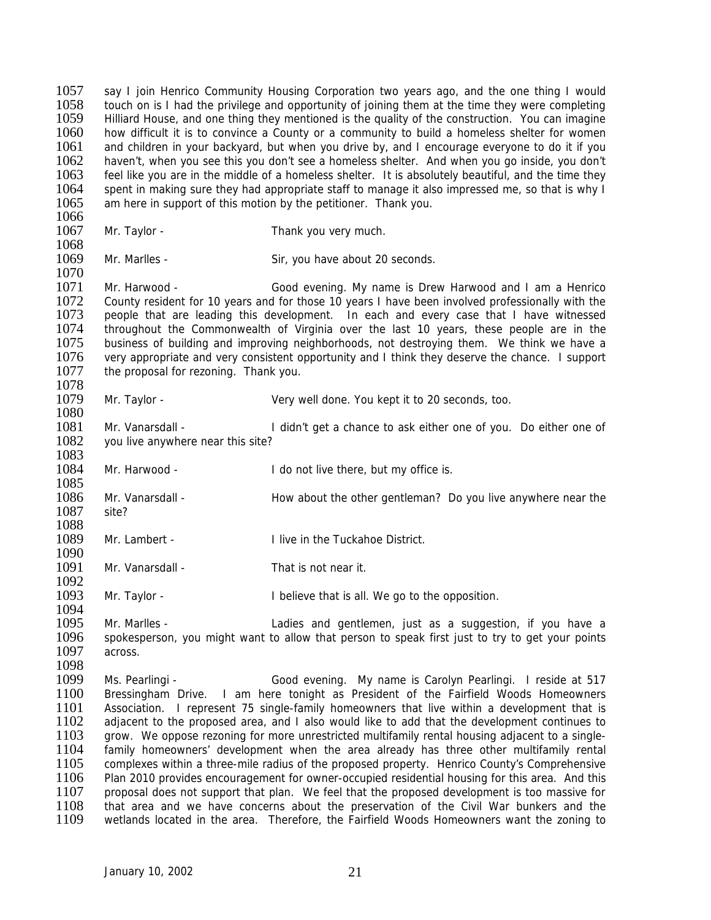1057 say I join Henrico Community Housing Corporation two years ago, and the one thing I would<br>1058 touch on is I had the privilege and opportunity of joining them at the time they were completing 1058 touch on is I had the privilege and opportunity of joining them at the time they were completing<br>1059 Hilliard House, and one thing they mentioned is the quality of the construction. You can imagine Hilliard House, and one thing they mentioned is the quality of the construction. You can imagine 1060 how difficult it is to convince a County or a community to build a homeless shelter for women 1061 and children in your backyard, but when you drive by, and I encourage everyone to do it if you<br>1062 haven't, when you see this you don't see a homeless shelter. And when you go inside, you don't 1062 haven't, when you see this you don't see a homeless shelter. And when you go inside, you don't 1063 feel like you are in the middle of a homeless shelter. It is absolutely beautiful, and the time they 1063 feel like you are in the middle of a homeless shelter. It is absolutely beautiful, and the time they<br>1064 spent in making sure they had appropriate staff to manage it also impressed me, so that is why I 1064 spent in making sure they had appropriate staff to manage it also impressed me, so that is why I<br>1065 am here in support of this motion by the petitioner. Thank you. am here in support of this motion by the petitioner. Thank you.

- 1066<br>1067 Mr. Taylor - Thank you very much.
- 1068 Mr. Marlles - Sir, you have about 20 seconds.

1070<br>1071 1071 Mr. Harwood - Good evening. My name is Drew Harwood and I am a Henrico<br>1072 County resident for 10 years and for those 10 years I have been involved professionally with the County resident for 10 years and for those 10 years I have been involved professionally with the 1073 people that are leading this development. In each and every case that I have witnessed 1074 throughout the Commonwealth of Virginia over the last 10 years, these people are in the 1075 business of building and improving neighborhoods, not destroving them. We think we have a 1075 business of building and improving neighborhoods, not destroying them. We think we have a<br>1076 very appropriate and very consistent opportunity and I think they deserve the chance. I support 1076 very appropriate and very consistent opportunity and I think they deserve the chance. I support 1077 the proposal for rezoning. Thank you. the proposal for rezoning. Thank you.

1078<br>1079

1080

1094

- Mr. Taylor The Very well done. You kept it to 20 seconds, too.
- 1081 Mr. Vanarsdall I didn't get a chance to ask either one of you. Do either one of 1082 vou live anywhere near this site? you live anywhere near this site?
- 1083<br>1084 Mr. Harwood - The domot live there, but my office is.
- 1085 1086 Mr. Vanarsdall - How about the other gentleman? Do you live anywhere near the 1087 site? 1087
- 1088<br>1089 Mr. Lambert - **I** live in the Tuckahoe District.
- 1090<br>1091 Mr. Vanarsdall - That is not near it.
- 1092<br>1093 Mr. Taylor - **I** believe that is all. We go to the opposition.
- 1095 Mr. Marlles Ladies and gentlemen, just as a suggestion, if you have a 1096 spokesperson, you might want to allow that person to speak first just to try to get your points 1097 across. across.

1098<br>1099 1099 Ms. Pearlingi - Good evening. My name is Carolyn Pearlingi. I reside at 517<br>1100 Bressingham Drive I am here tonight as President of the Fairfield Woods Homeowners 1100 Bressingham Drive. I am here tonight as President of the Fairfield Woods Homeowners<br>1101 Association. I represent 75 single-family homeowners that live within a development that is 1101 Association. I represent 75 single-family homeowners that live within a development that is 1102 adiacent to the proposed area, and I also would like to add that the development continues to 1102 adjacent to the proposed area, and I also would like to add that the development continues to<br>1103 arow. We oppose rezoning for more unrestricted multifamily rental housing adjacent to a singlegrow. We oppose rezoning for more unrestricted multifamily rental housing adjacent to a single-1104 family homeowners' development when the area already has three other multifamily rental 1105 complexes within a three-mile radius of the proposed property. Henrico County's Comprehensive 1106 Plan 2010 provides encouragement for owner-occupied residential housing for this area. And this 1107 proposal does not support that plan. We feel that the proposed development is too massive for 1107 proposal does not support that plan. We feel that the proposed development is too massive for<br>1108 that area and we have concerns about the preservation of the Civil War bunkers and the 1108 that area and we have concerns about the preservation of the Civil War bunkers and the 1109 wetlands located in the area. Therefore, the Fairfield Woods Homeowners want the zoning to wetlands located in the area. Therefore, the Fairfield Woods Homeowners want the zoning to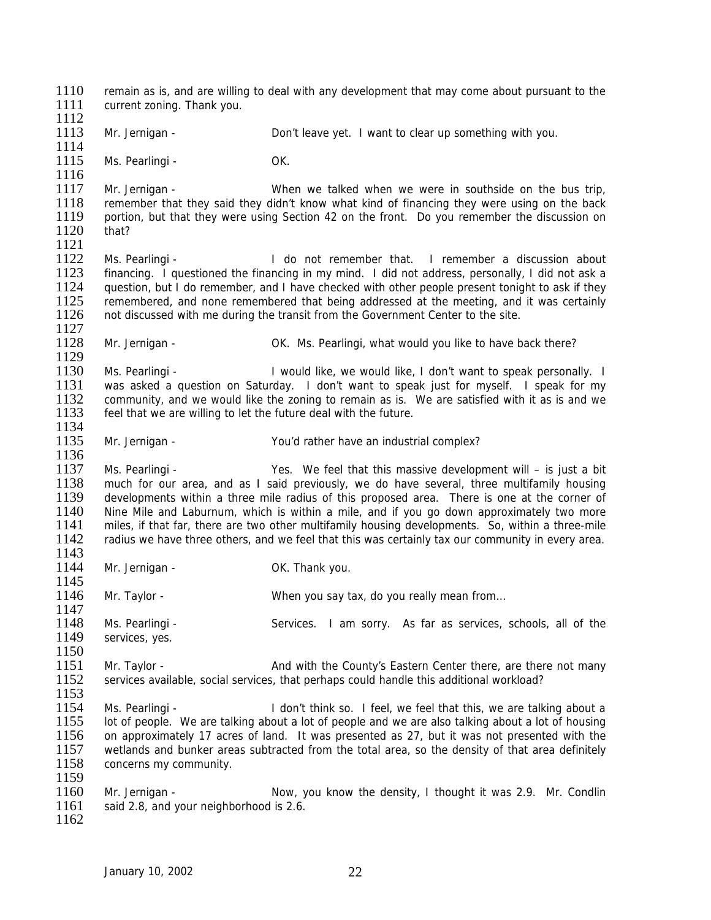1110 remain as is, and are willing to deal with any development that may come about pursuant to the 1111 current zoning. Thank you current zoning. Thank you. 1112 1113 Mr. Jernigan - Don't leave yet. I want to clear up something with you. 1114 1115 Ms. Pearlingi - OK. 1116<br>1117 Mr. Jernigan - When we talked when we were in southside on the bus trip, 1118 remember that they said they didn't know what kind of financing they were using on the back<br>1119 portion, but that they were using Section 42 on the front. Do you remember the discussion on portion, but that they were using Section 42 on the front. Do you remember the discussion on 1120 that?  $\frac{1121}{1122}$ Ms. Pearlingi - The Community of the Mateuseum of the Millen of the Millen and discussion about 1123 financing. I questioned the financing in my mind. I did not address, personally, I did not ask a<br>1124 guestion, but I do remember, and I have checked with other people present tonight to ask if they question, but I do remember, and I have checked with other people present tonight to ask if they 1125 remembered, and none remembered that being addressed at the meeting, and it was certainly 1126 not discussed with me during the transit from the Government Center to the site. not discussed with me during the transit from the Government Center to the site. 1127<br>1128 Mr. Jernigan - **OK. Ms. Pearlingi, what would you like to have back there?** 1129<br>1130 1130 Ms. Pearlingi - I would like, we would like, I don't want to speak personally. I 1131 was asked a question on Saturday. I don't want to speak just for myself. I speak for my 1131 was asked a question on Saturday. I don't want to speak just for myself. I speak for my<br>1132 community and we would like the zoning to remain as is. We are satisfied with it as is and we 1132 community, and we would like the zoning to remain as is. We are satisfied with it as is and we<br>1133 feel that we are willing to let the future deal with the future. feel that we are willing to let the future deal with the future. 1134<br>1135 Mr. Jernigan - You'd rather have an industrial complex? 1136 1137 Ms. Pearlingi - Yes. We feel that this massive development will – is just a bit 1138 much for our area, and as I said previously, we do have several, three multifamily housing 1139 developments within a three mile radius of this proposed area. There is one at the corner of 1140 Nine Mile and Laburnum, which is within a mile, and if you go down approximately two more 1140 Nine Mile and Laburnum, which is within a mile, and if you go down approximately two more 1141 miles, if that far, there are two other multifamily housing developments. So, within a three-mile 1141 miles, if that far, there are two other multifamily housing developments. So, within a three-mile<br>1142 radius we have three others, and we feel that this was certainly tax our community in every area. radius we have three others, and we feel that this was certainly tax our community in every area. 1143<br>1144 Mr. Jernigan - Cassett Controller Controller Controller Controller Controller Controller Controller Controller 1145 1146 Mr. Taylor - When you say tax, do you really mean from… 1147 1148 Ms. Pearlingi - Services. I am sorry. As far as services, schools, all of the 1149 services, yes.  $\frac{1150}{1151}$ 1151 Mr. Taylor - And with the County's Eastern Center there, are there not many<br>1152 Services available social services that perhaps could handle this additional workload? services available, social services, that perhaps could handle this additional workload?  $\frac{1153}{1154}$ 1154 Ms. Pearlingi - I don't think so. I feel, we feel that this, we are talking about a<br>1155 I ot of people. We are talking about a lot of people and we are also talking about a lot of housing 1155 lot of people. We are talking about a lot of people and we are also talking about a lot of housing<br>1156 on approximately 17 acres of land. It was presented as 27, but it was not presented with the on approximately 17 acres of land. It was presented as 27, but it was not presented with the 1157 wetlands and bunker areas subtracted from the total area, so the density of that area definitely 1158 concerns my community.  $\frac{1159}{1160}$ 1160 Mr. Jernigan - Now, you know the density, I thought it was 2.9. Mr. Condlin 1161 said 2.8. and vour neighborhood is 2.6. said 2.8, and your neighborhood is 2.6. 1162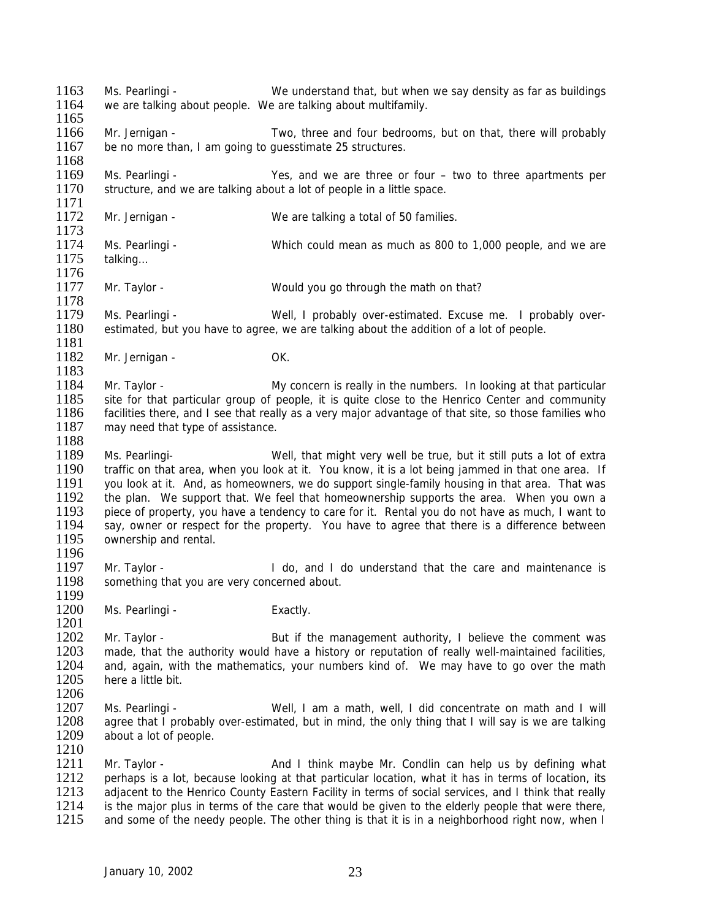1163 Ms. Pearlingi - We understand that, but when we say density as far as buildings<br>1164 we are talking about people. We are talking about multifamily we are talking about people. We are talking about multifamily. 1165 1166 Mr. Jernigan - Two, three and four bedrooms, but on that, there will probably 1167 be no more than, I am going to guesstimate 25 structures. 1168 1169 Ms. Pearlingi - Yes, and we are three or four – two to three apartments per 1170 structure, and we are talking about a lot of people in a little space. structure, and we are talking about a lot of people in a little space. 1171<br>1172 Mr. Jernigan - We are talking a total of 50 families. 1173<br>1174 1174 Ms. Pearlingi - Which could mean as much as 800 to 1,000 people, and we are 1175 talking... talking... 1176<br>1177 Mr. Taylor - Would you go through the math on that? 1178<br>1179 Ms. Pearlingi - Well, I probably over-estimated. Excuse me. I probably over-1180 estimated, but you have to agree, we are talking about the addition of a lot of people. 1181<br>1182 Mr. Jernigan - OK. 1183<br>1184 1184 Mr. Taylor - My concern is really in the numbers. In looking at that particular<br>1185 site for that particular group of people it is quite close to the Henrico Center and community 1185 site for that particular group of people, it is quite close to the Henrico Center and community<br>1186 facilities there, and I see that really as a very maior advantage of that site, so those families who facilities there, and I see that really as a very major advantage of that site, so those families who 1187 may need that type of assistance. 1188<br>1189 Ms. Pearlingi- The Mell, that might very well be true, but it still puts a lot of extra 1190 traffic on that area, when you look at it. You know, it is a lot being jammed in that one area. If 1191 you look at it. And, as homeowners, we do support single-family housing in that area. That was 1192 the plan. We support that. We feel that homeownership supports the area. When you own a<br>1193 piece of property, you have a tendency to care for it. Rental you do not have as much. I want to 1193 piece of property, you have a tendency to care for it. Rental you do not have as much, I want to 1194 say, owner or respect for the property. You have to agree that there is a difference between 1194 say, owner or respect for the property. You have to agree that there is a difference between<br>1195 ownership and rental. ownership and rental. 1196<br>1197 1197 Mr. Taylor - I do, and I do understand that the care and maintenance is 1198 something that you are very concerned about. something that you are very concerned about. 1199<br>1200 Ms. Pearlingi - Exactly. 1201 1202 Mr. Taylor - But if the management authority, I believe the comment was 1203 made, that the authority would have a history or reputation of really well-maintained facilities. 1203 made, that the authority would have a history or reputation of really well-maintained facilities,<br>1204 and, again, with the mathematics, your numbers kind of. We may have to go over the math 1204 and, again, with the mathematics, your numbers kind of. We may have to go over the math 1205 bere a little bit here a little bit. 1206<br>1207 1207 Ms. Pearlingi - Well, I am a math, well, I did concentrate on math and I will<br>1208 agree that I probably over-estimated, but in mind, the only thing that I will say is we are talking 1208 agree that I probably over-estimated, but in mind, the only thing that I will say is we are talking 1209 about a lot of people. about a lot of people. 1210 1211 Mr. Taylor - And I think maybe Mr. Condlin can help us by defining what 1212 perhaps is a lot, because looking at that particular location, what it has in terms of location, its 1213 adiacent to the Henrico County Eastern Facility in terms of social services, and I think that really 1213 adjacent to the Henrico County Eastern Facility in terms of social services, and I think that really 1214 is the maior plus in terms of the care that would be given to the elderly people that were there. 1214 is the major plus in terms of the care that would be given to the elderly people that were there,<br>1215 and some of the needy people. The other thing is that it is in a neighborhood right now, when I and some of the needy people. The other thing is that it is in a neighborhood right now, when I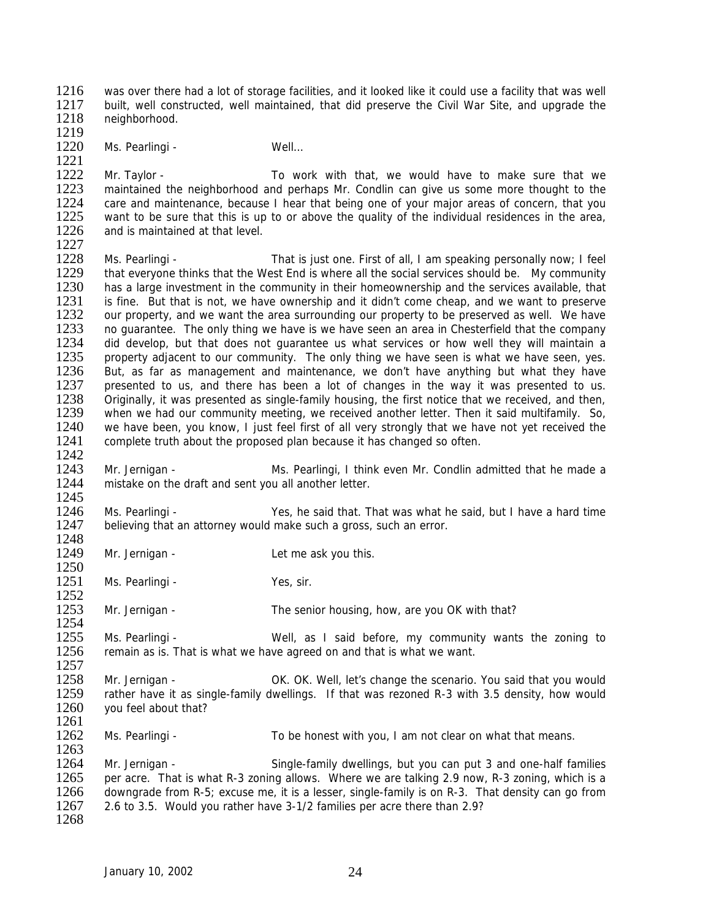1216 was over there had a lot of storage facilities, and it looked like it could use a facility that was well<br>1217 built well constructed well maintained that did preserve the Civil War Site and upgrade the 1217 built, well constructed, well maintained, that did preserve the Civil War Site, and upgrade the 1218 peighborhood neighborhood.

1219 Ms. Pearlingi - Well...

1221<br>1222 1222 Mr. Taylor - To work with that, we would have to make sure that we<br>1223 maintained the neighborhood and perhaps Mr. Condlin can give us some more thought to the 1223 maintained the neighborhood and perhaps Mr. Condlin can give us some more thought to the 1224 care and maintenance, because I hear that being one of vour maior areas of concern, that vou 1224 care and maintenance, because I hear that being one of your major areas of concern, that you<br>1225 vant to be sure that this is up to or above the quality of the individual residences in the area. 1225 want to be sure that this is up to or above the quality of the individual residences in the area,<br>1226 and is maintained at that level. and is maintained at that level.

1227<br>1228 Ms. Pearlingi - That is just one. First of all, I am speaking personally now; I feel 1229 that everyone thinks that the West End is where all the social services should be. My community 1230 has a large investment in the community in their homeownership and the services available, that 1230 has a large investment in the community in their homeownership and the services available, that 1231 is fine. But that is not, we have ownership and it didn't come cheap, and we want to preserve 1231 is fine. But that is not, we have ownership and it didn't come cheap, and we want to preserve 1232 our property, and we want the area surrounding our property to be preserved as well. We have our property, and we want the area surrounding our property to be preserved as well. We have 1233 no guarantee. The only thing we have is we have seen an area in Chesterfield that the company<br>1234 did develop, but that does not guarantee us what services or how well they will maintain a 1234 did develop, but that does not guarantee us what services or how well they will maintain a<br>1235 property adjacent to our community. The only thing we have seen is what we have seen, yes. 1235 property adjacent to our community. The only thing we have seen is what we have seen, yes.<br>1236 But, as far as management and maintenance, we don't have anything but what they have 1236 But, as far as management and maintenance, we don't have anything but what they have 1237 presented to us, and there has been a lot of changes in the way it was presented to us. 1237 presented to us, and there has been a lot of changes in the way it was presented to us.<br>1238 Originally it was presented as single-family housing the first notice that we received and then 1238 Originally, it was presented as single-family housing, the first notice that we received, and then,<br>1239 when we had our community meeting, we received another letter. Then it said multifamily, So. when we had our community meeting, we received another letter. Then it said multifamily. So, 1240 we have been, you know, I just feel first of all very strongly that we have not yet received the 1241 complete truth about the proposed plan because it has changed so often. complete truth about the proposed plan because it has changed so often.

1242<br>1243 1243 Mr. Jernigan - Ms. Pearlingi, I think even Mr. Condlin admitted that he made a 1244 mistake on the draft and sent you all another letter. mistake on the draft and sent you all another letter.

1245<br>1246 1246 Ms. Pearlingi - Yes, he said that. That was what he said, but I have a hard time 1247 believing that an attorney would make such a gross, such an error. believing that an attorney would make such a gross, such an error.

1248<br>1249 Mr. Jernigan - Let me ask you this.

1250<br>1251 Ms. Pearlingi - Yes, sir.

 $\frac{1252}{1253}$ Mr. Jernigan - The senior housing, how, are you OK with that?

1254<br>1255 1255 Ms. Pearlingi - Well, as I said before, my community wants the zoning to 1256 remain as is. That is what we have agreed on and that is what we want. remain as is. That is what we have agreed on and that is what we want.

 $\frac{1257}{1258}$ 1258 Mr. Jernigan - OK. OK. OK. Well, let's change the scenario. You said that you would<br>1259 Trather have it as single-family dwellings Trather was rezoned R-3 with 3.5 density how would 1259 rather have it as single-family dwellings. If that was rezoned R-3 with 3.5 density, how would 1260 vou feel about that? you feel about that?

1261<br>1262 Ms. Pearlingi - To be honest with you, I am not clear on what that means.

1264 Mr. Jernigan - Single-family dwellings, but you can put 3 and one-half families 1265 per acre. That is what R-3 zoning allows. Where we are talking 2.9 now, R-3 zoning, which is a<br>1266 downgrade from R-5: excuse me, it is a lesser, single-family is on R-3. That density can go from 1266 downgrade from R-5; excuse me, it is a lesser, single-family is on R-3. That density can go from 1267 2.6 to 3.5. Would you rather have 3-1/2 families per acre there than 2.9? 2.6 to 3.5. Would you rather have 3-1/2 families per acre there than 2.9?

1263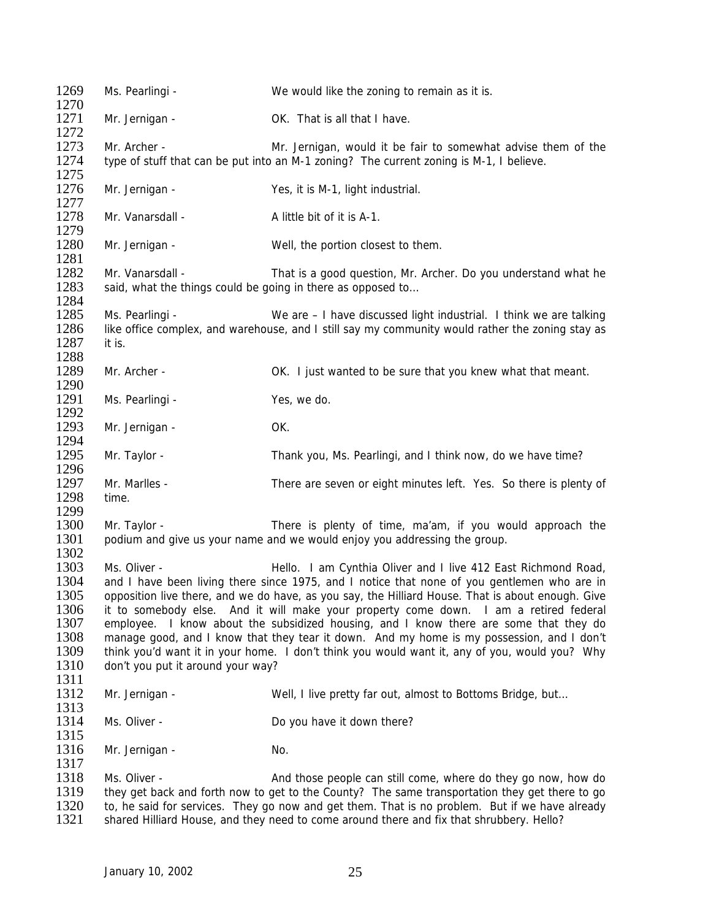| 1269<br>1270                                                 | Ms. Pearlingi -                                                                                                                                                                                                                                                                                                                                                                                                                                                                                                                                                                                                       | We would like the zoning to remain as it is.                                                                                                                                                                                                                                                 |  |
|--------------------------------------------------------------|-----------------------------------------------------------------------------------------------------------------------------------------------------------------------------------------------------------------------------------------------------------------------------------------------------------------------------------------------------------------------------------------------------------------------------------------------------------------------------------------------------------------------------------------------------------------------------------------------------------------------|----------------------------------------------------------------------------------------------------------------------------------------------------------------------------------------------------------------------------------------------------------------------------------------------|--|
| 1271<br>1272                                                 | Mr. Jernigan -                                                                                                                                                                                                                                                                                                                                                                                                                                                                                                                                                                                                        | OK. That is all that I have.                                                                                                                                                                                                                                                                 |  |
| 1273                                                         | Mr. Archer -                                                                                                                                                                                                                                                                                                                                                                                                                                                                                                                                                                                                          | Mr. Jernigan, would it be fair to somewhat advise them of the                                                                                                                                                                                                                                |  |
| 1274<br>1275                                                 |                                                                                                                                                                                                                                                                                                                                                                                                                                                                                                                                                                                                                       | type of stuff that can be put into an M-1 zoning? The current zoning is M-1, I believe.                                                                                                                                                                                                      |  |
| 1276<br>1277                                                 | Mr. Jernigan -                                                                                                                                                                                                                                                                                                                                                                                                                                                                                                                                                                                                        | Yes, it is M-1, light industrial.                                                                                                                                                                                                                                                            |  |
| 1278<br>1279                                                 | Mr. Vanarsdall -                                                                                                                                                                                                                                                                                                                                                                                                                                                                                                                                                                                                      | A little bit of it is A-1.                                                                                                                                                                                                                                                                   |  |
| 1280<br>1281                                                 | Mr. Jernigan -                                                                                                                                                                                                                                                                                                                                                                                                                                                                                                                                                                                                        | Well, the portion closest to them.                                                                                                                                                                                                                                                           |  |
| 1282                                                         | Mr. Vanarsdall -                                                                                                                                                                                                                                                                                                                                                                                                                                                                                                                                                                                                      | That is a good question, Mr. Archer. Do you understand what he                                                                                                                                                                                                                               |  |
| 1283<br>1284                                                 | said, what the things could be going in there as opposed to                                                                                                                                                                                                                                                                                                                                                                                                                                                                                                                                                           |                                                                                                                                                                                                                                                                                              |  |
| 1285                                                         | Ms. Pearlingi -                                                                                                                                                                                                                                                                                                                                                                                                                                                                                                                                                                                                       | We are - I have discussed light industrial. I think we are talking                                                                                                                                                                                                                           |  |
| 1286                                                         |                                                                                                                                                                                                                                                                                                                                                                                                                                                                                                                                                                                                                       | like office complex, and warehouse, and I still say my community would rather the zoning stay as                                                                                                                                                                                             |  |
| 1287                                                         | it is.                                                                                                                                                                                                                                                                                                                                                                                                                                                                                                                                                                                                                |                                                                                                                                                                                                                                                                                              |  |
| 1288                                                         |                                                                                                                                                                                                                                                                                                                                                                                                                                                                                                                                                                                                                       |                                                                                                                                                                                                                                                                                              |  |
| 1289                                                         | Mr. Archer -                                                                                                                                                                                                                                                                                                                                                                                                                                                                                                                                                                                                          | OK. I just wanted to be sure that you knew what that meant.                                                                                                                                                                                                                                  |  |
| 1290                                                         |                                                                                                                                                                                                                                                                                                                                                                                                                                                                                                                                                                                                                       |                                                                                                                                                                                                                                                                                              |  |
| 1291<br>1292                                                 | Ms. Pearlingi -                                                                                                                                                                                                                                                                                                                                                                                                                                                                                                                                                                                                       | Yes, we do.                                                                                                                                                                                                                                                                                  |  |
| 1293<br>1294                                                 | Mr. Jernigan -                                                                                                                                                                                                                                                                                                                                                                                                                                                                                                                                                                                                        | OK.                                                                                                                                                                                                                                                                                          |  |
| 1295<br>1296                                                 | Mr. Taylor -                                                                                                                                                                                                                                                                                                                                                                                                                                                                                                                                                                                                          | Thank you, Ms. Pearlingi, and I think now, do we have time?                                                                                                                                                                                                                                  |  |
| 1297<br>1298                                                 | Mr. Marlles -<br>time.                                                                                                                                                                                                                                                                                                                                                                                                                                                                                                                                                                                                | There are seven or eight minutes left. Yes. So there is plenty of                                                                                                                                                                                                                            |  |
| 1299                                                         |                                                                                                                                                                                                                                                                                                                                                                                                                                                                                                                                                                                                                       |                                                                                                                                                                                                                                                                                              |  |
| 1300<br>1301                                                 | Mr. Taylor -                                                                                                                                                                                                                                                                                                                                                                                                                                                                                                                                                                                                          | There is plenty of time, ma'am, if you would approach the<br>podium and give us your name and we would enjoy you addressing the group.                                                                                                                                                       |  |
| 1302                                                         |                                                                                                                                                                                                                                                                                                                                                                                                                                                                                                                                                                                                                       |                                                                                                                                                                                                                                                                                              |  |
| 1303                                                         | Ms. Oliver -                                                                                                                                                                                                                                                                                                                                                                                                                                                                                                                                                                                                          | Hello. I am Cynthia Oliver and I live 412 East Richmond Road,                                                                                                                                                                                                                                |  |
| 1304<br>1305<br>1306<br>1307<br>1308<br>1309<br>1310<br>1311 | and I have been living there since 1975, and I notice that none of you gentlemen who are in<br>opposition live there, and we do have, as you say, the Hilliard House. That is about enough. Give<br>it to somebody else. And it will make your property come down. I am a retired federal<br>employee. I know about the subsidized housing, and I know there are some that they do<br>manage good, and I know that they tear it down. And my home is my possession, and I don't<br>think you'd want it in your home. I don't think you would want it, any of you, would you? Why<br>don't you put it around your way? |                                                                                                                                                                                                                                                                                              |  |
| 1312<br>1313                                                 | Mr. Jernigan -                                                                                                                                                                                                                                                                                                                                                                                                                                                                                                                                                                                                        | Well, I live pretty far out, almost to Bottoms Bridge, but                                                                                                                                                                                                                                   |  |
| 1314                                                         | Ms. Oliver -                                                                                                                                                                                                                                                                                                                                                                                                                                                                                                                                                                                                          | Do you have it down there?                                                                                                                                                                                                                                                                   |  |
| 1315<br>1316                                                 | Mr. Jernigan -                                                                                                                                                                                                                                                                                                                                                                                                                                                                                                                                                                                                        | No.                                                                                                                                                                                                                                                                                          |  |
| 1317                                                         |                                                                                                                                                                                                                                                                                                                                                                                                                                                                                                                                                                                                                       |                                                                                                                                                                                                                                                                                              |  |
| 1318<br>1319                                                 | Ms. Oliver -                                                                                                                                                                                                                                                                                                                                                                                                                                                                                                                                                                                                          | And those people can still come, where do they go now, how do                                                                                                                                                                                                                                |  |
| 1320<br>1321                                                 |                                                                                                                                                                                                                                                                                                                                                                                                                                                                                                                                                                                                                       | they get back and forth now to get to the County? The same transportation they get there to go<br>to, he said for services. They go now and get them. That is no problem. But if we have already<br>shared Hilliard House, and they need to come around there and fix that shrubbery. Hello? |  |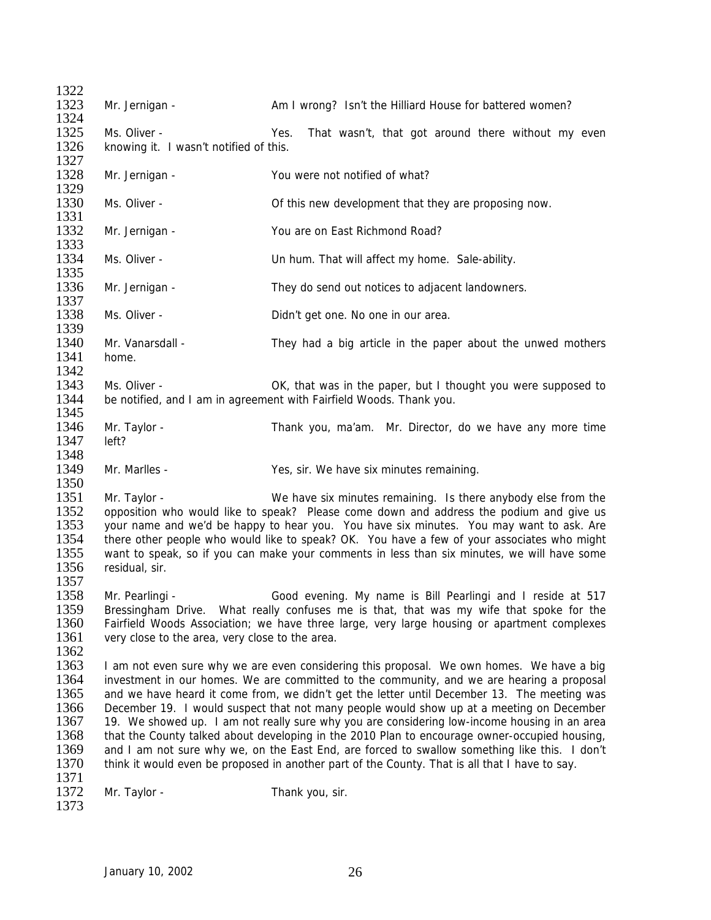1322<br>1323 Mr. Jernigan - Am I wrong? Isn't the Hilliard House for battered women? 1324 1325 Ms. Oliver - Yes. That wasn't, that got around there without my even 1326 knowing it. I wasn't notified of this. knowing it. I wasn't notified of this. 1327 1328 Mr. Jernigan - You were not notified of what? 1329<br>1330 Ms. Oliver - **Of this new development that they are proposing now.** 1331<br>1332 Mr. Jernigan - You are on East Richmond Road? 1333<br>1334 Ms. Oliver - That will affect my home. Sale-ability. 1335<br>1336 Mr. Jernigan - They do send out notices to adjacent landowners. 1337 1338 Ms. Oliver - Didn't get one. No one in our area. 1339<br>1340 1340 Mr. Vanarsdall - They had a big article in the paper about the unwed mothers 1341 home. home. 1342<br>1343 1343 Ms. Oliver - OK, that was in the paper, but I thought you were supposed to 1344 be notified and Lam in agreement with Fairfield Woods. Thank you be notified, and I am in agreement with Fairfield Woods. Thank you. 1345 1346 Mr. Taylor - Thank you, ma'am. Mr. Director, do we have any more time 1347 left? 1348 1349 Mr. Marlles - Yes, sir. We have six minutes remaining. 1350 1351 Mr. Taylor - We have six minutes remaining. Is there anybody else from the 1352 opposition who would like to speak? Please come down and address the podium and give us 1352 opposition who would like to speak? Please come down and address the podium and give us<br>1353 vour name and we'd be happy to hear you. You have six minutes. You may want to ask. Are 1353 your name and we'd be happy to hear you. You have six minutes. You may want to ask. Are 1354 there other people who would like to speak? OK. You have a few of your associates who might 1354 there other people who would like to speak? OK. You have a few of your associates who might 1355 want to speak so if you can make your comments in less than six minutes we will have some want to speak, so if you can make your comments in less than six minutes, we will have some 1356 residual, sir. 1357 1358 Mr. Pearlingi - Good evening. My name is Bill Pearlingi and I reside at 517 1359 Bressingham Drive. What really confuses me is that, that was my wife that spoke for the 1360 Fairfield Woods Association; we have three large, very large housing or apartment complexes 1361 very close to the area, very close to the area. 1362<br>1363 1363 I am not even sure why we are even considering this proposal. We own homes. We have a big<br>1364 Investment in our homes. We are committed to the community, and we are hearing a proposal investment in our homes. We are committed to the community, and we are hearing a proposal 1365 and we have heard it come from, we didn't get the letter until December 13. The meeting was 1366 December 19. I would suspect that not many people would show up at a meeting on December 1367 19. We showed up. I am not really sure why you are considering low-income housing in an area 19. We showed up. I am not really sure why you are considering low-income housing in an area 1368 that the County talked about developing in the 2010 Plan to encourage owner-occupied housing, 1369 and I am not sure why we, on the East End, are forced to swallow something like this. I don't 1370 think it would even be proposed in another part of the County. That is all that I have to say. 1371<br>1372 Mr. Taylor - Thank you, sir. 1373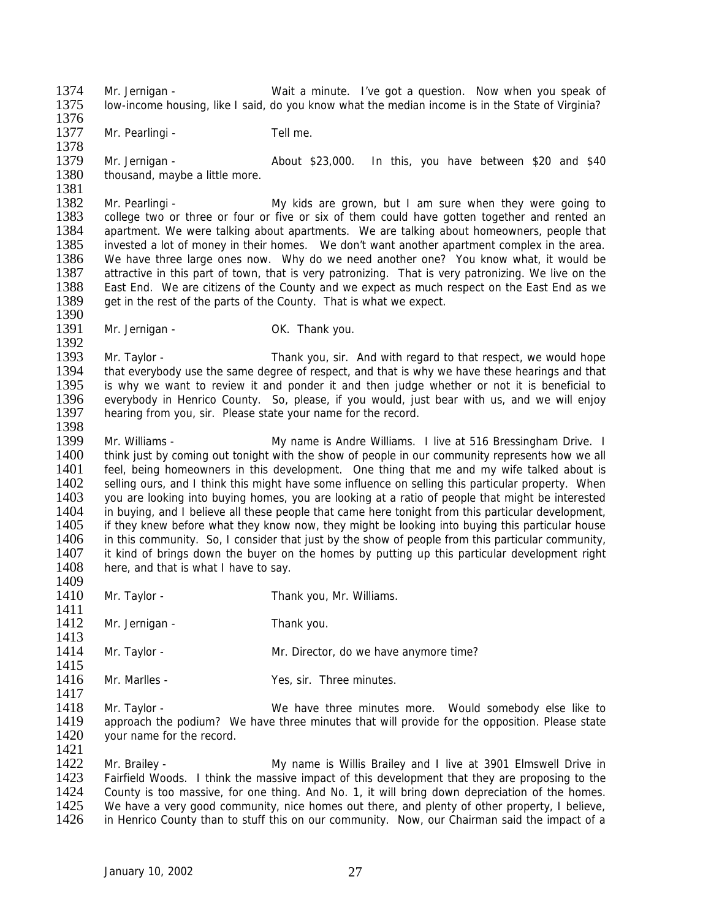1374 Mr. Jernigan - Wait a minute. I've got a question. Now when you speak of 1375 Iow-income housing like I said do you know what the median income is in the State of Virginia? low-income housing, like I said, do you know what the median income is in the State of Virginia? 1376

1377 Mr. Pearlingi - Tell me.

1378<br>1379 1379 Mr. Jernigan - About \$23,000. In this, you have between \$20 and \$40 1380 thousand, maybe a little more.

1381<br>1382 1382 Mr. Pearlingi - My kids are grown, but I am sure when they were going to<br>1383 college two or three or four or five or six of them could have gotten together and rented an 1383 college two or three or four or five or six of them could have gotten together and rented an 1384 apartment. We were talking about apartments. We are talking about homeowners, people that 1384 apartment. We were talking about apartments. We are talking about homeowners, people that 1385 invested a lot of money in their homes. We don't want another apartment complex in the area. 1385 invested a lot of money in their homes. We don't want another apartment complex in the area.<br>1386 We have three large ones now. Why do we need another one? You know what, it would be We have three large ones now. Why do we need another one? You know what, it would be 1387 attractive in this part of town, that is very patronizing. That is very patronizing. We live on the 1388 East End as we it also we here citizens of the County and we expect as much respect on the East End as we East End. We are citizens of the County and we expect as much respect on the East End as we 1389 get in the rest of the parts of the County. That is what we expect. 1390

- 
- 1391 Mr. Jernigan OK. Thank you.

1392<br>1393 1393 Mr. Taylor - Thank you, sir. And with regard to that respect, we would hope<br>1394 that everybody use the same degree of respect, and that is why we have these hearings and that 1394 that everybody use the same degree of respect, and that is why we have these hearings and that 1395 is why we want to review it and ponder it and then judge whether or not it is beneficial to 1395 is why we want to review it and ponder it and then judge whether or not it is beneficial to 1396 everybody in Henrico County. So please if you would just bear with us and we will enjoy 1396 everybody in Henrico County. So, please, if you would, just bear with us, and we will enjoy 1397 hearing from you, sir. Please state your name for the record. hearing from you, sir. Please state your name for the record.

1398<br>1399 1399 Mr. Williams - My name is Andre Williams. I live at 516 Bressingham Drive. I<br>1400 think just by coming out tonight with the show of people in our community represents how we all think just by coming out tonight with the show of people in our community represents how we all 1401 feel, being homeowners in this development. One thing that me and my wife talked about is 1402 selling ours, and I think this might have some influence on selling this particular property. When 1403 you are looking into buying homes, you are looking at a ratio of people that might be interested 1404 in buying, and I believe all these people that came here tonight from this particular development. 1404 in buying, and I believe all these people that came here tonight from this particular development,<br>1405 if they knew before what they know now, they might be looking into buying this particular house 1405 if they knew before what they know now, they might be looking into buying this particular house<br>1406 in this community Soll consider that just by the show of people from this particular community 1406 in this community. So, I consider that just by the show of people from this particular community, 1407 it kind of brings down the buyer on the homes by putting up this particular development right 1407 it kind of brings down the buyer on the homes by putting up this particular development right 1408 here, and that is what I have to say. here, and that is what I have to say.

1409

1411

1421

1410 Mr. Taylor - Thank you, Mr. Williams.

- 1412 Mr. Jernigan Thank you.
- 1413<br>1414 Mr. Taylor - The Mr. Director, do we have anymore time?
- $\frac{1415}{1416}$ Mr. Marlles - Yes, sir. Three minutes.

1417<br>1418 1418 Mr. Taylor - We have three minutes more. Would somebody else like to<br>1419 approach the podium? We have three minutes that will provide for the opposition. Please state 1419 approach the podium? We have three minutes that will provide for the opposition. Please state 1420 vour name for the record. your name for the record.

1422 Mr. Brailey - My name is Willis Brailey and I live at 3901 Elmswell Drive in 1423 Fairfield Woods. I think the massive impact of this development that they are proposing to the 1424 County is too massive, for one thing. And No. 1, it will bring down depreciation of the homes. 1424 County is too massive, for one thing. And No. 1, it will bring down depreciation of the homes.<br>1425 We have a very good community, nice homes out there, and plenty of other property. I believe, 1425 We have a very good community, nice homes out there, and plenty of other property, I believe, 1426 in Henrico County than to stuff this on our community. Now, our Chairman said the impact of a in Henrico County than to stuff this on our community. Now, our Chairman said the impact of a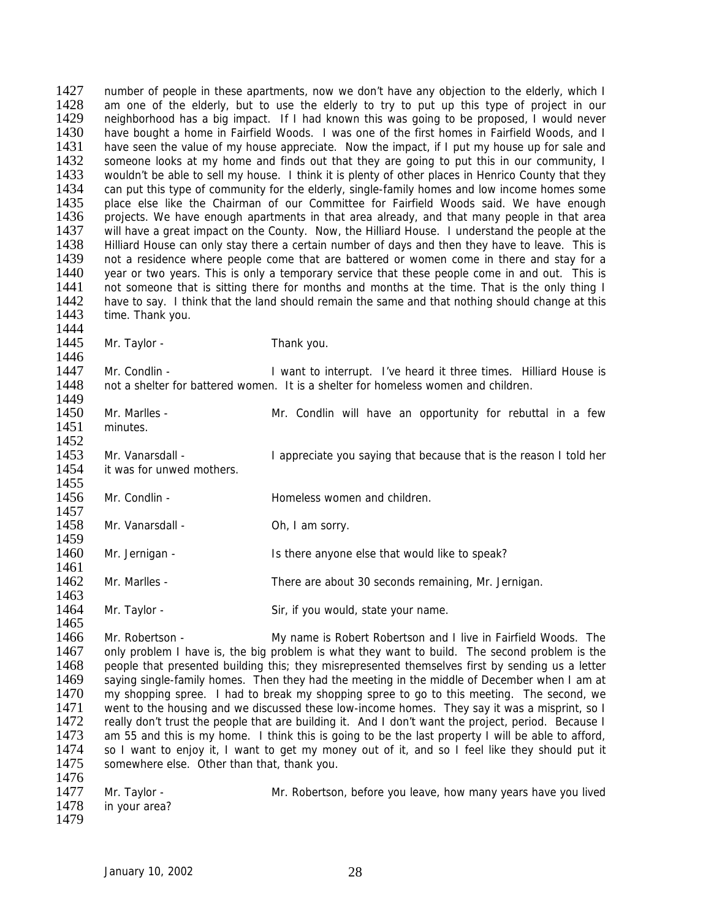1427 number of people in these apartments, now we don't have any objection to the elderly, which I<br>1428 am one of the elderly but to use the elderly to try to put up this type of project in our 1428 am one of the elderly, but to use the elderly to try to put up this type of project in our 1429 reighborhood has a big impact. If I had known this was going to be proposed. I would never neighborhood has a big impact. If I had known this was going to be proposed, I would never 1430 have bought a home in Fairfield Woods. I was one of the first homes in Fairfield Woods, and I<br>1431 have seen the value of my house appreciate. Now the impact, if I put my house up for sale and 1431 have seen the value of my house appreciate. Now the impact, if I put my house up for sale and 1432 someone looks at my home and finds out that they are going to put this in our community. I 1432 someone looks at my home and finds out that they are going to put this in our community, I<br>1433 vouldn't be able to sell my house. I think it is plenty of other places in Henrico County that they 1433 wouldn't be able to sell my house. I think it is plenty of other places in Henrico County that they<br>1434 can put this type of community for the elderly, single-family homes and low income homes some 1434 can put this type of community for the elderly, single-family homes and low income homes some<br>1435 blace else like the Chairman of our Committee for Fairfield Woods said. We have enough 1435 place else like the Chairman of our Committee for Fairfield Woods said. We have enough 1436 projects. We have enough apartments in that area have entitled woods said. 1436 projects. We have enough apartments in that area already, and that many people in that area<br>1437 will have a great impact on the County. Now, the Hilliard House. I understand the people at the 1437 will have a great impact on the County. Now, the Hilliard House. I understand the people at the 1438 Hilliard House can only stay there a certain number of days and then they have to leave. This is 1438 Hilliard House can only stay there a certain number of days and then they have to leave. This is 1439 not a residence where people come that are battered or women come in there and stay for a not a residence where people come that are battered or women come in there and stay for a 1440 year or two years. This is only a temporary service that these people come in and out. This is 1441 not someone that is sitting there for months and months at the time. That is the only thing I not someone that is sitting there for months and months at the time. That is the only thing I 1442 have to say. I think that the land should remain the same and that nothing should change at this 1443 time. Thank you. time. Thank you.

1444<br>1445

1465

Mr. Taylor - Thank you.

1446<br>1447 1447 Mr. Condlin - I want to interrupt. I've heard it three times. Hilliard House is 1448 not a shelter for battered women. It is a shelter for homeless women and children. not a shelter for battered women. It is a shelter for homeless women and children.

- 1449<br>1450 Mr. Marlles - The Mr. Condlin will have an opportunity for rebuttal in a few 1451 minutes. 1452 1453 Mr. Vanarsdall - I appreciate you saying that because that is the reason I told her 1454 it was for unwed mothers. 1455 1456 Mr. Condlin - Homeless women and children. 1457<br>1458 Mr. Vanarsdall - Oh, I am sorry.
- 1459<br>1460
	- Mr. Jernigan The Is there anyone else that would like to speak?
- 1461<br>1462 Mr. Marlles - There are about 30 seconds remaining, Mr. Jernigan. 1463
- 1464 Mr. Taylor Sir, if you would, state your name.

1466 Mr. Robertson - My name is Robert Robertson and I live in Fairfield Woods. The 1467 only problem I have is, the big problem is what they want to build. The second problem is the 1467 only problem I have is, the big problem is what they want to build. The second problem is the 1468 people that presented building this: they misrepresented themselves first by sending us a letter 1468 people that presented building this; they misrepresented themselves first by sending us a letter 1469 saving single-family homes. Then they had the meeting in the middle of December when I am at 1469 saying single-family homes. Then they had the meeting in the middle of December when I am at 1470 my shopping spree. I had to break my shopping spree to go to this meeting. The second we 1470 my shopping spree. I had to break my shopping spree to go to this meeting. The second, we 1471 went to the housing and we discussed these low-income homes. They say it was a misprint, so I 1471 went to the housing and we discussed these low-income homes. They say it was a misprint, so I<br>1472 really don't trust the people that are building it. And I don't want the project, period. Because I 1472 really don't trust the people that are building it. And I don't want the project, period. Because I<br>1473 am 55 and this is my home. I think this is going to be the last property I will be able to afford, am 55 and this is my home. I think this is going to be the last property I will be able to afford, 1474 so I want to enjoy it, I want to get my money out of it, and so I feel like they should put it 1475 somewhere else. Other than that, thank you. 1476

| 1477 | Mr. Taylor -       | Mr. Robertson, before you leave, how many years have you lived |
|------|--------------------|----------------------------------------------------------------|
|      | 1478 in your area? |                                                                |
| 1479 |                    |                                                                |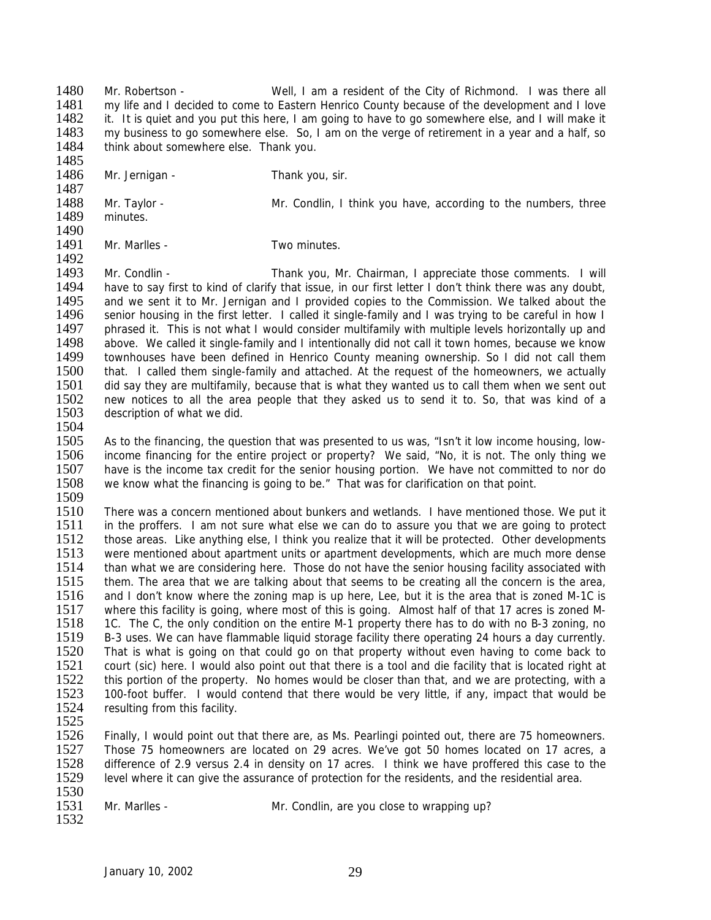1480 Mr. Robertson - Well, I am a resident of the City of Richmond. I was there all 1481 my life and I decided to come to Eastern Henrico County because of the development and I love 1481 my life and I decided to come to Eastern Henrico County because of the development and I love<br>1482 it. It is quiet and you put this here. I am going to have to go somewhere else, and I will make it it. It is quiet and you put this here, I am going to have to go somewhere else, and I will make it 1483 my business to go somewhere else. So, I am on the verge of retirement in a year and a half, so 1484 think about somewhere else. Thank you. think about somewhere else. Thank you.

1485

1492

1486 Mr. Jernigan - Thank you, sir.

1487<br>1488 1488 Mr. Taylor - Mr. Condlin, I think you have, according to the numbers, three<br>1489 minutes. minutes.

1490<br>1491 Mr. Marlles - Two minutes.

1493 Mr. Condlin - Thank you, Mr. Chairman, I appreciate those comments. I will<br>1494 have to say first to kind of clarify that issue, in our first letter I don't think there was any doubt, have to say first to kind of clarify that issue, in our first letter I don't think there was any doubt, 1495 and we sent it to Mr. Jernigan and I provided copies to the Commission. We talked about the 1496 senior housing in the first letter. I called it single-family and I was trying to be careful in how I 1497 phrased it. This is not what I would consider multifamily with multiple levels horizontally up and 1498 above. We called it single-family and I intentionally did not call it town homes, because we know 1498 above. We called it single-family and I intentionally did not call it town homes, because we know<br>1499 townhouses have been defined in Henrico County meaning ownership. So I did not call them 1499 townhouses have been defined in Henrico County meaning ownership. So I did not call them<br>1500 that. I called them single-family and attached. At the request of the homeowners, we actually 1500 that. I called them single-family and attached. At the request of the homeowners, we actually 1501 did say they are multifamily, because that is what they wanted us to call them when we sent out 1501 did say they are multifamily, because that is what they wanted us to call them when we sent out 1502 new notices to all the area people that they asked us to send it to So that was kind of a 1502 new notices to all the area people that they asked us to send it to. So, that was kind of a<br>1503 description of what we did. description of what we did.

1504<br>1505

As to the financing, the question that was presented to us was, "Isn't it low income housing, low-1506 income financing for the entire project or property? We said, "No, it is not. The only thing we 1507 have is the income tax credit for the senior housing portion. We have not committed to nor do 1508 we know what the financing is going to be." That was for clarification on that point.

1509<br>1510

1510 There was a concern mentioned about bunkers and wetlands. I have mentioned those. We put it 1511 in the proffers. I am not sure what else we can do to assure you that we are going to protect 1511 in the proffers. I am not sure what else we can do to assure you that we are going to protect 1512 those areas. Like anything else. I think you realize that it will be protected. Other developments 1512 those areas. Like anything else, I think you realize that it will be protected. Other developments 1513 were mentioned about apartment units or apartment developments. which are much more dense 1513 were mentioned about apartment units or apartment developments, which are much more dense<br>1514 than what we are considering here. Those do not have the senior housing facility associated with 1514 than what we are considering here. Those do not have the senior housing facility associated with<br>1515 them. The area that we are talking about that seems to be creating all the concern is the area, them. The area that we are talking about that seems to be creating all the concern is the area, 1516 and I don't know where the zoning map is up here, Lee, but it is the area that is zoned M-1C is 1517 where this facility is going, where most of this is going. Almost half of that 17 acres is zoned M-1518 1C. The C, the only condition on the entire M-1 property there has to do with no B-3 zoning, no 1519 B-3 uses. We can have flammable liquid storage facility there operating 24 hours a day currently.<br>1520 That is what is going on that could go on that property without even having to come back to 1520 That is what is going on that could go on that property without even having to come back to 1521 court (sic) here. I would also point out that there is a tool and die facility that is located right at 1521 court (sic) here. I would also point out that there is a tool and die facility that is located right at 1522 this portion of the property. No homes would be closer than that and we are protecting with a 1522 this portion of the property. No homes would be closer than that, and we are protecting, with a<br>1523 100-foot buffer I would contend that there would be very little if any impact that would be 1523 100-foot buffer. I would contend that there would be very little, if any, impact that would be 1524 resulting from this facility. resulting from this facility.

1532

1525<br>1526 Finally, I would point out that there are, as Ms. Pearlingi pointed out, there are 75 homeowners. 1527 Those 75 homeowners are located on 29 acres. We've got 50 homes located on 17 acres, a 1528 difference of 2.9 versus 2.4 in density on 17 acres. I think we have proffered this case to the 1529 level where it can give the assurance of protection for the residents, and the residential area.

1530<br>1531

Mr. Marlles - Mr. Condlin, are you close to wrapping up?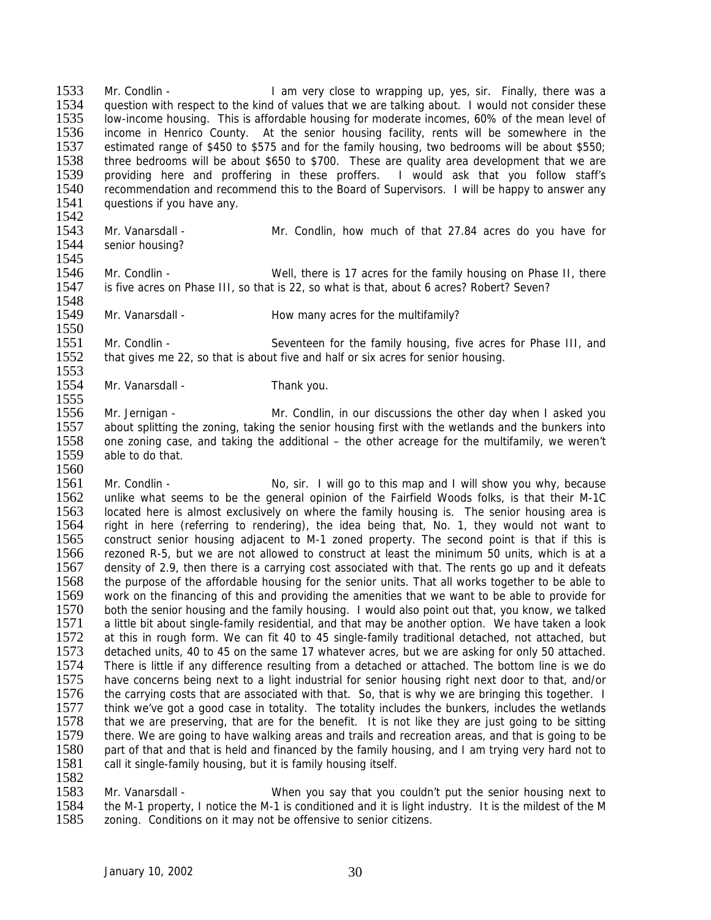1533 Mr. Condlin - I am very close to wrapping up, yes, sir. Finally, there was a<br>1534 auestion with respect to the kind of values that we are talking about I would not consider these 1534 question with respect to the kind of values that we are talking about. I would not consider these 1535 low-income housing. This is affordable housing for moderate incomes. 60% of the mean level of low-income housing. This is affordable housing for moderate incomes, 60% of the mean level of 1536 income in Henrico County. At the senior housing facility, rents will be somewhere in the 1537 estimated range of \$450 to \$575 and for the family housing, two bedrooms will be about \$550; 1537 estimated range of \$450 to \$575 and for the family housing, two bedrooms will be about \$550;<br>1538 three bedrooms will be about \$650 to \$700. These are quality area development that we are three bedrooms will be about \$650 to \$700. These are quality area development that we are 1539 providing here and proffering in these proffers. I would ask that you follow staff's<br>1540 recommendation and recommend this to the Board of Supervisors. I will be happy to answer any 1540 recommendation and recommend this to the Board of Supervisors. I will be happy to answer any 1541 uses since any questions if you have any.

- 1542<br>1543 1543 Mr. Vanarsdall - Mr. Condlin, how much of that 27.84 acres do you have for 1544 senior housing? senior housing? 1545
- 1546 Mr. Condlin Well, there is 17 acres for the family housing on Phase II, there 1547 is five acres on Phase III, so that is 22, so what is that, about 6 acres? Robert? Seven? is five acres on Phase III, so that is 22, so what is that, about 6 acres? Robert? Seven?
- 1548<br>1549 Mr. Vanarsdall - The How many acres for the multifamily?

1550<br>1551 1551 Mr. Condlin - Seventeen for the family housing, five acres for Phase III, and 1552 that gives me 22, so that is about five and half or six acres for senior housing. that gives me 22, so that is about five and half or six acres for senior housing.

1553<br>1554 Mr. Vanarsdall - Thank you.

1555<br>1556 Mr. Jernigan - Mr. Condlin, in our discussions the other day when I asked you 1557 about splitting the zoning, taking the senior housing first with the wetlands and the bunkers into 1558 one zoning case, and taking the additional – the other acreage for the multifamily, we weren't one zoning case, and taking the additional – the other acreage for the multifamily, we weren't 1559 able to do that. 1560

- 1561 Mr. Condlin No, sir. I will go to this map and I will show you why, because 1562 unlike what seems to be the general opinion of the Fairfield Woods folks, is that their M-1C<br>1563 located here is almost exclusively on where the family housing is. The senior housing area is 1563 located here is almost exclusively on where the family housing is. The senior housing area is<br>1564 right in here (referring to rendering), the idea being that, No. 1, they would not want to 1564 right in here (referring to rendering), the idea being that, No. 1, they would not want to 1565 construct senior housing adiacent to M-1 zoned property. The second point is that if this is 1565 construct senior housing adjacent to M-1 zoned property. The second point is that if this is 1566 rezoned R-5, but we are not allowed to construct at least the minimum 50 units, which is at a rezoned R-5, but we are not allowed to construct at least the minimum 50 units, which is at a 1567 density of 2.9, then there is a carrying cost associated with that. The rents go up and it defeats 1568 the purpose of the affordable housing for the senior units. That all works together to be able to the purpose of the affordable housing for the senior units. That all works together to be able to 1569 work on the financing of this and providing the amenities that we want to be able to provide for 1570 both the senior housing and the family housing. I would also point out that, you know, we talked 1571 a little bit about single-family residential, and that may be another option. We have taken a look 1572 at this in rough form. We can fit 40 to 45 single-family traditional detached, not attached, but 1573 detached units, 40 to 45 on the same 17 whatever acres, but we are asking for only 50 attached. 1573 detached units, 40 to 45 on the same 17 whatever acres, but we are asking for only 50 attached.<br>1574 There is little if any difference resulting from a detached or attached. The bottom line is we do 1574 There is little if any difference resulting from a detached or attached. The bottom line is we do<br>1575 have concerns being next to a light industrial for senior housing right next door to that, and/or 1575 have concerns being next to a light industrial for senior housing right next door to that, and/or<br>1576 the carrying costs that are associated with that. So that is why we are bringing this together. I the carrying costs that are associated with that. So, that is why we are bringing this together. I 1577 think we've got a good case in totality. The totality includes the bunkers, includes the wetlands<br>1578 that we are preserving, that are for the benefit. It is not like they are just going to be sitting 1578 that we are preserving, that are for the benefit. It is not like they are just going to be sitting 1579 there. We are going to have walking areas and trails and recreation areas, and that is going to be there. We are going to have walking areas and trails and recreation areas, and that is going to be 1580 part of that and that is held and financed by the family housing, and I am trying very hard not to 1581 call it single-family housing, but it is family housing itself.
- 1582<br>1583

1583 Mr. Vanarsdall - When you say that you couldn't put the senior housing next to<br>1584 the M-1 property. I notice the M-1 is conditioned and it is light industry. It is the mildest of the M 1584 the M-1 property, I notice the M-1 is conditioned and it is light industry. It is the mildest of the M<br>1585 zoning. Conditions on it may not be offensive to senior citizens. zoning. Conditions on it may not be offensive to senior citizens.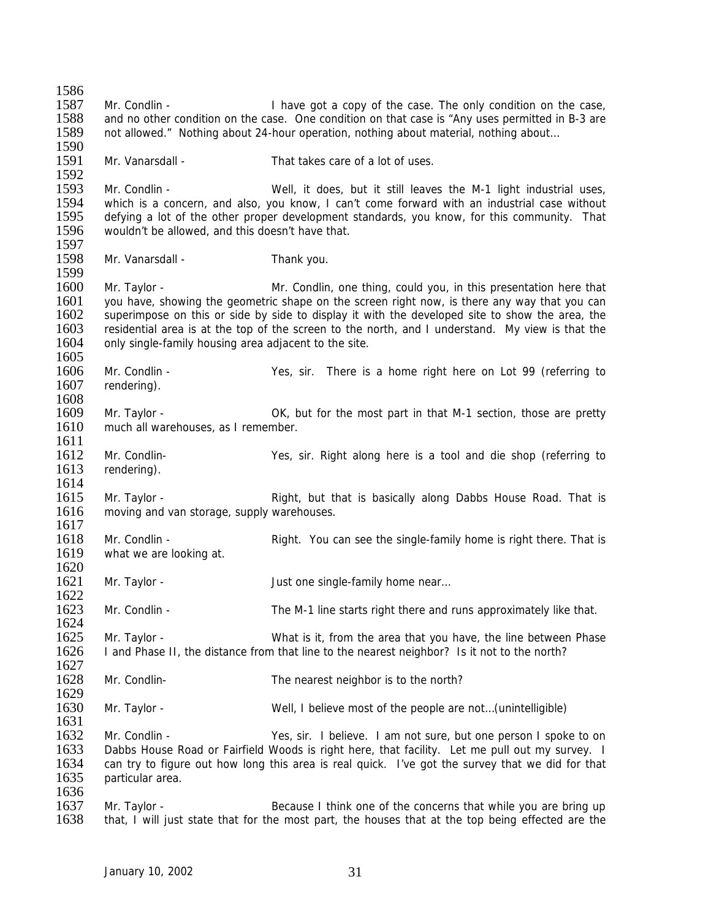1586<br>1587 1587 Mr. Condlin - I have got a copy of the case. The only condition on the case,<br>1588 and no other condition on the case. One condition on that case is "Any uses permitted in B-3 are and no other condition on the case. One condition on that case is "Any uses permitted in B-3 are 1589 not allowed." Nothing about 24-hour operation, nothing about material, nothing about… 1590 1591 Mr. Vanarsdall - That takes care of a lot of uses. 1592<br>1593 Mr. Condlin - Well, it does, but it still leaves the M-1 light industrial uses, 1594 which is a concern, and also, you know, I can't come forward with an industrial case without 1595 defving a lot of the other proper development standards, you know, for this community. That 1595 defying a lot of the other proper development standards, you know, for this community. That 1596 wouldn't be allowed, and this doesn't have that. wouldn't be allowed, and this doesn't have that. 1597<br>1598 Mr. Vanarsdall - Thank you. 1599<br>1600 Mr. Taylor - Mr. Condlin, one thing, could you, in this presentation here that 1601 you have, showing the geometric shape on the screen right now, is there any way that you can<br>1602 superimpose on this or side by side to display it with the developed site to show the area, the superimpose on this or side by side to display it with the developed site to show the area, the 1603 residential area is at the top of the screen to the north, and I understand. My view is that the 1604 only single-family housing area adjacent to the site. 1605<br>1606 1606 Mr. Condlin - Yes, sir. There is a home right here on Lot 99 (referring to 1607 rendering). rendering). 1608<br>1609 Mr. Taylor - **OK, but for the most part in that M-1 section, those are pretty** 1610 much all warehouses, as I remember. 1611 1612 Mr. Condlin- Yes, sir. Right along here is a tool and die shop (referring to 1613 rendering). 1614 1615 Mr. Taylor - Right, but that is basically along Dabbs House Road. That is 1616 moving and van storage, supply warehouses. moving and van storage, supply warehouses.  $\frac{1617}{1618}$ 1618 Mr. Condlin - Right. You can see the single-family home is right there. That is 1619 what we are looking at. what we are looking at. 1620<br>1621 Mr. Taylor - Just one single-family home near... 1622 1623 Mr. Condlin - The M-1 line starts right there and runs approximately like that. 1624 1625 Mr. Taylor - What is it, from the area that you have, the line between Phase<br>1626 I and Phase II, the distance from that line to the nearest neighbor? Is it not to the north? I and Phase II, the distance from that line to the nearest neighbor? Is it not to the north? 1627<br>1628 Mr. Condlin- The nearest neighbor is to the north?  $\frac{1629}{1630}$ 1630 Mr. Taylor - Well, I believe most of the people are not…(unintelligible) 1631<br>1632 Mr. Condlin - The State of Mr. Condlin - Yes, sir. I believe. I am not sure, but one person I spoke to on 1633 Dabbs House Road or Fairfield Woods is right here, that facility. Let me pull out my survey. I 1634 can try to figure out how long this area is real quick. I've got the survey that we did for that 1635 particular area. 1636<br>1637 1637 Mr. Taylor - Because I think one of the concerns that while you are bring up<br>1638 that. I will just state that for the most part, the houses that at the top being effected are the that, I will just state that for the most part, the houses that at the top being effected are the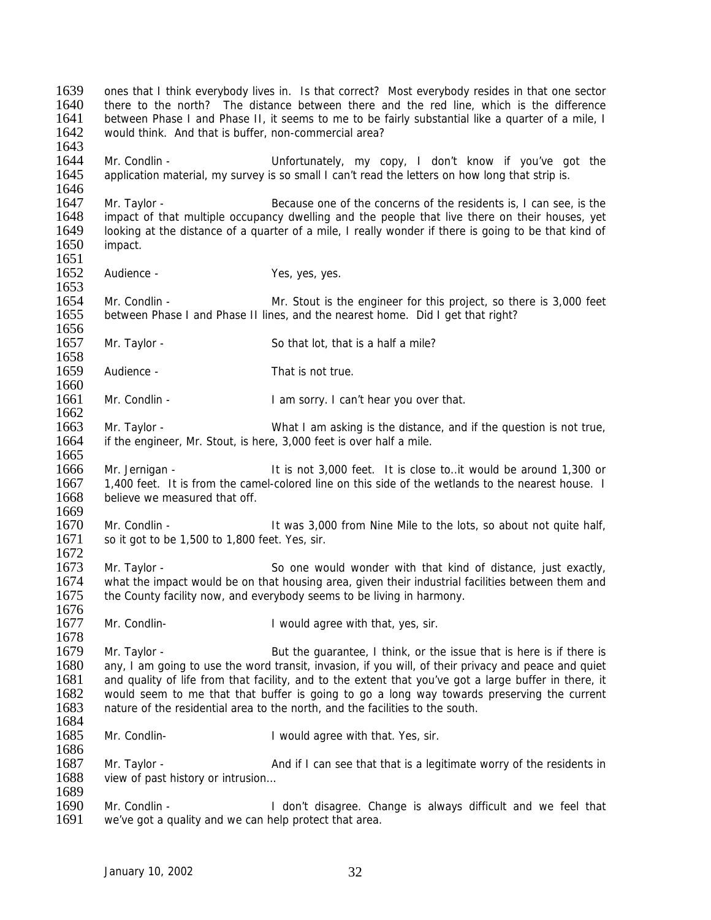1639 ones that I think everybody lives in. Is that correct? Most everybody resides in that one sector 1640 there to the north? The distance between there and the red line which is the difference 1640 there to the north? The distance between there and the red line, which is the difference 1641 between Phase I and Phase II, it seems to me to be fairly substantial like a quarter of a mile. I between Phase I and Phase II, it seems to me to be fairly substantial like a quarter of a mile, I 1642 would think. And that is buffer, non-commercial area? 1643 1644 Mr. Condlin - Unfortunately, my copy, I don't know if you've got the 1645 application material, my survey is so small I can't read the letters on how long that strip is. 1646<br>1647 1647 Mr. Taylor - Because one of the concerns of the residents is, I can see, is the 1648 impact of that multiple occupancy dwelling and the people that live there on their houses, vet 1648 impact of that multiple occupancy dwelling and the people that live there on their houses, yet 1649 isoking at the distance of a quarter of a mile. I really wonder if there is going to be that kind of 1649 looking at the distance of a quarter of a mile, I really wonder if there is going to be that kind of 1650 impact. impact. 1651 1652 Audience - Yes, yes, yes. 1653 1654 Mr. Condlin - Mr. Stout is the engineer for this project, so there is 3,000 feet 1655 between Phase I and Phase II lines, and the nearest home. Did I get that right? 1656<br>1657 Mr. Taylor - So that lot, that is a half a mile? 1658<br>1659 Audience - That is not true. 1660<br>1661 Mr. Condlin - I am sorry. I can't hear you over that. 1662 1663 Mr. Taylor - What I am asking is the distance, and if the question is not true, 1664 if the engineer, Mr. Stout, is here, 3,000 feet is over half a mile. 1665 1666 Mr. Jernigan - It is not 3,000 feet. It is close to..it would be around 1,300 or 1667 1,400 feet. It is from the camel-colored line on this side of the wetlands to the nearest house. I 1668 believe we measured that off. 1669<br>1670 Mr. Condlin - The Mile to the lots, so about not quite half, 1671 so it got to be 1,500 to 1,800 feet. Yes, sir. 1672 1673 Mr. Taylor - So one would wonder with that kind of distance, just exactly,<br>1674 what the impact would be on that housing area, given their industrial facilities between them and what the impact would be on that housing area, given their industrial facilities between them and 1675 the County facility now, and everybody seems to be living in harmony. 1676 1677 Mr. Condlin- 1 would agree with that, yes, sir. 1678<br>1679 1679 Mr. Taylor - But the guarantee, I think, or the issue that is here is if there is 1680 any. I am going to use the word transit, invasion, if you will, of their privacy and peace and quiet 1680 any, I am going to use the word transit, invasion, if you will, of their privacy and peace and quiet 1681 and quality of life from that facility, and to the extent that you've got a large buffer in there, it 1681 and quality of life from that facility, and to the extent that you've got a large buffer in there, it<br>1682 would seem to me that that buffer is going to go a long way towards preserving the current 1682 would seem to me that that buffer is going to go a long way towards preserving the current 1683 nature of the residential area to the north, and the facilities to the south. nature of the residential area to the north, and the facilities to the south. 1684 1685 Mr. Condlin- I would agree with that. Yes, sir. 1686 1687 Mr. Taylor - And if I can see that that is a legitimate worry of the residents in 1688 view of past history or intrusion... 1689<br>1690 1690 Mr. Condlin - I don't disagree. Change is always difficult and we feel that 1691 we've got a quality and we can help protect that area. we've got a quality and we can help protect that area.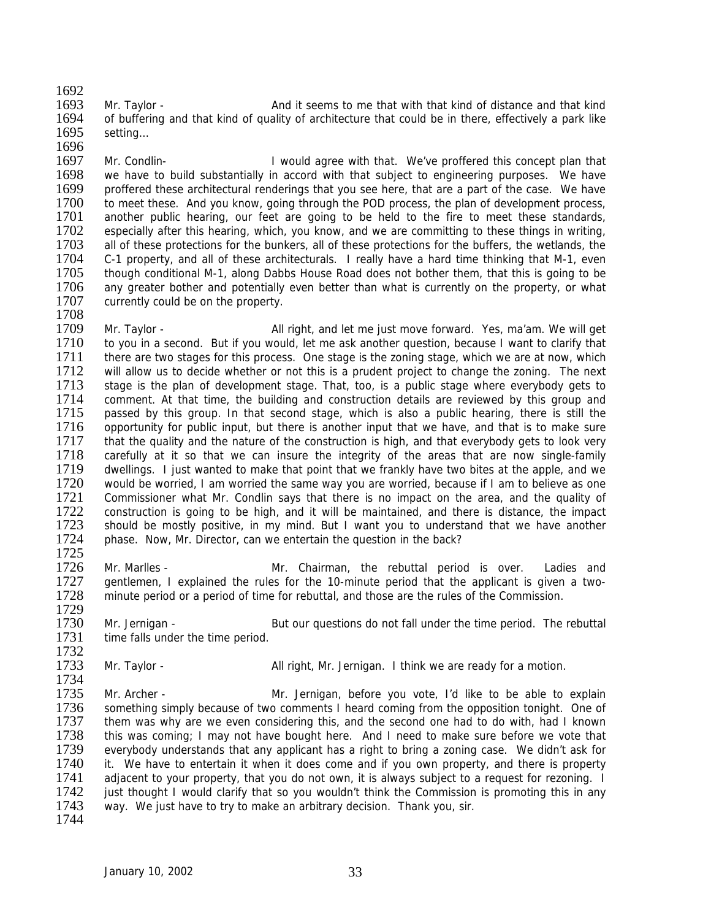1692<br>1693

1693 Mr. Taylor - And it seems to me that with that kind of distance and that kind<br>1694 of buffering and that kind of quality of architecture that could be in there, effectively a park like of buffering and that kind of quality of architecture that could be in there, effectively a park like 1695 setting…

1696<br>1697 Mr. Condlin- **I** would agree with that. We've proffered this concept plan that 1698 we have to build substantially in accord with that subject to engineering purposes. We have 1699 proffered these architectural renderings that you see here, that are a part of the case. We have 1699 proffered these architectural renderings that you see here, that are a part of the case. We have 1700 to meet these. And you know, going through the POD process, the plan of development process. 1700 to meet these. And you know, going through the POD process, the plan of development process, 1701 another public hearing, our feet are going to be held to the fire to meet these standards. 1701 another public hearing, our feet are going to be held to the fire to meet these standards,<br>1702 especially after this hearing, which, you know, and we are committing to these things in writing. 1702 especially after this hearing, which, you know, and we are committing to these things in writing, 1703 all of these protections for the bunkers, all of these protections for the buffers, the wetlands, the 1703 all of these protections for the bunkers, all of these protections for the buffers, the wetlands, the 1704 C-1 property, and all of these architecturals. I really have a hard time thinking that M-1, even C-1 property, and all of these architecturals. I really have a hard time thinking that M-1, even 1705 though conditional M-1, along Dabbs House Road does not bother them, that this is going to be<br>1706 any greater bother and potentially even better than what is currently on the property, or what 1706 any greater bother and potentially even better than what is currently on the property, or what 1707 currently could be on the property. currently could be on the property. 1708

1709 Mr. Taylor - All right, and let me just move forward. Yes, ma'am. We will get 1710 to vou in a second. But if you would, let me ask another question, because I want to clarify that 1710 to you in a second. But if you would, let me ask another question, because I want to clarify that 1711 there are two stages for this process. One stage is the zoning stage, which we are at now, which 1711 there are two stages for this process. One stage is the zoning stage, which we are at now, which<br>1712 will allow us to decide whether or not this is a prudent project to change the zoning. The next 1712 will allow us to decide whether or not this is a prudent project to change the zoning. The next 1713 stage is the plan of development stage. That, too, is a public stage where everybody gets to 1713 stage is the plan of development stage. That, too, is a public stage where everybody gets to 1714 comment. At that time, the building and construction details are reviewed by this group and 1714 comment. At that time, the building and construction details are reviewed by this group and 1715 passed by this group. In that second stage, which is also a public hearing, there is still the passed by this group. In that second stage, which is also a public hearing, there is still the 1716 opportunity for public input, but there is another input that we have, and that is to make sure<br>1717 that the quality and the nature of the construction is high, and that everybody gets to look very that the quality and the nature of the construction is high, and that everybody gets to look very 1718 carefully at it so that we can insure the integrity of the areas that are now single-family 1719 dwellings. I just wanted to make that point that we frankly have two bites at the apple, and we 1720 would be worried, I am worried the same way you are worried, because if I am to believe as one 1721 Commissioner what Mr. Condlin says that there is no impact on the area, and the quality of 1722 construction is going to be high, and it will be maintained, and there is distance, the impact 1722 construction is going to be high, and it will be maintained, and there is distance, the impact 1723 should be mostly positive, in my mind. But I want you to understand that we have another 1723 should be mostly positive, in my mind. But I want you to understand that we have another 1724 phase. Now Mr. Director, can we entertain the question in the back? phase. Now, Mr. Director, can we entertain the question in the back? 1725

1726 Mr. Marlles - Mr. Chairman, the rebuttal period is over. Ladies and 1727 gentlemen, I explained the rules for the 10-minute period that the applicant is given a twogentlemen, I explained the rules for the 10-minute period that the applicant is given a two-1728 minute period or a period of time for rebuttal, and those are the rules of the Commission. 1729

1730 Mr. Jernigan - But our questions do not fall under the time period. The rebuttal 1731 time falls under the time period.

1732<br>1733 Mr. Taylor - **All right, Mr. Jernigan.** I think we are ready for a motion.

1734<br>1735 1735 Mr. Archer - Mr. Jernigan, before you vote, I'd like to be able to explain<br>1736 something simply because of two comments I heard coming from the opposition tonight. One of 1736 something simply because of two comments I heard coming from the opposition tonight. One of 1737 them was why are we even considering this, and the second one had to do with, had I known 1737 them was why are we even considering this, and the second one had to do with, had I known<br>1738 this was coming; I may not have bought here. And I need to make sure before we vote that this was coming; I may not have bought here. And I need to make sure before we vote that 1739 everybody understands that any applicant has a right to bring a zoning case. We didn't ask for 1740 it. We have to entertain it when it does come and if you own property, and there is property 1741 adjacent to your property, that you do not own, it is always subject to a request for rezoning. I<br>1742 iust thought I would clarify that so you wouldn't think the Commission is promoting this in any 1742 just thought I would clarify that so you wouldn't think the Commission is promoting this in any 1743 way. We just have to try to make an arbitrary decision. Thank you, sir. way. We just have to try to make an arbitrary decision. Thank you, sir.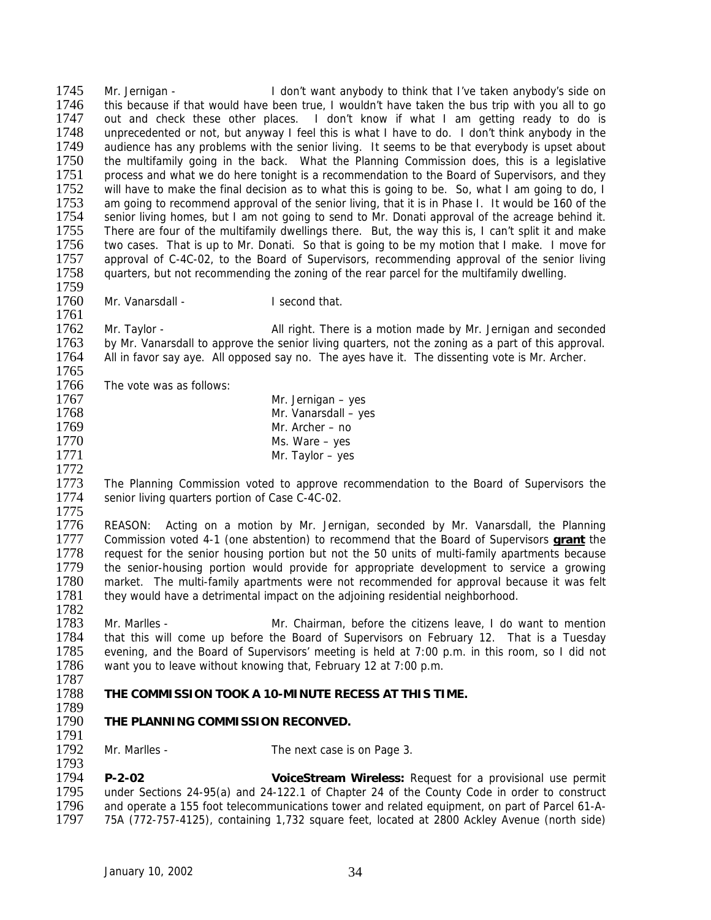1745 Mr. Jernigan - I don't want anybody to think that I've taken anybody's side on<br>1746 This because if that would have been true. I wouldn't have taken the bus trip with you all to go 1746 this because if that would have been true, I wouldn't have taken the bus trip with you all to go<br>1747 out and check these other places. I don't know if what I am getting ready to do is out and check these other places. I don't know if what I am getting ready to do is 1748 unprecedented or not, but anyway I feel this is what I have to do. I don't think anybody in the 1749 audience has any problems with the senior living. It seems to be that everybody is upset about 1749 audience has any problems with the senior living. It seems to be that everybody is upset about 1750 the multifamily going in the back. What the Planning Commission does, this is a legislative the multifamily going in the back. What the Planning Commission does, this is a legislative 1751 process and what we do here tonight is a recommendation to the Board of Supervisors, and they<br>1752 will have to make the final decision as to what this is going to be. So, what I am going to do. I 1752 will have to make the final decision as to what this is going to be. So, what I am going to do, I<br>1753 am going to recommend approval of the senior living, that it is in Phase I. It would be 160 of the 1753 am going to recommend approval of the senior living, that it is in Phase I. It would be 160 of the 1754 senior living homes, but I am not going to send to Mr. Donati approval of the acreage behind it. 1754 senior living homes, but I am not going to send to Mr. Donati approval of the acreage behind it.<br>1755 There are four of the multifamily dwellings there. But, the way this is, I can't split it and make 1755 There are four of the multifamily dwellings there. But, the way this is, I can't split it and make<br>1756 two cases. That is up to Mr. Donati. So that is going to be my motion that I make. I move for 1756 two cases. That is up to Mr. Donati. So that is going to be my motion that I make. I move for 1757 approval of C-4C-02, to the Board of Supervisors, recommending approval of the senior living approval of C-4C-02, to the Board of Supervisors, recommending approval of the senior living 1758 quarters, but not recommending the zoning of the rear parcel for the multifamily dwelling. 1759

- 1760 Mr. Vanarsdall I second that.
	-

1762 Mr. Taylor - **All right. There is a motion made by Mr. Jernigan and seconded** 1763 by Mr. Vanarsdall to approve the senior living quarters, not the zoning as a part of this approval. 1763 by Mr. Vanarsdall to approve the senior living quarters, not the zoning as a part of this approval.<br>1764 All in favor sav ave. All opposed sav no. The aves have it. The dissenting vote is Mr. Archer. All in favor say aye. All opposed say no. The ayes have it. The dissenting vote is Mr. Archer. 1765<br>1766

Mr. Vanarsdall – yes

Ms. Ware – yes

1766 The vote was as follows:<br>1767

1767 Mr. Jernigan – yes<br>1768 Mr. Vanarsdall – ve

1761

- 
- 1769 Mr. Archer no<br>1770 Ms. Ware yes
- 1771 Mr. Taylor yes
- 1772

1793

1773 The Planning Commission voted to approve recommendation to the Board of Supervisors the 1774 senior living quarters portion of Case C-4C-02.

1775<br>1776 1776 REASON: Acting on a motion by Mr. Jernigan, seconded by Mr. Vanarsdall, the Planning<br>1777 Commission voted 4-1 (one abstention) to recommend that the Board of Supervisors **grant** the 1777 Commission voted 4-1 (one abstention) to recommend that the Board of Supervisors **grant** the 1778 request for the senior housing portion but not the 50 units of multi-family apartments because<br>1779 the senior-housing portion would provide for appropriate development to service a growing 1779 the senior-housing portion would provide for appropriate development to service a growing<br>1780 market. The multi-family apartments were not recommended for approval because it was felt market. The multi-family apartments were not recommended for approval because it was felt 1781 they would have a detrimental impact on the adjoining residential neighborhood. 1782

1783 Mr. Marlles - Mr. Chairman, before the citizens leave, I do want to mention 1784 that this will come up before the Board of Supervisors on February 12. That is a Tuesday<br>1785 evening, and the Board of Supervisors' meeting is held at 7:00 p.m. in this room, so I did not 1785 evening, and the Board of Supervisors' meeting is held at 7:00 p.m. in this room, so I did not 1786 want you to leave without knowing that, February 12 at 7:00 p.m. want you to leave without knowing that, February 12 at 7:00 p.m.

- 1787<br>1788 1788 **THE COMMISSION TOOK A 10-MINUTE RECESS AT THIS TIME.**
- 1789<br>1790 **THE PLANNING COMMISSION RECONVED.**

1791<br>1792 Mr. Marlles - The next case is on Page 3.

1794 **P-2-02 VoiceStream Wireless:** Request for a provisional use permit 1795 under Sections 24-95(a) and 24-122.1 of Chapter 24 of the County Code in order to construct<br>1796 and operate a 155 foot telecommunications tower and related equipment, on part of Parcel 61-A-1796 and operate a 155 foot telecommunications tower and related equipment, on part of Parcel 61-A-<br>1797 75A (772-757-4125), containing 1.732 square feet, located at 2800 Ackley Avenue (north side) 1797 75A (772-757-4125), containing 1,732 square feet, located at 2800 Ackley Avenue (north side)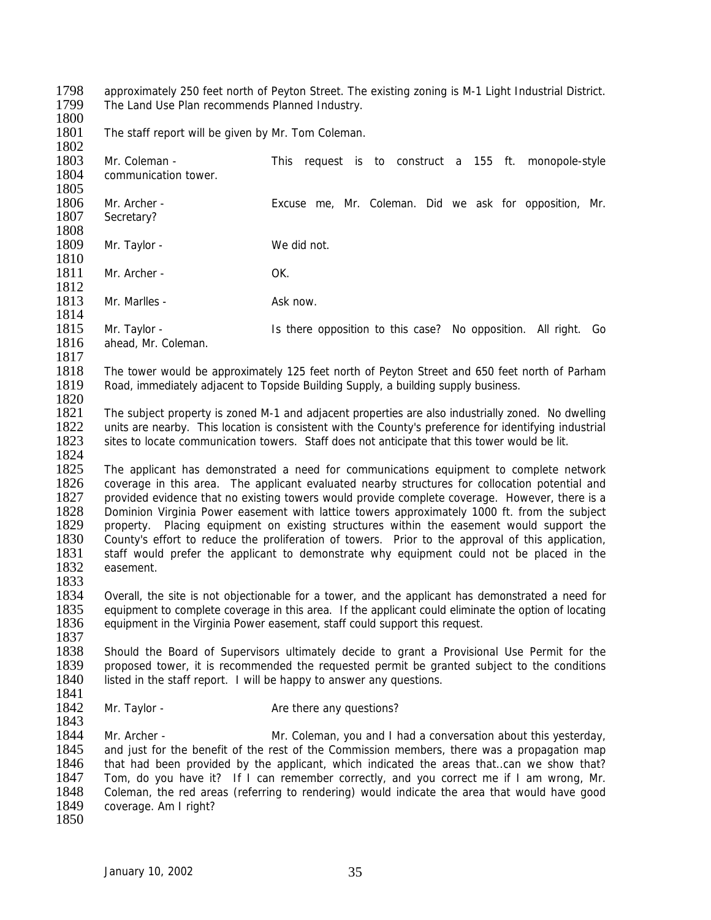1798 approximately 250 feet north of Peyton Street. The existing zoning is M-1 Light Industrial District.<br>1799 The Land Use Plan recommends Planned Industry. The Land Use Plan recommends Planned Industry.

1800

1801 The staff report will be given by Mr. Tom Coleman.

1802<br>1803 Mr. Coleman - This request is to construct a 155 ft. monopole-style 1804 communication tower. 1805<br>1806 1806 Mr. Archer - Excuse me, Mr. Coleman. Did we ask for opposition, Mr. 1807 Secretary? Secretary? 1808<br>1809 Mr. Taylor - We did not. 1810 1811 Mr. Archer - OK. 1812 1813 Mr. Marlles - Ask now. 1814 1815 Mr. Taylor - Is there opposition to this case? No opposition. All right. Go<br>1816 ahead. Mr. Coleman. ahead, Mr. Coleman. 1817<br>1818 1818 The tower would be approximately 125 feet north of Peyton Street and 650 feet north of Parham<br>1819 Road, immediately adiacent to Topside Building Supply, a building supply business. Road, immediately adjacent to Topside Building Supply, a building supply business. 1820<br>1821 The subject property is zoned M-1 and adjacent properties are also industrially zoned. No dwelling 1822 units are nearby. This location is consistent with the County's preference for identifying industrial 1823 sites to locate communication towers. Staff does not anticipate that this tower would be lit. sites to locate communication towers. Staff does not anticipate that this tower would be lit. 1824 1825 The applicant has demonstrated a need for communications equipment to complete network 1826 coverage in this area. The applicant evaluated nearby structures for collocation potential and 1827 provided evidence that no existing towers would provide complete coverage. However, there is a<br>1828 Dominion Virginia Power easement with lattice towers approximately 1000 ft. from the subject 1828 Dominion Virginia Power easement with lattice towers approximately 1000 ft. from the subject 1829 property. Placing equipment on existing structures within the easement would support the 1829 property. Placing equipment on existing structures within the easement would support the 1830 County's effort to reduce the proliferation of towers. Prior to the approval of this application. 1830 County's effort to reduce the proliferation of towers. Prior to the approval of this application,<br>1831 staff would prefer the applicant to demonstrate why equipment could not be placed in the 1831 staff would prefer the applicant to demonstrate why equipment could not be placed in the 1832 easement. easement. 1833 1834 Overall, the site is not objectionable for a tower, and the applicant has demonstrated a need for 1835 equipment to complete coverage in this area. If the applicant could eliminate the option of locating 1836 equipment in the Virginia Power easement, staff could support this request. 1837<br>1838 1838 Should the Board of Supervisors ultimately decide to grant a Provisional Use Permit for the 1839 proposed tower, it is recommended the requested permit be aranted subject to the conditions 1839 proposed tower, it is recommended the requested permit be granted subject to the conditions 1840 listed in the staff report. I will be happy to answer any questions. listed in the staff report. I will be happy to answer any questions. 1841<br>1842 Mr. Taylor - Are there any questions? 1843<br>1844 Mr. Archer - **Mr. Coleman, you and I had a conversation about this yesterday,** 1845 and just for the benefit of the rest of the Commission members, there was a propagation map 1846 that had been provided by the applicant, which indicated the areas that..can we show that? 1847 Tom, do you have it? If I can remember correctly, and you correct me if I am wrong, Mr.<br>1848 Coleman, the red areas (referring to rendering) would indicate the area that would have good 1848 Coleman, the red areas (referring to rendering) would indicate the area that would have good 1849 coverage. Am I right? coverage. Am I right? 1850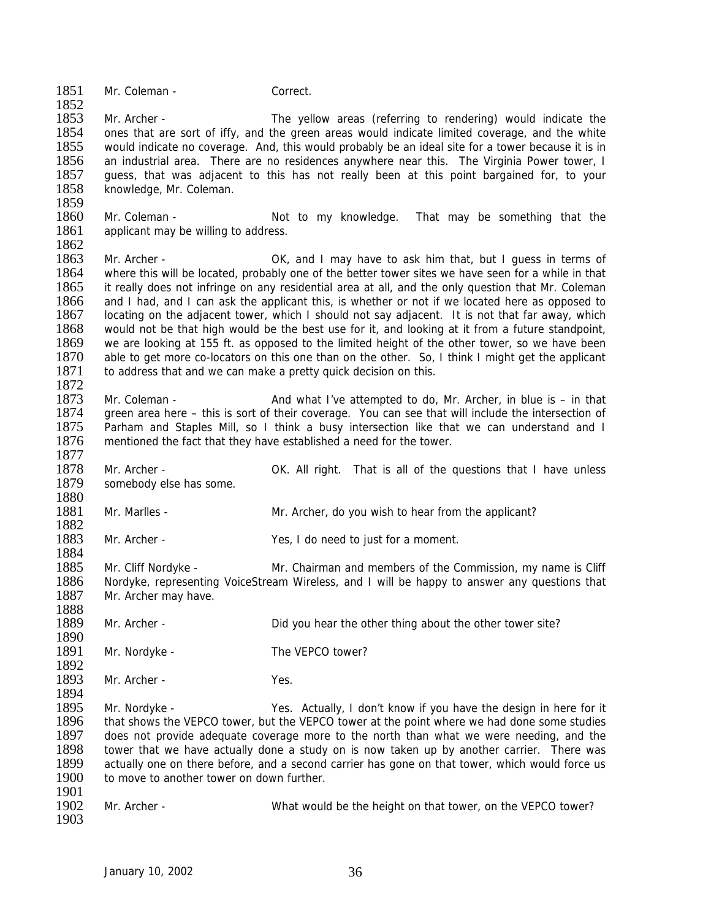1851 Mr. Coleman - Correct.

1852<br>1853 1853 Mr. Archer - The yellow areas (referring to rendering) would indicate the 1854 ones that are sort of iffy, and the green areas would indicate limited coverage, and the white<br>1855 would indicate no coverage. And, this would probably be an ideal site for a tower because it is in would indicate no coverage. And, this would probably be an ideal site for a tower because it is in 1856 an industrial area. There are no residences anywhere near this. The Virginia Power tower, I 1857 guess, that was adjacent to this has not really been at this point bargained for, to your 1858 knowledge. Mr. Coleman. knowledge, Mr. Coleman.

1859<br>1860 1860 Mr. Coleman - Not to my knowledge. That may be something that the 1861 applicant may be willing to address. applicant may be willing to address.

1862<br>1863 Mr. Archer - The Context Context of I may have to ask him that, but I guess in terms of 1864 where this will be located, probably one of the better tower sites we have seen for a while in that 1865 it really does not infringe on any residential area at all, and the only question that Mr. Coleman it really does not infringe on any residential area at all, and the only question that Mr. Coleman 1866 and I had, and I can ask the applicant this, is whether or not if we located here as opposed to 1867 locating on the adjacent tower, which I should not say adjacent. It is not that far away, which 1868 would not be that high would be the best use for it, and looking at it from a future standpoint, 1869 we are looking at 155 ft. as opposed to the limited height of the other tower, so we have been 1870 able to get more co-locators on this one than on the other. So, I think I might get the applicant 1870 able to get more co-locators on this one than on the other. So, I think I might get the applicant 1871 to address that and we can make a pretty quick decision on this. to address that and we can make a pretty quick decision on this.

1872<br>1873 1873 Mr. Coleman - And what I've attempted to do, Mr. Archer, in blue is – in that 1874 areen area here – this is sort of their coverage. You can see that will include the intersection of green area here – this is sort of their coverage. You can see that will include the intersection of 1875 Parham and Staples Mill, so I think a busy intersection like that we can understand and I 1876 mentioned the fact that they have established a need for the tower.

1878 Mr. Archer - OK. All right. That is all of the questions that I have unless 1879 somebody else has some.

1880 Mr. Marlles - Mr. Archer, do you wish to hear from the applicant?

1882<br>1883 Mr. Archer - Yes, I do need to just for a moment.

1885 Mr. Cliff Nordyke - Mr. Chairman and members of the Commission, my name is Cliff<br>1886 Nordyke, representing VoiceStream Wireless, and I will be happy to answer any questions that Nordyke, representing VoiceStream Wireless, and I will be happy to answer any questions that 1887 Mr. Archer may have.

1889 Mr. Archer - Did you hear the other thing about the other tower site?

1890<br>1891 Mr. Nordyke - The VEPCO tower?

1892<br>1893 Mr. Archer - Yes.

1877

1884

1888

1894<br>1895 1895 Mr. Nordyke - Yes. Actually, I don't know if you have the design in here for it 1896 that shows the VEPCO tower, but the VEPCO tower at the point where we had done some studies that shows the VEPCO tower, but the VEPCO tower at the point where we had done some studies 1897 does not provide adequate coverage more to the north than what we were needing, and the 1898 tower that we have actually done a study on is now taken up by another carrier. There was 1899 actually one on there before, and a second carrier has gone on that tower, which would force us 1900 to move to another tower on down further.

1901<br>1902 Mr. Archer - What would be the height on that tower, on the VEPCO tower? 1903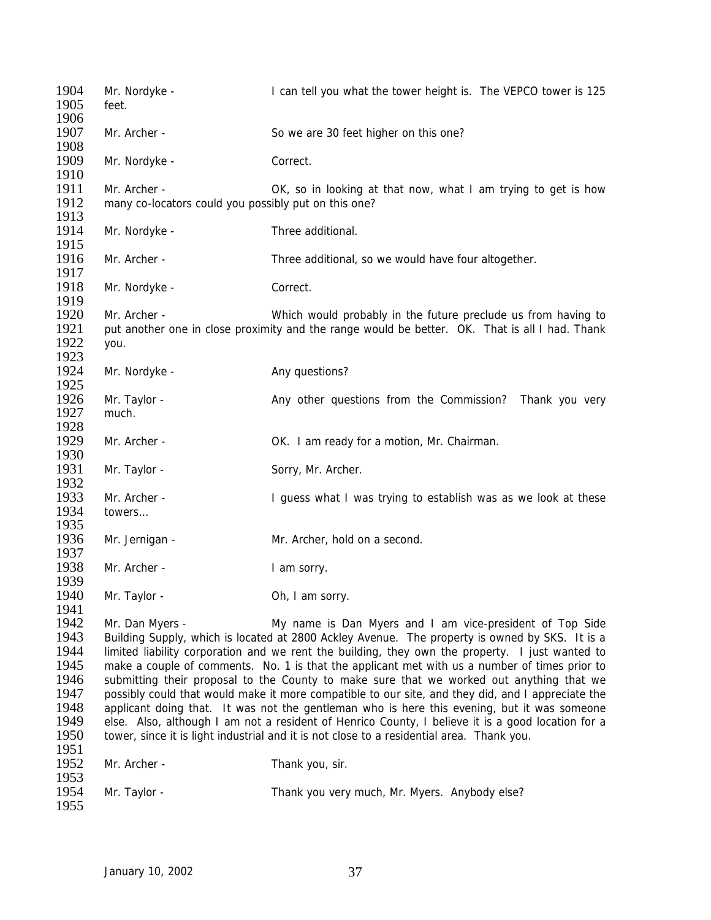1904 Mr. Nordyke - I can tell you what the tower height is. The VEPCO tower is 125 1905 feet. 1906 1907 Mr. Archer - So we are 30 feet higher on this one? 1908<br>1909 Mr. Nordyke - Correct. 1910<br>1911 Mr. Archer - OK, so in looking at that now, what I am trying to get is how 1912 many co-locators could you possibly put on this one? 1913<br>1914 Mr. Nordyke - Three additional. 1915<br>1916 Mr. Archer - Three additional, so we would have four altogether. 1917<br>1918 Mr. Nordyke - Correct. 1919 1920 Mr. Archer - Which would probably in the future preclude us from having to 1921 put another one in close proximity and the range would be better. OK. That is all I had. Thank 1922 you. 1923<br>1924 Mr. Nordyke - Any questions? 1925<br>1926 1926 Mr. Taylor - Any other questions from the Commission? Thank you very 1927 much. much. 1928<br>1929 Mr. Archer - CHAIRT COCK. I am ready for a motion, Mr. Chairman. 1930 1931 Mr. Taylor - Sorry, Mr. Archer. 1932 1933 Mr. Archer - I guess what I was trying to establish was as we look at these<br>1934 towers... towers... 1935<br>1936 Mr. Jernigan - Mr. Archer, hold on a second. 1937 1938 Mr. Archer - I am sorry. 1939 1940 Mr. Taylor - Ch, I am sorry. 1941 1942 Mr. Dan Myers - My name is Dan Myers and I am vice-president of Top Side 1943 Building Supply, which is located at 2800 Ackley Avenue. The property is owned by SKS. It is a<br>1944 limited liability corporation and we rent the building, they own the property. I just wanted to 1944 limited liability corporation and we rent the building, they own the property. I just wanted to 1945 make a couple of comments. No. 1 is that the applicant met with us a number of times prior to 1945 make a couple of comments. No. 1 is that the applicant met with us a number of times prior to 1946 submitting their proposal to the County to make sure that we worked out anything that we submitting their proposal to the County to make sure that we worked out anything that we 1947 possibly could that would make it more compatible to our site, and they did, and I appreciate the 1948 applicant doing that. It was not the gentleman who is here this evening, but it was someone 1948 applicant doing that. It was not the gentleman who is here this evening, but it was someone<br>1949 else. Also, although I am not a resident of Henrico County. I believe it is a good location for a 1949 else. Also, although I am not a resident of Henrico County, I believe it is a good location for a<br>1950 tower, since it is light industrial and it is not close to a residential area. Thank you. tower, since it is light industrial and it is not close to a residential area. Thank you. 1951 1952 Mr. Archer - Thank you, sir. 1953<br>1954 Mr. Taylor - Thank you very much, Mr. Myers. Anybody else? 1955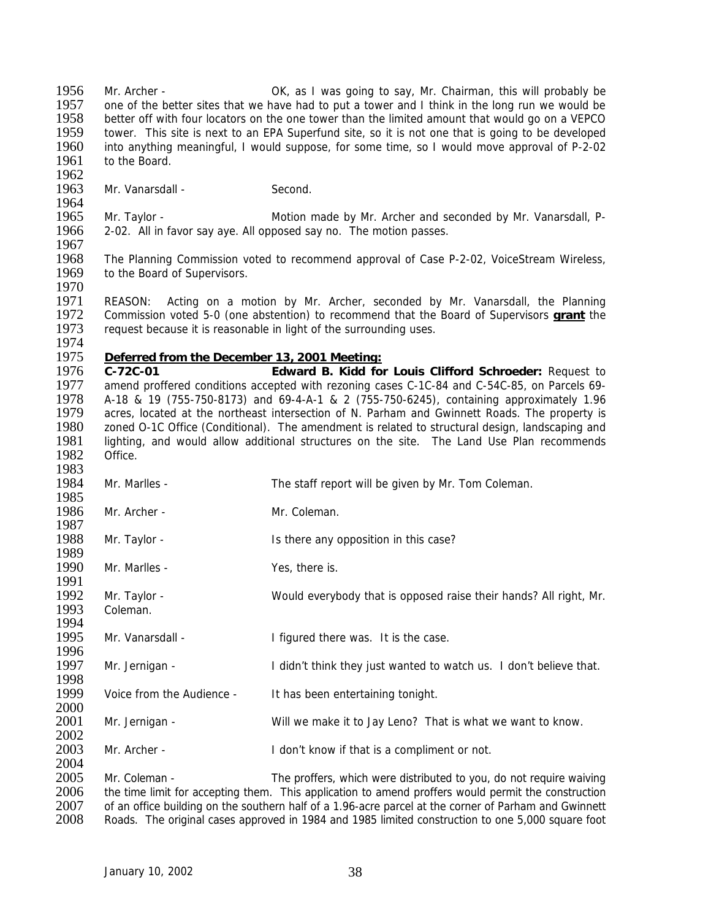1956 Mr. Archer - OK, as I was going to say, Mr. Chairman, this will probably be 1957 one of the better sites that we have had to put a tower and I think in the long run we would be 1957 one of the better sites that we have had to put a tower and I think in the long run we would be 1958 better off with four locators on the one tower than the limited amount that would go on a VEPCO better off with four locators on the one tower than the limited amount that would go on a VEPCO 1959 tower. This site is next to an EPA Superfund site, so it is not one that is going to be developed<br>1960 into anything meaningful, I would suppose, for some time, so I would move approval of P-2-02 into anything meaningful, I would suppose, for some time, so I would move approval of P-2-02 1961 to the Board.

1962<br>1963 Mr. Vanarsdall - Second.

1964<br>1965 1965 Mr. Taylor - Motion made by Mr. Archer and seconded by Mr. Vanarsdall, P-<br>1966 – 2-02. All in favor sav ave. All opposed sav no. The motion passes. 2-02. All in favor say aye. All opposed say no. The motion passes.

1967<br>1968 The Planning Commission voted to recommend approval of Case P-2-02, VoiceStream Wireless, 1969 to the Board of Supervisors. 1970

1971 REASON: Acting on a motion by Mr. Archer, seconded by Mr. Vanarsdall, the Planning 1972 Commission voted 5-0 (one abstention) to recommend that the Board of Supervisors **grant** the 1973 request because it is reasonable in light of the surrounding uses.

## 1974<br>1975 1975 *Deferred from the December 13, 2001 Meeting:*

1976 **C-72C-01 Edward B. Kidd for Louis Clifford Schroeder:** Request to 1977 amend proffered conditions accepted with rezoning cases C-1C-84 and C-54C-85, on Parcels 69-<br>1978 A-18 & 19 (755-750-8173) and 69-4-A-1 & 2 (755-750-6245) containing approximately 196 1978 A-18 & 19 (755-750-8173) and 69-4-A-1 & 2 (755-750-6245), containing approximately 1.96<br>1979 acres, located at the northeast intersection of N. Parham and Gwinnett Roads. The property is acres, located at the northeast intersection of N. Parham and Gwinnett Roads. The property is 1980 zoned O-1C Office (Conditional). The amendment is related to structural design, landscaping and 1981 lighting, and would allow additional structures on the site. The Land Use Plan recommends 1981 lighting, and would allow additional structures on the site. The Land Use Plan recommends 1982 Office. Office. 1983

1984 Mr. Marlles - The staff report will be given by Mr. Tom Coleman. 1985<br>1986 Mr. Archer - Mr. Coleman. 1987<br>1988 Mr. Taylor - The Is there any opposition in this case? 1989<br>1990 Mr. Marlles - Yes, there is. 1991 1992 Mr. Taylor - Would everybody that is opposed raise their hands? All right, Mr.<br>1993 Coleman. Coleman. 1994 1995 Mr. Vanarsdall - I figured there was. It is the case. 1996<br>1997 Mr. Jernigan - I didn't think they just wanted to watch us. I don't believe that. 1998<br>1999 Voice from the Audience - It has been entertaining tonight. 2000<br>2001 Mr. Jernigan - Will we make it to Jay Leno? That is what we want to know. 2002 2003 Mr. Archer - I don't know if that is a compliment or not. 2004 2005 Mr. Coleman - The proffers, which were distributed to you, do not require waiving<br>2006 the time limit for accepting them. This application to amend proffers would permit the construction 2006 the time limit for accepting them. This application to amend proffers would permit the construction<br>2007 of an office building on the southern half of a 1.96-acre parcel at the corner of Parham and Gwinnett

2007 of an office building on the southern half of a 1.96-acre parcel at the corner of Parham and Gwinnett<br>2008 Roads. The original cases approved in 1984 and 1985 limited construction to one 5.000 square foot Roads. The original cases approved in 1984 and 1985 limited construction to one 5,000 square foot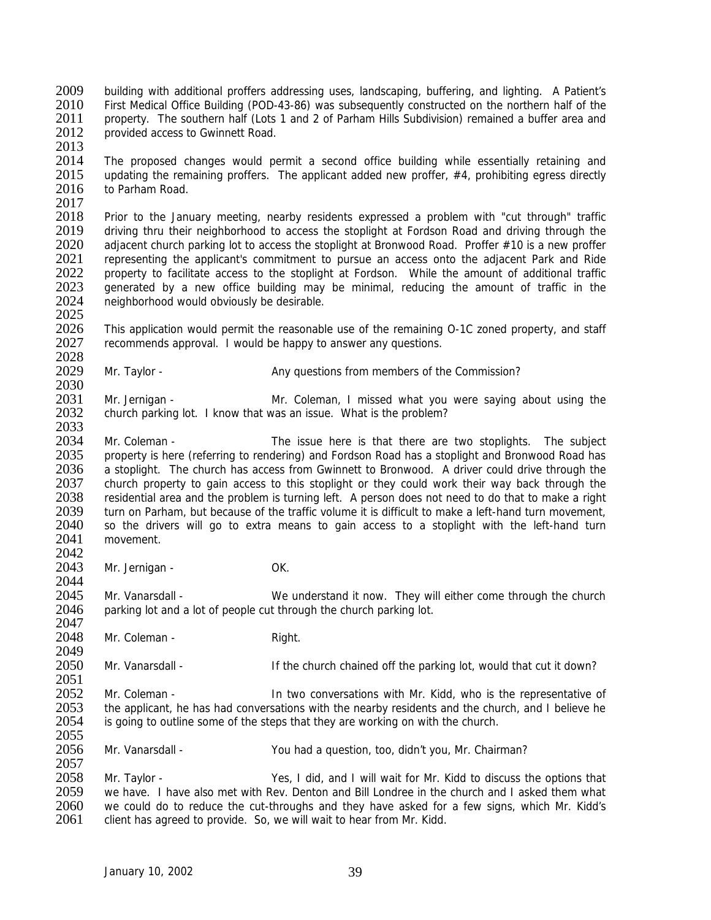- 2009 building with additional proffers addressing uses, landscaping, buffering, and lighting. A Patient's 2010 First Medical Office Building (POD-43-86) was subsequently constructed on the northern half of the 2010 First Medical Office Building (POD-43-86) was subsequently constructed on the northern half of the 2011 property. The southern half (Lots 1 and 2 of Parham Hills Subdivision) remained a buffer area and property. The southern half (Lots 1 and 2 of Parham Hills Subdivision) remained a buffer area and 2012 provided access to Gwinnett Road.
- 2013<br>2014

2025

2044

2047

2057

The proposed changes would permit a second office building while essentially retaining and 2015 updating the remaining proffers. The applicant added new proffer, #4, prohibiting egress directly 2016 to Parham Road. to Parham Road.

2017<br>2018 2018 Prior to the January meeting, nearby residents expressed a problem with "cut through" traffic<br>2019 driving thru their neighborhood to access the stoplight at Fordson Road and driving through the 2019 driving thru their neighborhood to access the stoplight at Fordson Road and driving through the 2020 adiacent church parking lot to access the stoplight at Bronwood Road. Proffer #10 is a new proffer 2020 adjacent church parking lot to access the stoplight at Bronwood Road. Proffer #10 is a new proffer<br>2021 enteresenting the applicant's commitment to pursue an access onto the adjacent Park and Ride 2021 representing the applicant's commitment to pursue an access onto the adjacent Park and Ride 2022 property to facilitate access to the stoplight at Fordson. While the amount of additional traffic<br>2023 generated by a new office building may be minimal, reducing the amount of traffic in the generated by a new office building may be minimal, reducing the amount of traffic in the 2024 neighborhood would obviously be desirable.

2026 This application would permit the reasonable use of the remaining O-1C zoned property, and staff 2027 recommends approval. I would be happy to answer any questions. recommends approval. I would be happy to answer any questions.

2028<br>2029 Mr. Taylor - **Any questions from members of the Commission?** 

2030<br>2031 2031 Mr. Jernigan - Mr. Coleman, I missed what you were saying about using the 2032 church parking lot. I know that was an issue. What is the problem? church parking lot. I know that was an issue. What is the problem?

2033<br>2034 Mr. Coleman - The issue here is that there are two stoplights. The subject 2035 property is here (referring to rendering) and Fordson Road has a stoplight and Bronwood Road has 2036 a stoplight. The church has access from Gwinnett to Bronwood. A driver could drive through the 2037 church property to gain access to this stoplight or they could work their way back through the 2038 residential area and the problem is turning left. A person does not need to do that to make a right 2039 turn on Parham, but because of the traffic volume it is difficult to make a left-hand turn movement. 2039 turn on Parham, but because of the traffic volume it is difficult to make a left-hand turn movement,<br>2040 so the drivers will go to extra means to gain access to a stoplight with the left-hand turn 2040 so the drivers will go to extra means to gain access to a stoplight with the left-hand turn 2041 movement movement

2042<br>2043 Mr. Jernigan - OK.

2045 Mr. Vanarsdall - We understand it now. They will either come through the church 2046 parking lot and a lot of people cut through the church parking lot.

2048 Mr. Coleman - Right.

2049<br>2050 Mr. Vanarsdall - The church chained off the parking lot, would that cut it down?

2051<br>2052 2052 Mr. Coleman - In two conversations with Mr. Kidd, who is the representative of 2053 the applicant, he has had conversations with the nearby residents and the church, and I believe he 2053 the applicant, he has had conversations with the nearby residents and the church, and I believe he 2054 is going to outline some of the steps that they are working on with the church. is going to outline some of the steps that they are working on with the church. 2055

2056 Mr. Vanarsdall - You had a question, too, didn't you, Mr. Chairman?

2058 Mr. Taylor - Yes, I did, and I will wait for Mr. Kidd to discuss the options that 2059 we have. I have also met with Rev. Denton and Bill Londree in the church and I asked them what 2059 we have. I have also met with Rev. Denton and Bill Londree in the church and I asked them what 2060 we could do to reduce the cut-throughs and they have asked for a few signs, which Mr. Kidd's 2060 we could do to reduce the cut-throughs and they have asked for a few signs, which Mr. Kidd's 2061 client has agreed to provide. So, we will wait to hear from Mr. Kidd. client has agreed to provide. So, we will wait to hear from Mr. Kidd.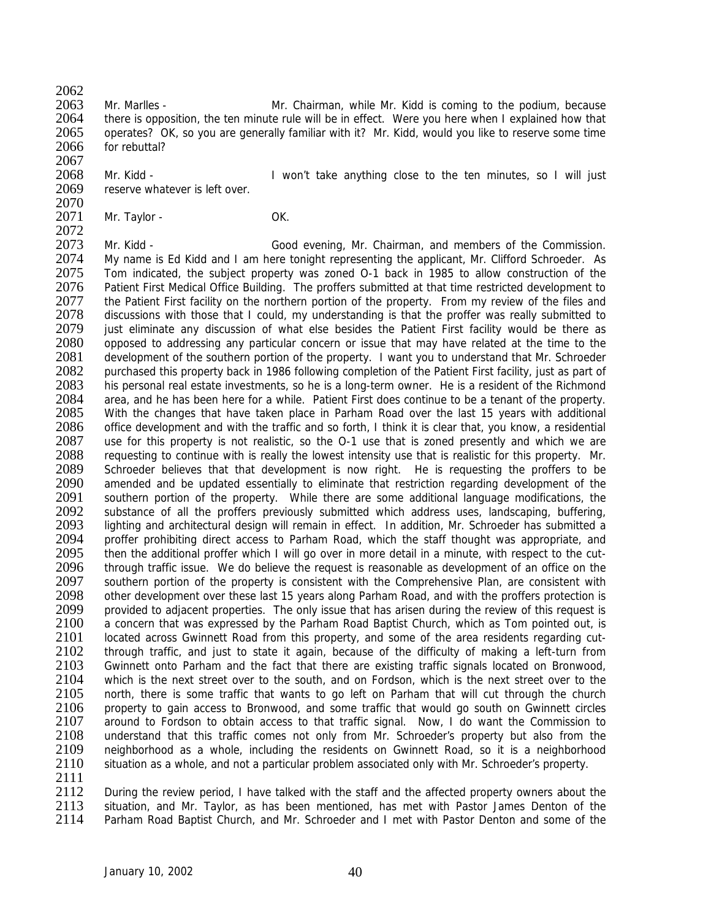$\frac{2062}{2063}$ 

2063 Mr. Marlles - Mr. Chairman, while Mr. Kidd is coming to the podium, because<br>2064 there is opposition, the ten minute rule will be in effect. Were you here when I explained how that there is opposition, the ten minute rule will be in effect. Were you here when I explained how that 2065 operates? OK, so you are generally familiar with it? Mr. Kidd, would you like to reserve some time 2066 for rebuttal? 2067

2068 Mr. Kidd - I won't take anything close to the ten minutes, so I will just 2069 reserve whatever is left over. reserve whatever is left over.

2070<br>2071 Mr. Taylor - OK.

2072<br>2073 2073 Mr. Kidd - Good evening, Mr. Chairman, and members of the Commission.<br>2074 My name is Ed Kidd and I am here tonight representing the applicant. Mr. Clifford Schroeder. As My name is Ed Kidd and I am here tonight representing the applicant, Mr. Clifford Schroeder. As 2075 Tom indicated, the subject property was zoned O-1 back in 1985 to allow construction of the 2076 Patient First Medical Office Building. The proffers submitted at that time restricted development to Patient First Medical Office Building. The proffers submitted at that time restricted development to 2077 the Patient First facility on the northern portion of the property. From my review of the files and 2078 discussions with those that I could, my understanding is that the proffer was really submitted to 2079 just eliminate any discussion of what else besides the Patient First facility would be there as 2080 opposed to addressing any particular concern or issue that may have related at the time to the 2080 opposed to addressing any particular concern or issue that may have related at the time to the 2081 development of the southern portion of the property. I want you to understand that Mr. Schroeder 2081 development of the southern portion of the property. I want you to understand that Mr. Schroeder<br>2082 vurchased this property back in 1986 following completion of the Patient First facility, just as part of 2082 purchased this property back in 1986 following completion of the Patient First facility, just as part of 2083 his personal real estate investments, so he is a long-term owner. He is a resident of the Richmond 2083 his personal real estate investments, so he is a long-term owner. He is a resident of the Richmond 2084 area and he has been here for a while Patient First does continue to be a tenant of the property 2084 area, and he has been here for a while. Patient First does continue to be a tenant of the property.<br>2085 With the changes that have taken place in Parham Road over the last 15 years with additional With the changes that have taken place in Parham Road over the last 15 years with additional 2086 office development and with the traffic and so forth, I think it is clear that, you know, a residential 2087 use for this property is not realistic, so the O-1 use that is zoned presently and which we are 2087 use for this property is not realistic, so the O-1 use that is zoned presently and which we are 2088 requesting to continue with is really the lowest intensity use that is realistic for this property. Mr. requesting to continue with is really the lowest intensity use that is realistic for this property. Mr. 2089 Schroeder believes that that development is now right. He is requesting the proffers to be 2090 amended and be updated essentially to eliminate that restriction regarding development of the 2091 southern portion of the property. While there are some additional language modifications, the 2092 substance of all the proffers previously submitted which address uses. Iandscaping, buffering, 2092 substance of all the proffers previously submitted which address uses, landscaping, buffering, 2093 lighting and architectural design will remain in effect. In addition, Mr. Schroeder has submitted a 2093 lighting and architectural design will remain in effect. In addition, Mr. Schroeder has submitted a<br>2094 broffer prohibiting direct access to Parham Road, which the staff thought was appropriate, and 2094 proffer prohibiting direct access to Parham Road, which the staff thought was appropriate, and 2095 then the additional proffer which I will go over in more detail in a minute, with respect to the cut-2095 then the additional proffer which I will go over in more detail in a minute, with respect to the cut-<br>2096 through traffic issue. We do believe the request is reasonable as development of an office on the 2096 through traffic issue. We do believe the request is reasonable as development of an office on the 2097 southern portion of the property is consistent with the Comprehensive Plan, are consistent with southern portion of the property is consistent with the Comprehensive Plan, are consistent with 2098 other development over these last 15 years along Parham Road, and with the proffers protection is<br>2099 or provided to adiacent properties. The only issue that has arisen during the review of this request is provided to adjacent properties. The only issue that has arisen during the review of this request is 2100 a concern that was expressed by the Parham Road Baptist Church, which as Tom pointed out, is 2101 located across Gwinnett Road from this property, and some of the area residents regarding cut-<br>2102 through traffic, and just to state it again, because of the difficulty of making a left-turn from 2102 through traffic, and just to state it again, because of the difficulty of making a left-turn from<br>2103 Gwinnett onto Parham and the fact that there are existing traffic signals located on Bronwood. 2103 Gwinnett onto Parham and the fact that there are existing traffic signals located on Bronwood,<br>2104 which is the next street over to the south, and on Fordson, which is the next street over to the 2104 which is the next street over to the south, and on Fordson, which is the next street over to the 2105 north, there is some traffic that wants to go left on Parham that will cut through the church north, there is some traffic that wants to go left on Parham that will cut through the church 2106 property to gain access to Bronwood, and some traffic that would go south on Gwinnett circles<br>2107 around to Fordson to obtain access to that traffic signal. Now, I do want the Commission to around to Fordson to obtain access to that traffic signal. Now, I do want the Commission to 2108 understand that this traffic comes not only from Mr. Schroeder's property but also from the 2109 neighborhood as a whole, including the residents on Gwinnett Road, so it is a neighborhood 2110 situation as a whole, and not a particular problem associated only with Mr. Schroeder's property.

 $\frac{2111}{2112}$ 2112 During the review period, I have talked with the staff and the affected property owners about the 2113 situation, and Mr. Tavlor, as has been mentioned, has met with Pastor James Denton of the 2113 situation, and Mr. Taylor, as has been mentioned, has met with Pastor James Denton of the 2114 Parham Road Baptist Church, and Mr. Schroeder and I met with Pastor Denton and some of the Parham Road Baptist Church, and Mr. Schroeder and I met with Pastor Denton and some of the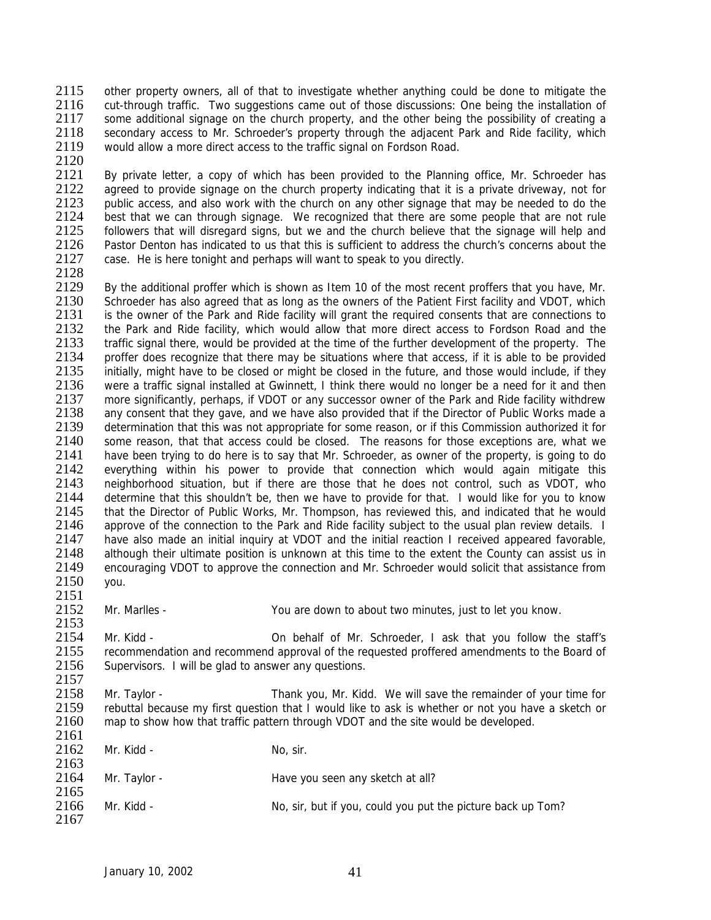2115 other property owners, all of that to investigate whether anything could be done to mitigate the<br>2116 cut-through traffic. Two suggestions came out of those discussions: One being the installation of 2116 cut-through traffic. Two suggestions came out of those discussions: One being the installation of 2117 some additional signage on the church property and the other being the possibility of creating a some additional signage on the church property, and the other being the possibility of creating a 2118 secondary access to Mr. Schroeder's property through the adjacent Park and Ride facility, which 2119 would allow a more direct access to the traffic signal on Fordson Road. would allow a more direct access to the traffic signal on Fordson Road.

2120<br>2121

2121 By private letter, a copy of which has been provided to the Planning office, Mr. Schroeder has 2122 agreed to provide signage on the church property indicating that it is a private driveway, not for 2122 agreed to provide signage on the church property indicating that it is a private driveway, not for 2123 public access, and also work with the church on any other signage that may be needed to do the 2123 public access, and also work with the church on any other signage that may be needed to do the 2124 best that we can through signage. We recognized that there are some people that are not rule 2124 best that we can through signage. We recognized that there are some people that are not rule<br>2125 followers that will disregard signs, but we and the church believe that the signage will help and 2125 followers that will disregard signs, but we and the church believe that the signage will help and 2126 Pastor Denton has indicated to us that this is sufficient to address the church's concerns about the 2126 Pastor Denton has indicated to us that this is sufficient to address the church's concerns about the 2127 case. He is here tonight and perhaps will want to speak to you directly case. He is here tonight and perhaps will want to speak to you directly.

2128<br>2129

2129 By the additional proffer which is shown as Item 10 of the most recent proffers that you have, Mr.<br>2130 Schroeder has also agreed that as long as the owners of the Patient First facility and VDOT, which 2130 Schroeder has also agreed that as long as the owners of the Patient First facility and VDOT, which<br>2131 is the owner of the Park and Ride facility will grant the required consents that are connections to is the owner of the Park and Ride facility will grant the required consents that are connections to 2132 the Park and Ride facility, which would allow that more direct access to Fordson Road and the 2133 traffic signal there, would be provided at the time of the further development of the property. The 2133 traffic signal there, would be provided at the time of the further development of the property. The 2134 proffer does recognize that there may be situations where that access, if it is able to be provided 2134 proffer does recognize that there may be situations where that access, if it is able to be provided 2135 initially, might have to be closed or might be closed in the future, and those would include, if they 2135 initially, might have to be closed or might be closed in the future, and those would include, if they<br>2136 vere a traffic signal installed at Gwinnett. I think there would no longer be a need for it and then 2136 were a traffic signal installed at Gwinnett, I think there would no longer be a need for it and then<br>2137 more significantly, perhaps, if VDOT or any successor owner of the Park and Ride facility withdrew 2137 more significantly, perhaps, if VDOT or any successor owner of the Park and Ride facility withdrew<br>2138 any consent that they gave, and we have also provided that if the Director of Public Works made a any consent that they gave, and we have also provided that if the Director of Public Works made a 2139 determination that this was not appropriate for some reason, or if this Commission authorized it for 2140 some reason, that that access could be closed. The reasons for those exceptions are, what we 2140 some reason, that that access could be closed. The reasons for those exceptions are, what we<br>2141 have been trying to do here is to say that Mr. Schroeder, as owner of the property, is going to do have been trying to do here is to say that Mr. Schroeder, as owner of the property, is going to do 2142 everything within his power to provide that connection which would again mitigate this 2143 neighborhood situation, but if there are those that he does not control, such as VDOT, who<br>2144 determine that this shouldn't be, then we have to provide for that. I would like for you to know 2144 determine that this shouldn't be, then we have to provide for that. I would like for you to know 2145 that the Director of Public Works. Mr. Thompson, has reviewed this, and indicated that he would 2145 that the Director of Public Works, Mr. Thompson, has reviewed this, and indicated that he would 2146 approve of the connection to the Park and Ride facility subject to the usual plan review details. I 2146 approve of the connection to the Park and Ride facility subject to the usual plan review details. I<br>2147 have also made an initial inquiry at VDOT and the initial reaction I received appeared favorable. 2147 have also made an initial inquiry at VDOT and the initial reaction I received appeared favorable,<br>2148 although their ultimate position is unknown at this time to the extent the County can assist us in 2148 although their ultimate position is unknown at this time to the extent the County can assist us in<br>2149 encouraging VDOT to approve the connection and Mr. Schroeder would solicit that assistance from 2149 encouraging VDOT to approve the connection and Mr. Schroeder would solicit that assistance from 2150 you.

2151<br>2152

Mr. Marlles - You are down to about two minutes, just to let you know.

2153<br>2154 2154 Mr. Kidd - Con behalf of Mr. Schroeder, I ask that you follow the staff's<br>2155 recommendation and recommend approval of the requested proffered amendments to the Board of 2155 recommendation and recommend approval of the requested proffered amendments to the Board of 2156 Supervisors. I will be alad to answer any questions. Supervisors. I will be glad to answer any questions.

 $2157$ <br>2158 2158 Mr. Taylor - Thank you, Mr. Kidd. We will save the remainder of your time for<br>2159 rebuttal because my first question that I would like to ask is whether or not you have a sketch or 2159 rebuttal because my first question that I would like to ask is whether or not you have a sketch or 2160 map to show how that traffic pattern through VDOT and the site would be developed. map to show how that traffic pattern through VDOT and the site would be developed. 2161

| 2162         | Mr. Kidd -   | No, sir.                                                    |
|--------------|--------------|-------------------------------------------------------------|
| 2163         |              |                                                             |
| 2164<br>2165 | Mr. Taylor - | Have you seen any sketch at all?                            |
| 2166         | Mr. Kidd -   | No, sir, but if you, could you put the picture back up Tom? |
| 2167         |              |                                                             |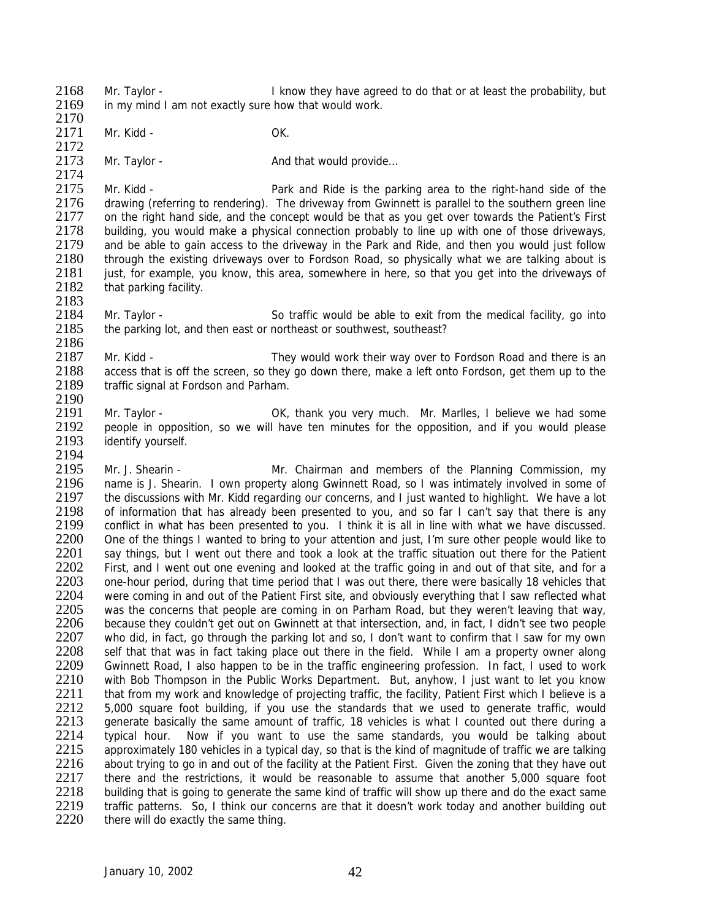2168 Mr. Taylor - I know they have agreed to do that or at least the probability, but<br>2169 in my mind I am not exactly sure how that would work in my mind I am not exactly sure how that would work. 2170

2171 Mr. Kidd - OK.

2183

2172<br>2173 Mr. Taylor - And that would provide...

2174<br>2175 2175 Mr. Kidd - Park and Ride is the parking area to the right-hand side of the 2176 drawing (referring to rendering). The driveway from Gwinnett is parallel to the southern green line 2176 drawing (referring to rendering). The driveway from Gwinnett is parallel to the southern green line<br>2177 on the right hand side, and the concept would be that as you get over towards the Patient's First 2177 on the right hand side, and the concept would be that as you get over towards the Patient's First 2178 building, you would make a physical connection probably to line up with one of those driveways. 2178 building, you would make a physical connection probably to line up with one of those driveways,<br>2179 and be able to gain access to the driveway in the Park and Ride, and then you would just follow 2179 and be able to gain access to the driveway in the Park and Ride, and then you would just follow<br>2180 through the existing driveways over to Fordson Road, so physically what we are talking about is through the existing driveways over to Fordson Road, so physically what we are talking about is 2181 just, for example, you know, this area, somewhere in here, so that you get into the driveways of 2182 that parking facility. that parking facility.

2184 Mr. Taylor - So traffic would be able to exit from the medical facility, go into 2185 the parking lot, and then east or northeast or southwest, southeast?

2186<br>2187 2187 Mr. Kidd - They would work their way over to Fordson Road and there is an access that is off the screen, so they go down there, make a left onto Fordson, get them up to the 2188 access that is off the screen, so they go down there, make a left onto Fordson, get them up to the 2189 traffic signal at Fordson and Parham. traffic signal at Fordson and Parham.

2190<br>2191 Mr. Taylor - **CK, thank you very much.** Mr. Marlles, I believe we had some 2192 people in opposition, so we will have ten minutes for the opposition, and if you would please<br>2193 identify yourself. identify yourself. 2194

2195 Mr. J. Shearin - Mr. Chairman and members of the Planning Commission, my 2196 name is J. Shearin. I own property along Gwinnett Road, so I was intimately involved in some of 2197 the discussions with Mr. Kidd regarding our concerns, and I just wanted to highlight. We have a lot 2197 the discussions with Mr. Kidd regarding our concerns, and I just wanted to highlight. We have a lot 2198 of information that has already been presented to you, and so far I can't say that there is any 2198 of information that has already been presented to you, and so far I can't say that there is any 2199 conflict in what has been presented to you. I think it is all in line with what we have discussed. 2199 conflict in what has been presented to you. I think it is all in line with what we have discussed.<br>2200 One of the things I wanted to bring to your attention and just. I'm sure other people would like to 2200 One of the things I wanted to bring to your attention and just, I'm sure other people would like to 2201 say things, but I went out there and took a look at the traffic situation out there for the Patient 2201 say things, but I went out there and took a look at the traffic situation out there for the Patient 2202 First, and I went out one evening and looked at the traffic going in and out of that site, and for a 2202 First, and I went out one evening and looked at the traffic going in and out of that site, and for a<br>2203 one-hour period, during that time period that I was out there, there were basically 18 vehicles that 2203 one-hour period, during that time period that I was out there, there were basically 18 vehicles that 2204 were coming in and out of the Patient First site, and obviously everything that I saw reflected what 2204 were coming in and out of the Patient First site, and obviously everything that I saw reflected what 2205 was the concerns that people are coming in on Parham Road, but they weren't leaving that way, was the concerns that people are coming in on Parham Road, but they weren't leaving that way, 2206 because they couldn't get out on Gwinnett at that intersection, and, in fact, I didn't see two people 2207 who did, in fact, go through the parking lot and so, I don't want to confirm that I saw for my own<br>2208 self that that was in fact taking place out there in the field. While I am a property owner along 2208 self that that was in fact taking place out there in the field. While I am a property owner along<br>2209 Gwinnett Road. I also happen to be in the traffic engineering profession. In fact. I used to work 2209 Gwinnett Road, I also happen to be in the traffic engineering profession. In fact, I used to work 2210 with Bob Thompson in the Public Works Department. But, anyhow, I just want to let you know 2210 with Bob Thompson in the Public Works Department. But, anyhow, I just want to let you know<br>2211 that from my work and knowledge of projecting traffic, the facility, Patient First which I believe is a 2211 that from my work and knowledge of projecting traffic, the facility, Patient First which I believe is a<br>2212 5.000 square foot building, if you use the standards that we used to generate traffic, would 2212 5,000 square foot building, if you use the standards that we used to generate traffic, would 2213 cenerate basically the same amount of traffic. 18 vehicles is what I counted out there during a 2213 generate basically the same amount of traffic, 18 vehicles is what I counted out there during a<br>2214 typical hour. Now if you want to use the same standards, you would be talking about typical hour. Now if you want to use the same standards, you would be talking about 2215 approximately 180 vehicles in a typical day, so that is the kind of magnitude of traffic we are talking 2216 about trying to go in and out of the facility at the Patient First. Given the zoning that they have out 2217 there and the restrictions, it would be reasonable to assume that another 5,000 square foot 2218 building that is going to generate the same kind of traffic will show up there and do the exact same 2218 building that is going to generate the same kind of traffic will show up there and do the exact same<br>2219 traffic patterns. So, I think our concerns are that it doesn't work today and another building out 2219 traffic patterns. So, I think our concerns are that it doesn't work today and another building out 2220 there will do exactly the same thing. there will do exactly the same thing.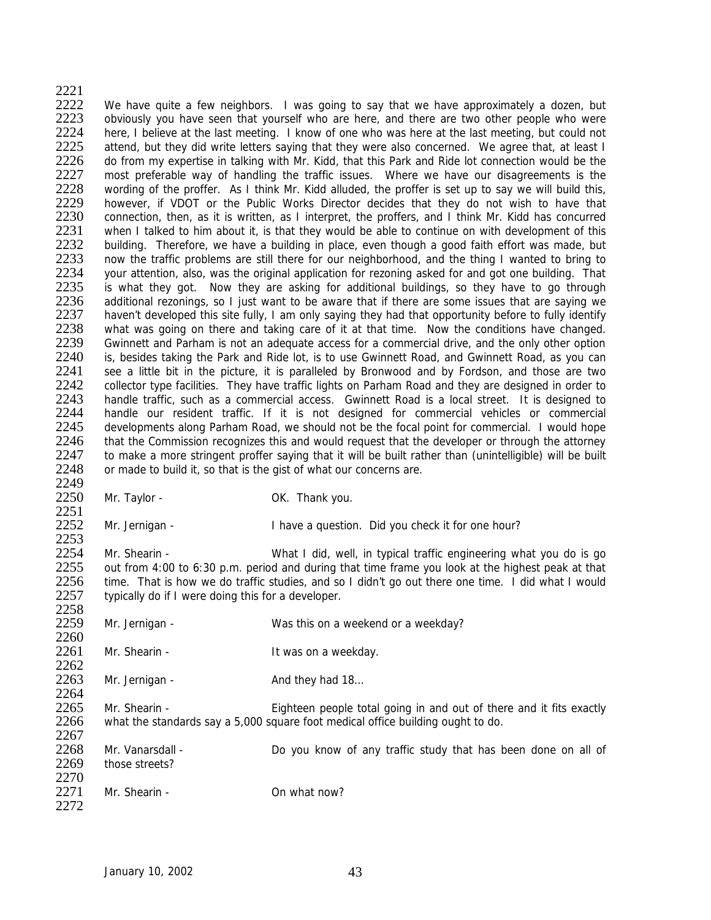2221<br>2222 2222 We have quite a few neighbors. I was going to say that we have approximately a dozen, but 2223 obviously you have seen that vourself who are here and there are two other people who were obviously you have seen that yourself who are here, and there are two other people who were 2224 here, I believe at the last meeting. I know of one who was here at the last meeting, but could not 2225 attend, but they did write letters saying that they were also concerned. We agree that, at least I 2225 attend, but they did write letters saying that they were also concerned. We agree that, at least I<br>2226 all of from my expertise in talking with Mr. Kidd, that this Park and Ride lot connection would be the 2226 do from my expertise in talking with Mr. Kidd, that this Park and Ride lot connection would be the 2227 most preferable way of handling the traffic issues. Where we have our disagreements is the 2227 most preferable way of handling the traffic issues. Where we have our disagreements is the 2228 wording of the proffer. As I think Mr. Kidd alluded, the proffer is set up to say we will build this. 2228 wording of the proffer. As I think Mr. Kidd alluded, the proffer is set up to say we will build this,<br>2229 however. if VDOT or the Public Works Director decides that they do not wish to have that 2229 however, if VDOT or the Public Works Director decides that they do not wish to have that 2230 connection, then, as it is written, as I interpret, the proffers, and I think Mr. Kidd has concurred 2230 connection, then, as it is written, as I interpret, the proffers, and I think Mr. Kidd has concurred 2231 when I talked to him about it is that they would be able to continue on with development of this 2231 when I talked to him about it, is that they would be able to continue on with development of this 2232 building. Therefore, we have a building in place, even though a good faith effort was made, but 2232 building. Therefore, we have a building in place, even though a good faith effort was made, but 2233 now the traffic problems are still there for our neighborhood and the thing I wanted to bring to now the traffic problems are still there for our neighborhood, and the thing I wanted to bring to 2234 your attention, also, was the original application for rezoning asked for and got one building. That 2235 is what they got. Now they are asking for additional buildings, so they have to go through is what they got. Now they are asking for additional buildings, so they have to go through 2236 additional rezonings, so I just want to be aware that if there are some issues that are saying we 2237 haven't developed this site fully, I am only saying they had that opportunity before to fully identify 2238 what was going on there and taking care of it at that time. Now the conditions have changed.<br>2239 Gwinnett and Parham is not an adequate access for a commercial drive, and the only other option 2239 Gwinnett and Parham is not an adequate access for a commercial drive, and the only other option<br>2240 is, besides taking the Park and Ride lot, is to use Gwinnett Road, and Gwinnett Road, as you can 2240 is, besides taking the Park and Ride lot, is to use Gwinnett Road, and Gwinnett Road, as you can<br>2241 see a little bit in the picture, it is paralleled by Bronwood and by Fordson, and those are two 2241 see a little bit in the picture, it is paralleled by Bronwood and by Fordson, and those are two 2242 collector type facilities. They have traffic lights on Parham Road and they are designed in order to 2242 collector type facilities. They have traffic lights on Parham Road and they are designed in order to 2243 handle traffic such as a commercial access. Gwinnett Road is a local street. It is designed to 2243 handle traffic, such as a commercial access. Gwinnett Road is a local street. It is designed to 2244 handle our resident traffic. If it is not designed for commercial vehicles or commercial handle our resident traffic. If it is not designed for commercial vehicles or commercial 2245 developments along Parham Road, we should not be the focal point for commercial. I would hope<br>2246 that the Commission recognizes this and would request that the developer or through the attorney 2246 that the Commission recognizes this and would request that the developer or through the attorney<br>2247 to make a more stringent proffer saying that it will be built rather than (unintelligible) will be built to make a more stringent proffer saying that it will be built rather than (unintelligible) will be built 2248 or made to build it, so that is the gist of what our concerns are. 2249 2250 Mr. Taylor - OK. Thank you.

2251<br>2252

2252 Mr. Jernigan - I have a question. Did you check it for one hour?

 $2253$ <br> $2254$ 2254 Mr. Shearin - What I did, well, in typical traffic engineering what you do is go<br>2255 out from 4:00 to 6:30 p.m. period and during that time frame you look at the highest peak at that 2255 out from 4:00 to 6:30 p.m. period and during that time frame you look at the highest peak at that 2256 time. That is how we do traffic studies, and so I didn't go out there one time. I did what I would time. That is how we do traffic studies, and so I didn't go out there one time. I did what I would 2257 typically do if I were doing this for a developer. 2258

2259 Mr. Jernigan - Was this on a weekend or a weekday? 2260<br>2261 Mr. Shearin - The Music Shearin - It was on a weekday.  $2262$ <br> $2263$ Mr. Jernigan - And they had 18... 2264<br>2265 2265 Mr. Shearin - Eighteen people total going in and out of there and it fits exactly<br>2266 what the standards say a 5.000 square foot medical office building ought to do. what the standards say a 5,000 square foot medical office building ought to do. 2267 2268 Mr. Vanarsdall - Do you know of any traffic study that has been done on all of 2269 those streets? 2270<br>2271 Mr. Shearin - **Canadian Contract Con** what now?

2272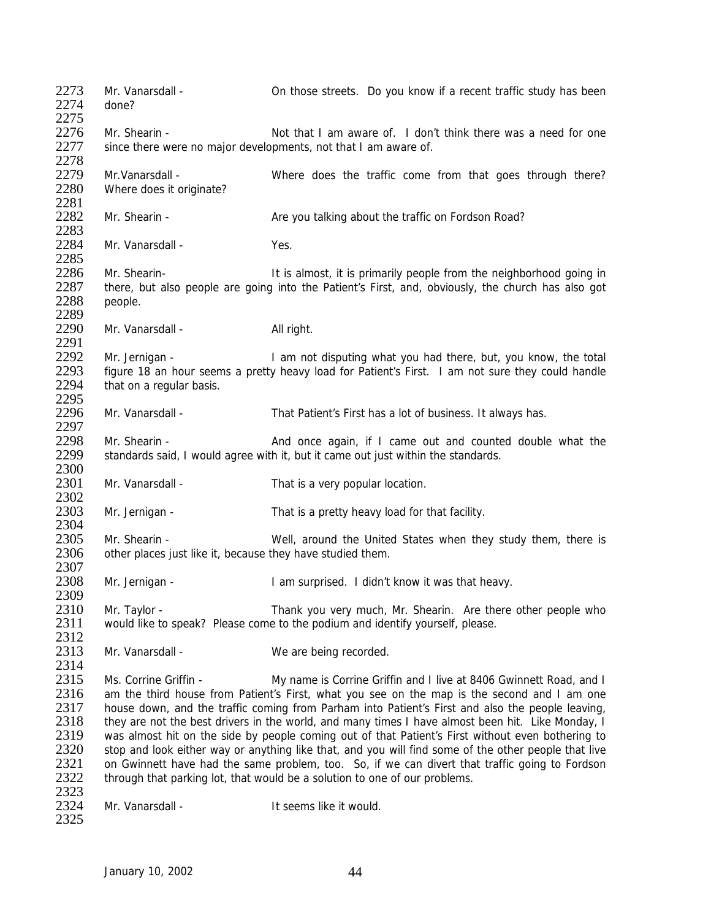2273 Mr. Vanarsdall - On those streets. Do you know if a recent traffic study has been<br>2274 done? done? 2275 2276 Mr. Shearin - Not that I am aware of. I don't think there was a need for one  $2277$  since there were no major developments, not that I am aware of. since there were no major developments, not that I am aware of. 2278<br>2279 2279 Mr. Vanarsdall - Where does the traffic come from that goes through there?<br>2280 Where does it originate? Where does it originate? 2281<br>2282 Mr. Shearin - Are you talking about the traffic on Fordson Road? 2283<br>2284 Mr. Vanarsdall - Yes. 2285 2286 Mr. Shearin-<br>2287 there, but also people are going into the Patient's First, and, obviously, the church has also got 2287 there, but also people are going into the Patient's First, and, obviously, the church has also got 2288 people. people. 2289 2290 Mr. Vanarsdall - All right. 2291<br>2292 2292 Mr. Jernigan - I am not disputing what you had there, but, you know, the total<br>2293 figure 18 an hour seems a pretty heavy load for Patient's First. I am not sure they could handle 2293 figure 18 an hour seems a pretty heavy load for Patient's First. I am not sure they could handle 2294 that on a requiar basis. that on a regular basis. 2295<br>2296 Mr. Vanarsdall - That Patient's First has a lot of business. It always has. 2297<br>2298 2298 Mr. Shearin - And once again, if I came out and counted double what the 2299 standards said, I would agree with it, but it came out just within the standards. standards said, I would agree with it, but it came out just within the standards. 2300 2301 Mr. Vanarsdall - That is a very popular location. 2302<br>2303 Mr. Jernigan - That is a pretty heavy load for that facility. 2304<br>2305 2305 Mr. Shearin - Well, around the United States when they study them, there is 2306 other places just like it because they have studied them other places just like it, because they have studied them. 2307<br>2308 Mr. Jernigan - The Manus Ham surprised. I didn't know it was that heavy. 2309 2310 Mr. Taylor - Thank you very much, Mr. Shearin. Are there other people who 2311 would like to speak? Please come to the podium and identify yourself, please. 2312<br>2313 Mr. Vanarsdall - We are being recorded.  $\frac{2314}{2315}$ 2315 Ms. Corrine Griffin - My name is Corrine Griffin and I live at 8406 Gwinnett Road, and I<br>2316 am the third house from Patient's First, what you see on the map is the second and I am one 2316 am the third house from Patient's First, what you see on the map is the second and I am one<br>2317 bouse down, and the traffic coming from Parham into Patient's First and also the people leaving. 2317 house down, and the traffic coming from Parham into Patient's First and also the people leaving, 2318 they are not the best drivers in the world, and many times I have almost been hit. Like Monday, I 2318 they are not the best drivers in the world, and many times I have almost been hit. Like Monday, I<br>2319 was almost hit on the side by people coming out of that Patient's First without even bothering to was almost hit on the side by people coming out of that Patient's First without even bothering to 2320 stop and look either way or anything like that, and you will find some of the other people that live 2321 on Gwinnett have had the same problem, too. So, if we can divert that traffic going to Fordson 2322 through that parking lot, that would be a solution to one of our problems. 2323<br>2324 Mr. Vanarsdall - The Vanarsdall - It seems like it would. 2325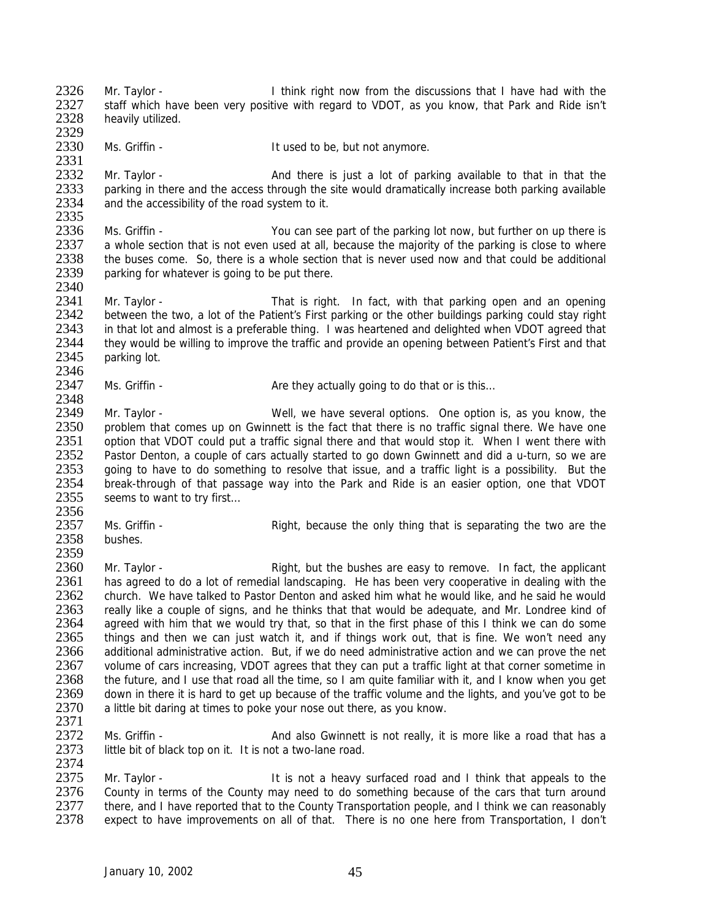2326 Mr. Taylor - I think right now from the discussions that I have had with the 2327 staff which have been very positive with regard to VDOT as you know that Park and Ride isn't 2327 staff which have been very positive with regard to VDOT, as you know, that Park and Ride isn't 2328 beavily utilized. heavily utilized.

2329<br>2330 Ms. Griffin - The Mass of the U.S. of the U.S. of the U.S. of the Mass of the U.S. of the U.S. of the U.S. of the U.S. of the U.S. of the U.S. of the U.S. of the U.S. of the U.S. of the U.S. of the U.S. of the U.S. of the

2331<br>2332 2332 Mr. Taylor - And there is just a lot of parking available to that in that the<br>2333 parking in there and the access through the site would dramatically increase both parking available 2333 parking in there and the access through the site would dramatically increase both parking available<br>2334 and the accessibility of the road system to it. and the accessibility of the road system to it.

2335<br>2336 2336 Ms. Griffin - You can see part of the parking lot now, but further on up there is<br>2337 a whole section that is not even used at all, because the maiority of the parking is close to where 2337 a whole section that is not even used at all, because the majority of the parking is close to where<br>2338 the buses come. So, there is a whole section that is never used now and that could be additional the buses come. So, there is a whole section that is never used now and that could be additional 2339 parking for whatever is going to be put there.

2340<br>2341 2341 Mr. Taylor - That is right. In fact, with that parking open and an opening<br>2342 between the two, a lot of the Patient's First parking or the other buildings parking could stay right between the two, a lot of the Patient's First parking or the other buildings parking could stay right 2343 in that lot and almost is a preferable thing. I was heartened and delighted when VDOT agreed that 2344 they would be willing to improve the traffic and provide an opening between Patient's First and that 2344 they would be willing to improve the traffic and provide an opening between Patient's First and that 2345 parking lot. parking lot.

2346<br>2347 Ms. Griffin -  $\blacksquare$  Are they actually going to do that or is this...

2348<br>2349 2349 Mr. Taylor - Well, we have several options. One option is, as you know, the 2350 problem that comes up on Gwinnett is the fact that there is no traffic signal there. We have one 2351 option that VDOT could put a traffic signal there and that would stop it. When I went there with 2351 option that VDOT could put a traffic signal there and that would stop it. When I went there with 2352 Pastor Denton, a couple of cars actually started to go down Gwinnett and did a u-turn, so we are Pastor Denton, a couple of cars actually started to go down Gwinnett and did a u-turn, so we are 2353 going to have to do something to resolve that issue, and a traffic light is a possibility. But the 2354 break-through of that passage way into the Park and Ride is an easier option, one that VDOT 2355 seems to want to try first...

- 2356<br>2357 2357 Ms. Griffin - Right, because the only thing that is separating the two are the 2358 bushes.
	- **bushes**

2359<br>2360 2360 Mr. Taylor - Right, but the bushes are easy to remove. In fact, the applicant 2361 has agreed to do a lot of remedial landscaping. He has been very cooperative in dealing with the has agreed to do a lot of remedial landscaping. He has been very cooperative in dealing with the 2362 church. We have talked to Pastor Denton and asked him what he would like, and he said he would 2363 really like a couple of signs, and he thinks that that would be adequate, and Mr. Londree kind of 2364 agreed with him that we would try that, so that in the first phase of this I think we can do some 2365 things and then we can just watch it, and if things work out, that is fine. We won't need any<br>2366 additional administrative action. But, if we do need administrative action and we can prove the net 2366 additional administrative action. But, if we do need administrative action and we can prove the net 2367 volume of cars increasing. VDOT agrees that they can put a traffic light at that corner sometime in 2367 volume of cars increasing, VDOT agrees that they can put a traffic light at that corner sometime in 2368 the future, and I use that road all the time, so I am quite familiar with it, and I know when you get 2368 the future, and I use that road all the time, so I am quite familiar with it, and I know when you get<br>2369 down in there it is hard to get up because of the traffic volume and the lights and you've got to be 2369 down in there it is hard to get up because of the traffic volume and the lights, and you've got to be 2370 a little bit daring at times to poke your nose out there, as you know. a little bit daring at times to poke your nose out there, as you know.

2371<br>2372 2372 Ms. Griffin - And also Gwinnett is not really, it is more like a road that has a<br>2373 little bit of black top on it. It is not a two-lane road. little bit of black top on it. It is not a two-lane road. 2374

2375 Mr. Taylor - It is not a heavy surfaced road and I think that appeals to the<br>2376 County in terms of the County may need to do something because of the cars that turn around 2376 County in terms of the County may need to do something because of the cars that turn around<br>2377 there, and I have reported that to the County Transportation people, and I think we can reasonably 2377 there, and I have reported that to the County Transportation people, and I think we can reasonably<br>2378 expect to have improvements on all of that. There is no one here from Transportation. I don't expect to have improvements on all of that. There is no one here from Transportation, I don't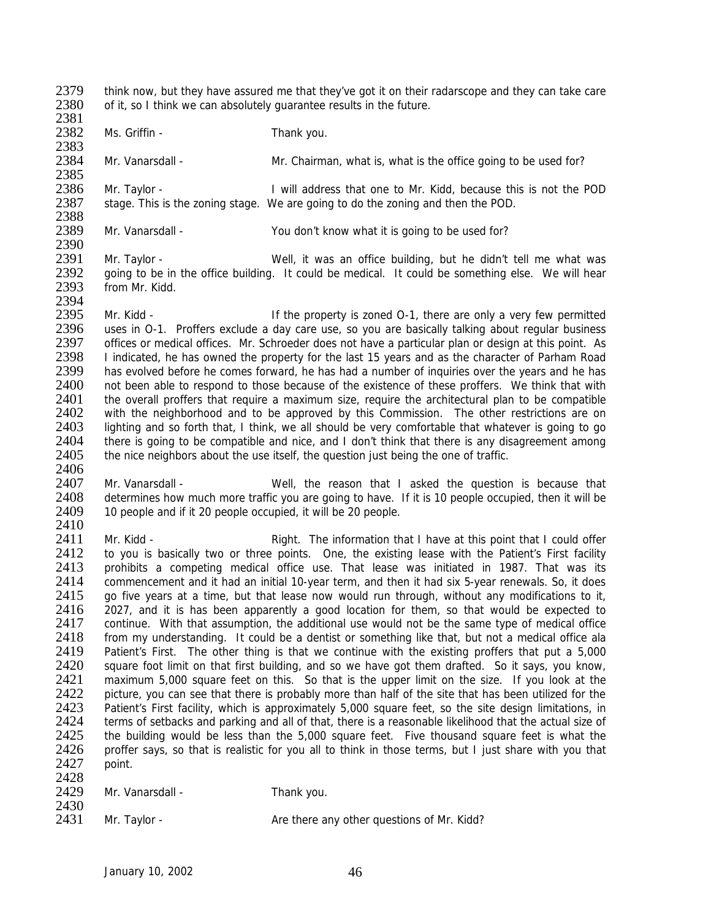2379 think now, but they have assured me that they've got it on their radarscope and they can take care<br>2380 of it so I think we can absolutely quarantee results in the future of it, so I think we can absolutely quarantee results in the future.

2381 2382 Ms. Griffin - Thank you.

2406

2383<br>2384

Mr. Vanarsdall - Mr. Chairman, what is, what is the office going to be used for?

2385<br>2386 2386 Mr. Taylor - I will address that one to Mr. Kidd, because this is not the POD<br>2387 stage. This is the zoning stage. We are going to do the zoning and then the POD. stage. This is the zoning stage. We are going to do the zoning and then the POD.

2388<br>2389 Mr. Vanarsdall - You don't know what it is going to be used for?

2390<br>2391 Mr. Taylor - The State of Well, it was an office building, but he didn't tell me what was 2392 going to be in the office building. It could be medical. It could be something else. We will hear 2393 from Mr. Kidd. from Mr. Kidd.

2394<br>2395 Mr. Kidd - The property is zoned O-1, there are only a very few permitted 2396 uses in O-1. Proffers exclude a day care use, so you are basically talking about regular business<br>2397 offices or medical offices. Mr. Schroeder does not have a particular plan or design at this point. As 2397 offices or medical offices. Mr. Schroeder does not have a particular plan or design at this point. As 2398 Indicated, he has owned the property for the last 15 years and as the character of Parham Road 2398 I indicated, he has owned the property for the last 15 years and as the character of Parham Road<br>2399 has evolved before he comes forward, he has had a number of inquiries over the vears and he has 2399 has evolved before he comes forward, he has had a number of inquiries over the years and he has 2400 not been able to respond to those because of the existence of these proffers. We think that with 2400 not been able to respond to those because of the existence of these proffers. We think that with 2401 the overall proffers that require a maximum size, require the architectural plan to be compatible 2401 the overall proffers that require a maximum size, require the architectural plan to be compatible 2402 with the neighborhood and to be approved by this Commission. The other restrictions are on with the neighborhood and to be approved by this Commission. The other restrictions are on 2403 lighting and so forth that, I think, we all should be very comfortable that whatever is going to go<br>2404 there is going to be compatible and nice, and I don't think that there is any disagreement among 2404 there is going to be compatible and nice, and I don't think that there is any disagreement among<br>2405 the nice neighbors about the use itself, the question just being the one of traffic. the nice neighbors about the use itself, the question just being the one of traffic.

2407 Mr. Vanarsdall - Well, the reason that I asked the question is because that 2408 determines how much more traffic you are going to have. If it is 10 people occupied, then it will be 2409 10 people and if it 20 people occupied, it will be 20 people. 10 people and if it 20 people occupied, it will be 20 people.

 $\frac{2410}{2411}$ 2411 Mr. Kidd - Right. The information that I have at this point that I could offer<br>2412 to you is basically two or three points. One the existing lease with the Patient's First facility 2412 to you is basically two or three points. One, the existing lease with the Patient's First facility<br>2413 prohibits a competing medical office use. That lease was initiated in 1987. That was its 2413 prohibits a competing medical office use. That lease was initiated in 1987. That was its 2414 commencement and it had an initial 10-year term, and then it had six 5-year renewals. So, it does commencement and it had an initial 10-year term, and then it had six 5-year renewals. So, it does 2415 go five years at a time, but that lease now would run through, without any modifications to it, 2416 2027, and it is has been apparently a good location for them, so that would be expected to 2417 continue. With that assumption, the additional use would not be the same type of medical office 2418 from my understanding. It could be a dentist or something like that, but not a medical office ala<br>2419 Patient's First. The other thing is that we continue with the existing proffers that put a 5.000 2419 Patient's First. The other thing is that we continue with the existing proffers that put a 5,000<br>2420 square foot limit on that first building, and so we have got them drafted. So it says, you know, 2420 square foot limit on that first building, and so we have got them drafted. So it says, you know,<br>2421 maximum 5,000 square feet on this. So that is the unner limit on the size. If you look at the 2421 maximum 5,000 square feet on this. So that is the upper limit on the size. If you look at the 2422 picture you can see that there is probably more than half of the site that has been utilized for the 2422 picture, you can see that there is probably more than half of the site that has been utilized for the 2423 Patient's First facility, which is approximately 5.000 square feet, so the site design limitations, in 2423 Patient's First facility, which is approximately 5,000 square feet, so the site design limitations, in 2424 terms of setbacks and parking and all of that there is a reasonable likelihood that the actual size of 2424 terms of setbacks and parking and all of that, there is a reasonable likelihood that the actual size of <br>2425 the building would be less than the 5,000 square feet. Five thousand square feet is what the the building would be less than the 5,000 square feet. Five thousand square feet is what the 2426 proffer says, so that is realistic for you all to think in those terms, but I just share with you that 2427 point.  $2428$ 

| -<br>. |     |
|--------|-----|
| 2429   | Mr. |

Vanarsdall - Thank you.

2430<br>2431

Mr. Taylor - Are there any other questions of Mr. Kidd?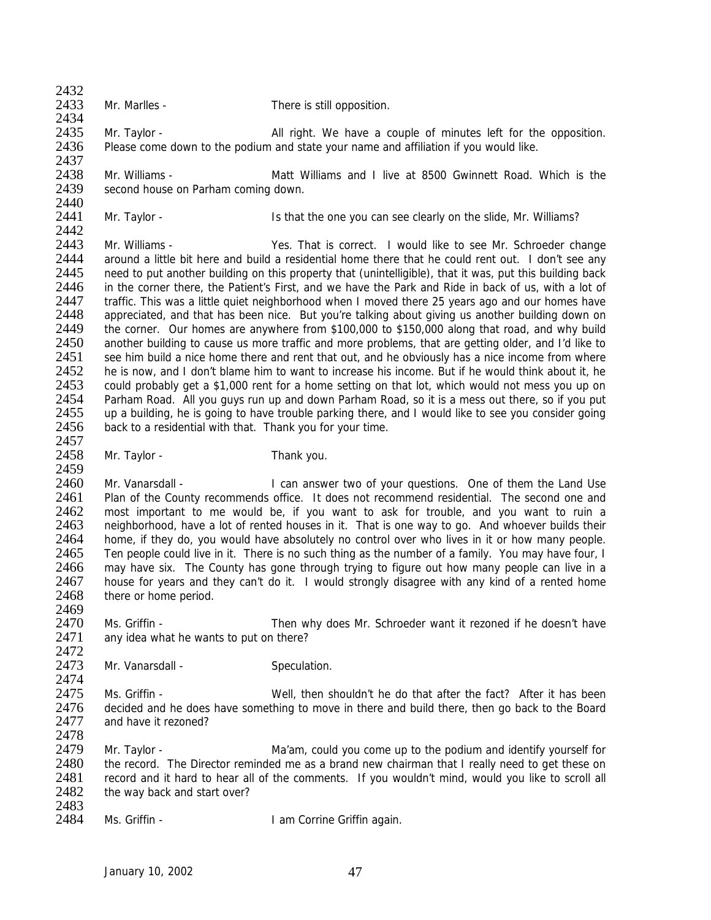$2432$ <br> $2433$ 

2459

2434

Mr. Marlles - There is still opposition.

2435 Mr. Taylor - <br>2436 Please come down to the podium and state your name and affiliation if you would like. Please come down to the podium and state your name and affiliation if you would like. 2437

2438 Mr. Williams - Matt Williams and I live at 8500 Gwinnett Road. Which is the 2439 second house on Parham coming down. second house on Parham coming down.

2440<br>2441 Mr. Taylor - **Is that the one you can see clearly on the slide, Mr. Williams?** 

2442<br>2443 2443 Mr. Williams - Yes. That is correct. I would like to see Mr. Schroeder change<br>2444 around a little bit here and build a residential home there that he could rent out. I don't see any around a little bit here and build a residential home there that he could rent out. I don't see any 2445 need to put another building on this property that (unintelligible), that it was, put this building back<br>2446 in the corner there, the Patient's First, and we have the Park and Ride in back of us, with a lot of in the corner there, the Patient's First, and we have the Park and Ride in back of us, with a lot of 2447 traffic. This was a little quiet neighborhood when I moved there 25 years ago and our homes have 2448 appreciated, and that has been nice. But vou're talking about giving us another building down on appreciated, and that has been nice. But you're talking about giving us another building down on 2449 the corner. Our homes are anywhere from \$100,000 to \$150,000 along that road, and why build<br>2450 another building to cause us more traffic and more problems, that are getting older, and I'd like to 2450 another building to cause us more traffic and more problems, that are getting older, and I'd like to 2451 see him build a nice home there and rent that out, and he obviously has a nice income from where 2451 see him build a nice home there and rent that out, and he obviously has a nice income from where 2452 he is now, and I don't blame him to want to increase his income. But if he would think about it, he 2452 he is now, and I don't blame him to want to increase his income. But if he would think about it, he 2453 could probably get a \$1,000 rent for a home setting on that lot, which would not mess you up on 2453 could probably get a \$1,000 rent for a home setting on that lot, which would not mess you up on<br>2454 Parham Road. All you guys run up and down Parham Road, so it is a mess out there, so if you put 2454 Parham Road. All you guys run up and down Parham Road, so it is a mess out there, so if you put 2455 up a building. he is going to have trouble parking there, and I would like to see you consider going up a building, he is going to have trouble parking there, and I would like to see you consider going 2456 back to a residential with that. Thank you for your time.

2457<br>2458 Mr. Taylor - Thank you.

2460 Mr. Vanarsdall - I can answer two of your questions. One of them the Land Use<br>2461 Plan of the County recommends office. It does not recommend residential. The second one and 2461 Plan of the County recommends office. It does not recommend residential. The second one and 2462 most important to me would be, if you want to ask for trouble, and you want to ruin a 2462 most important to me would be, if you want to ask for trouble, and you want to ruin a<br>2463 meighborhood, have a lot of rented houses in it. That is one way to go. And whoever builds their 2463 neighborhood, have a lot of rented houses in it. That is one way to go. And whoever builds their 2464 home if they do you would have absolutely no control over who lives in it or how many people 2464 home, if they do, you would have absolutely no control over who lives in it or how many people.<br>2465 Ten people could live in it There is no such thing as the number of a family. You may have four I 2465 Ten people could live in it. There is no such thing as the number of a family. You may have four, I<br>2466 may have six. The County has gone through trying to figure out how many people can live in a 2466 may have six. The County has gone through trying to figure out how many people can live in a<br>2467 bouse for years and they can't do it. I would strongly disagree with any kind of a rented home house for years and they can't do it. I would strongly disagree with any kind of a rented home 2468 there or home period. 2469

2470 Ms. Griffin - Then why does Mr. Schroeder want it rezoned if he doesn't have 2471 any idea what he wants to put on there?

2472<br>2473 Mr. Vanarsdall - Speculation.

2474<br>2475 2475 Ms. Griffin - Well, then shouldn't he do that after the fact? After it has been<br>2476 decided and he does have something to move in there and build there, then go back to the Board 2476 decided and he does have something to move in there and build there, then go back to the Board 2477 and have it rezoned? and have it rezoned?

2478<br>2479 Mr. Taylor - The Ma'am, could you come up to the podium and identify yourself for 2480 the record. The Director reminded me as a brand new chairman that I really need to get these on 2481 record and it hard to hear all of the comments. If you wouldn't mind, would you like to scroll all 2482 the way back and start over? the way back and start over?

2483<br>2484 Ms. Griffin - **I am Corrine Griffin again.**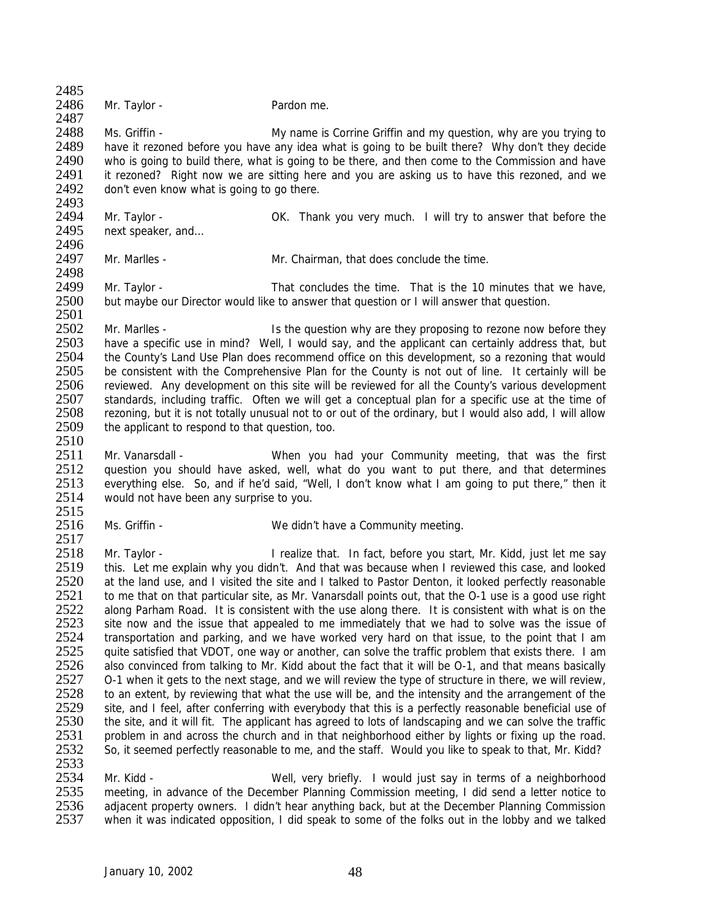2485<br>2486 Mr. Taylor - Pardon me. 2487 2488 Ms. Griffin - My name is Corrine Griffin and my question, why are you trying to<br>2489 have it rezoned before you have any idea what is going to be built there? Why don't they decide 2489 have it rezoned before you have any idea what is going to be built there? Why don't they decide<br>2490 who is going to build there, what is going to be there, and then come to the Commission and have who is going to build there, what is going to be there, and then come to the Commission and have 2491 it rezoned? Right now we are sitting here and you are asking us to have this rezoned, and we 2492 don't even know what is going to go there. don't even know what is going to go there. 2493<br>2494 2494 Mr. Taylor - OK. Thank you very much. I will try to answer that before the 2495 next speaker, and... next speaker, and... 2496<br>2497 Mr. Marlles - The Mr. Chairman, that does conclude the time. 2498<br>2499 Mr. Taylor - That concludes the time. That is the 10 minutes that we have, 2500 but maybe our Director would like to answer that question or I will answer that question. 2501 2502 Mr. Marlles - Is the question why are they proposing to rezone now before they<br>2503 have a specific use in mind? Well. I would say, and the applicant can certainly address that, but 2503 have a specific use in mind? Well, I would say, and the applicant can certainly address that, but 2504 the County's Land Use Plan does recommend office on this development, so a rezoning that would 2504 the County's Land Use Plan does recommend office on this development, so a rezoning that would<br>2505 be consistent with the Comprehensive Plan for the County is not out of line. It certainly will be 2505 be consistent with the Comprehensive Plan for the County is not out of line. It certainly will be 2506 reviewed. Any development on this site will be reviewed for all the County's various development 2506 reviewed. Any development on this site will be reviewed for all the County's various development<br>2507 standards including traffic. Often we will get a conceptual plan for a specific use at the time of 2507 standards, including traffic. Often we will get a conceptual plan for a specific use at the time of 2508 rezoning, but it is not totally unusual not to or out of the ordinary, but I would also add. I will allow rezoning, but it is not totally unusual not to or out of the ordinary, but I would also add, I will allow 2509 the applicant to respond to that question, too. 2510 2511 Mr. Vanarsdall - When you had your Community meeting, that was the first 2512 question you should have asked, well, what do you want to put there, and that determines 2513 everything else. So, and if he'd said, "Well, I don't know what I am going to put there," then it 2514 would not have been any surprise to you. 2515<br>2516 Ms. Griffin - We didn't have a Community meeting.  $\frac{2517}{2518}$ 2518 Mr. Taylor - I realize that. In fact, before you start, Mr. Kidd, just let me say<br>2519 this. Let me explain why you didn't. And that was because when I reviewed this case, and looked 2519 this. Let me explain why you didn't. And that was because when I reviewed this case, and looked<br>2520 at the land use, and I visited the site and I talked to Pastor Denton, it looked perfectly reasonable at the land use, and I visited the site and I talked to Pastor Denton, it looked perfectly reasonable 2521 to me that on that particular site, as Mr. Vanarsdall points out, that the O-1 use is a good use right 2522 along Parham Road. It is consistent with the use along there. It is consistent with what is on the along Parham Road. It is consistent with the use along there. It is consistent with what is on the 2523 site now and the issue that appealed to me immediately that we had to solve was the issue of 2524 transportation and parking, and we have worked very hard on that issue, to the point that I am 2524 transportation and parking, and we have worked very hard on that issue, to the point that I am<br>2525 quite satisfied that VDOT, one way or another, can solve the traffic problem that exists there. I am 2525 quite satisfied that VDOT, one way or another, can solve the traffic problem that exists there. I am<br>2526 also convinced from talking to Mr. Kidd about the fact that it will be 0-1, and that means basically 2526 also convinced from talking to Mr. Kidd about the fact that it will be O-1, and that means basically 2527 O-1 when it gets to the next stage, and we will review the type of structure in there, we will review. 2527 O-1 when it gets to the next stage, and we will review the type of structure in there, we will review, 2528 to an extent by reviewing that what the use will be and the intensity and the arrangement of the 2528 to an extent, by reviewing that what the use will be, and the intensity and the arrangement of the 2529 site, and I feel, after conferring with everybody that this is a perfectly reasonable beneficial use of 2529 site, and I feel, after conferring with everybody that this is a perfectly reasonable beneficial use of 2530 the site, and it will fit. The applicant has agreed to lots of landscaping and we can solve the traffic 2530 the site, and it will fit. The applicant has agreed to lots of landscaping and we can solve the traffic<br>2531 problem in and across the church and in that neighborhood either by lights or fixing up the road. 2531 problem in and across the church and in that neighborhood either by lights or fixing up the road.<br>2532 So, it seemed perfectly reasonable to me, and the staff. Would you like to speak to that, Mr. Kidd? So, it seemed perfectly reasonable to me, and the staff. Would you like to speak to that, Mr. Kidd? 2533 2534 Mr. Kidd - Well, very briefly. I would just say in terms of a neighborhood<br>2535 meeting, in advance of the December Planning Commission meeting. I did send a letter notice to 2535 meeting, in advance of the December Planning Commission meeting, I did send a letter notice to<br>2536 adiacent property owners. I didn't hear anything back, but at the December Planning Commission 2536 adjacent property owners. I didn't hear anything back, but at the December Planning Commission<br>2537 when it was indicated opposition. I did speak to some of the folks out in the lobby and we talked when it was indicated opposition, I did speak to some of the folks out in the lobby and we talked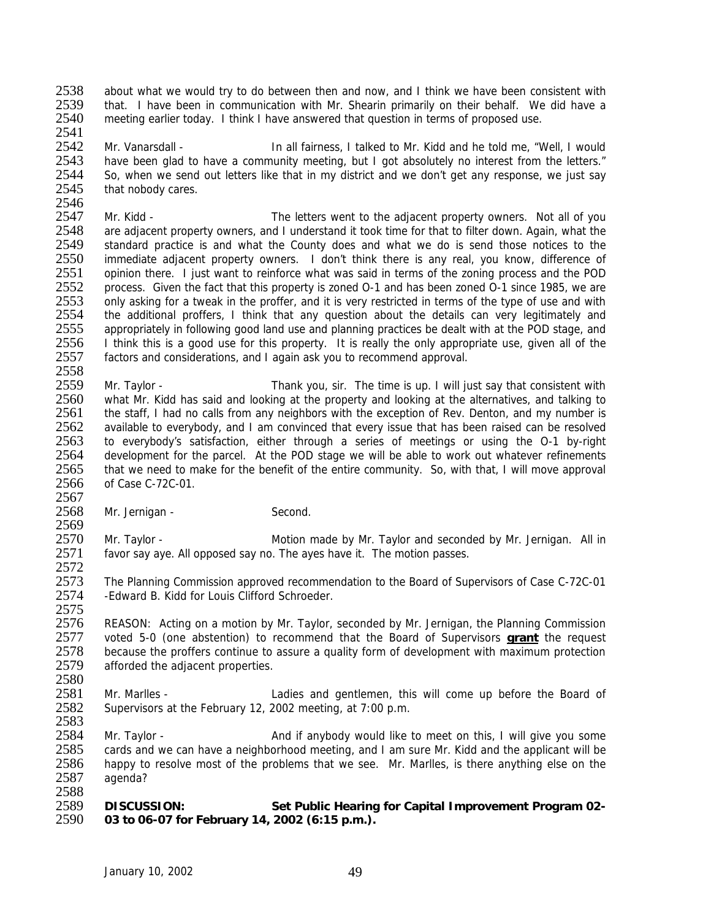2538 about what we would try to do between then and now, and I think we have been consistent with<br>2539 that I have been in communication with Mr. Shearin primarily on their behalf. We did have a 2539 that. I have been in communication with Mr. Shearin primarily on their behalf. We did have a<br>2540 meeting earlier today. I think I have answered that question in terms of proposed use. 2540 meeting earlier today. I think I have answered that question in terms of proposed use.

2541<br>2542 2542 Mr. Vanarsdall - In all fairness, I talked to Mr. Kidd and he told me, "Well, I would<br>2543 have been glad to have a community meeting, but I got absolutely no interest from the letters." have been glad to have a community meeting, but I got absolutely no interest from the letters." 2544 So, when we send out letters like that in my district and we don't get any response, we just say 2545 that nobody cares. that nobody cares.

2546<br>2547 2547 Mr. Kidd - The letters went to the adjacent property owners. Not all of you<br>2548 are adjacent property owners, and I understand it took time for that to filter down. Again, what the 2548 are adjacent property owners, and I understand it took time for that to filter down. Again, what the 2549 standard practice is and what the County does and what we do is send those notices to the 2549 standard practice is and what the County does and what we do is send those notices to the 2550 immediate adiacent property owners. I don't think there is any real, you know, difference of immediate adjacent property owners. I don't think there is any real, you know, difference of 2551 opinion there. I just want to reinforce what was said in terms of the zoning process and the POD<br>2552 process. Given the fact that this property is zoned 0-1 and has been zoned 0-1 since 1985, we are process. Given the fact that this property is zoned O-1 and has been zoned O-1 since 1985, we are 2553 only asking for a tweak in the proffer, and it is very restricted in terms of the type of use and with 2554 the additional proffers. I think that any question about the details can very legitimately and the additional proffers, I think that any question about the details can very legitimately and 2555 appropriately in following good land use and planning practices be dealt with at the POD stage, and 2556 I think this is a good use for this property. It is really the only appropriate use, given all of the 2556 I think this is a good use for this property. It is really the only appropriate use, given all of the 2557 factors and considerations, and I again ask you to recommend approval. factors and considerations, and I again ask you to recommend approval.

2558<br>2559 2559 Mr. Taylor - Thank you, sir. The time is up. I will just say that consistent with<br>2560 what Mr. Kidd has said and looking at the property and looking at the alternatives, and talking to 2560 what Mr. Kidd has said and looking at the property and looking at the alternatives, and talking to 2561 the staff. I had no calls from any neighbors with the exception of Rev. Denton, and my number is the staff, I had no calls from any neighbors with the exception of Rev. Denton, and my number is 2562 available to everybody, and I am convinced that every issue that has been raised can be resolved<br>2563 to everybody's satisfaction, either through a series of meetings or using the O-1 by-right to everybody's satisfaction, either through a series of meetings or using the O-1 by-right 2564 development for the parcel. At the POD stage we will be able to work out whatever refinements 2565 that we need to make for the benefit of the entire community. So, with that, I will move approval 2566 of Case C-72C-01.

2567<br>2568 Mr. Jernigan - Second.

2569<br>2570 2570 Mr. Taylor - Motion made by Mr. Taylor and seconded by Mr. Jernigan. All in<br>2571 favor say ave. All opposed say no. The aves have it. The motion passes. favor say aye. All opposed say no. The ayes have it. The motion passes.

2572<br>2573 The Planning Commission approved recommendation to the Board of Supervisors of Case C-72C-01 2574 - Edward B. Kidd for Louis Clifford Schroeder.

2576 REASON: Acting on a motion by Mr. Taylor, seconded by Mr. Jernigan, the Planning Commission<br>2577 voted 5-0 (one abstention) to recommend that the Board of Supervisors **grant** the request 2577 voted 5-0 (one abstention) to recommend that the Board of Supervisors **grant** the request 2578 because the proffers continue to assure a quality form of development with maximum protection<br>2579 afforded the adiacent properties. afforded the adjacent properties.

2580<br>2581 2581 Mr. Marlles - Ladies and gentlemen, this will come up before the Board of 2582 Supervisors at the February 12, 2002 meeting, at 7:00 p.m. Supervisors at the February 12, 2002 meeting, at 7:00 p.m.

2583<br>2584 Mr. Taylor - **And if anybody would like to meet on this, I will give you some** 2585 cards and we can have a neighborhood meeting, and I am sure Mr. Kidd and the applicant will be 2586 happy to resolve most of the problems that we see. Mr. Marlles, is there anything else on the 2587 agenda?

2588<br>2589 2589 **DISCUSSION: Set Public Hearing for Capital Improvement Program 02-** 2590 **03 to 06-07 for February 14, 2002 (6:15 p.m.).** 

2575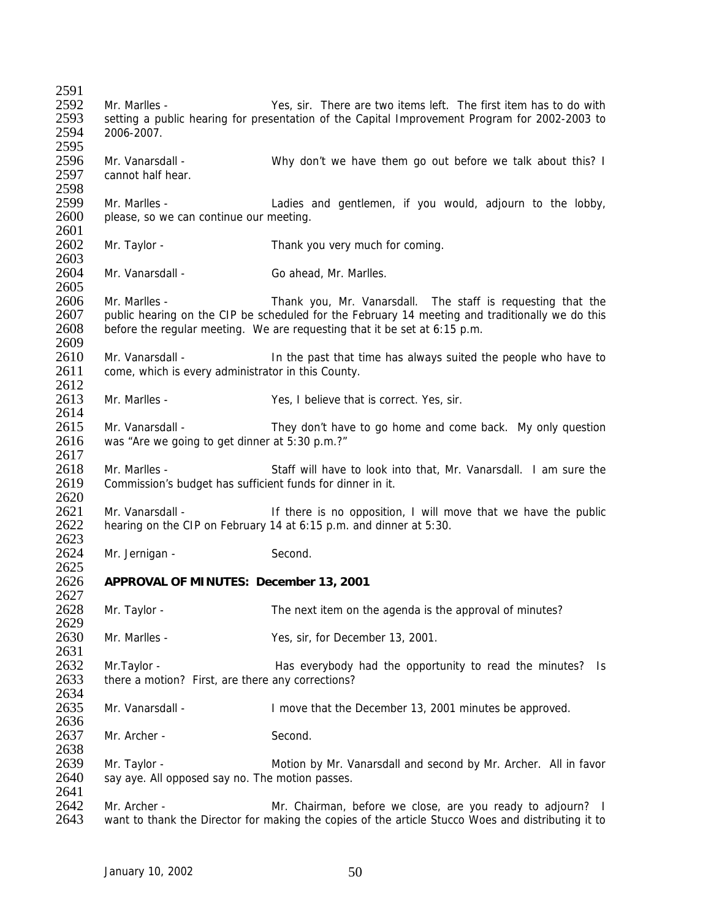2591<br>2592 2592 Mr. Marlles - Yes, sir. There are two items left. The first item has to do with<br>2593 setting a public hearing for presentation of the Capital Improvement Program for 2002-2003 to 2593 setting a public hearing for presentation of the Capital Improvement Program for 2002-2003 to 2594 2006-2007. 2595 2596 Mr. Vanarsdall - Why don't we have them go out before we talk about this? I 2597 cannot half hear. 2598<br>2599 2599 Mr. Marlles - Ladies and gentlemen, if you would, adjourn to the lobby, 2600 please, so we can continue our meeting. please, so we can continue our meeting. 2601<br>2602 Mr. Taylor - Thank you very much for coming. 2603 2604 Mr. Vanarsdall - Go ahead, Mr. Marlles. 2605 2606 Mr. Marlles - Thank you, Mr. Vanarsdall. The staff is requesting that the 2607 public hearing on the CIP be scheduled for the February 14 meeting and traditionally we do this 2608 before the regular meeting. We are requesting that it be set at 6:15 p.m. 2609<br>2610 2610 Mr. Vanarsdall - In the past that time has always suited the people who have to 2611 come, which is every administrator in this County. come, which is every administrator in this County.  $\frac{2612}{2613}$ Mr. Marlles - Yes, I believe that is correct. Yes, sir. 2614 2615 Mr. Vanarsdall - They don't have to go home and come back. My only question 2616 was "Are we going to get dinner at 5:30 p.m.?" 2617 2618 Mr. Marlles - Staff will have to look into that, Mr. Vanarsdall. I am sure the 2619 Commission's budget has sufficient funds for dinner in it. 2620<br>2621 2621 Mr. Vanarsdall - If there is no opposition, I will move that we have the public 2622 hearing on the CIP on February 14 at 6:15 p.m. and dinner at 5:30. hearing on the CIP on February 14 at 6:15 p.m. and dinner at 5:30. 2623<br>2624 Mr. Jernigan - Second. 2625<br>2626 2626 **APPROVAL OF MINUTES: December 13, 2001** 2627 2628 Mr. Taylor - The next item on the agenda is the approval of minutes? 2629 2630 Mr. Marlles - Yes, sir, for December 13, 2001. 2631<br>2632 2632 Mr.Taylor - Has everybody had the opportunity to read the minutes? Is 2633 there a motion? First, are there any corrections? there a motion? First, are there any corrections? 2634<br>2635 Mr. Vanarsdall - The Communist Hermit is a line of that the December 13, 2001 minutes be approved. 2636<br>2637 Mr. Archer - Second. 2638 2639 Mr. Taylor - Motion by Mr. Vanarsdall and second by Mr. Archer. All in favor 2640 say aye. All opposed say no. The motion passes. 2641<br>2642 2642 Mr. Archer - Mr. Chairman, before we close, are you ready to adjourn? I<br>2643 want to thank the Director for making the copies of the article *Stucco Woes* and distributing it to 2643 want to thank the Director for making the copies of the article *Stucco Woes* and distributing it to